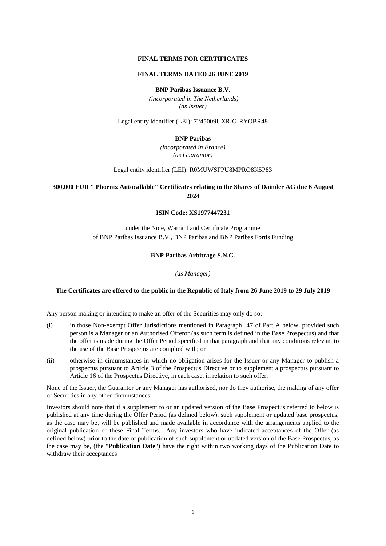#### **FINAL TERMS FOR CERTIFICATES**

#### **FINAL TERMS DATED 26 JUNE 2019**

#### **BNP Paribas Issuance B.V.**

*(incorporated in The Netherlands) (as Issuer)*

Legal entity identifier (LEI): 7245009UXRIGIRYOBR48

#### **BNP Paribas**

*(incorporated in France) (as Guarantor)*

Legal entity identifier (LEI): R0MUWSFPU8MPRO8K5P83

### **300,000 EUR " Phoenix Autocallable" Certificates relating to the Shares of Daimler AG due 6 August 2024**

#### **ISIN Code: XS1977447231**

under the Note, Warrant and Certificate Programme of BNP Paribas Issuance B.V., BNP Paribas and BNP Paribas Fortis Funding

#### **BNP Paribas Arbitrage S.N.C.**

*(as Manager)*

#### **The Certificates are offered to the public in the Republic of Italy from 26 June 2019 to 29 July 2019**

Any person making or intending to make an offer of the Securities may only do so:

- (i) in those Non-exempt Offer Jurisdictions mentioned in Paragraph 47 of Part A below, provided such person is a Manager or an Authorised Offeror (as such term is defined in the Base Prospectus) and that the offer is made during the Offer Period specified in that paragraph and that any conditions relevant to the use of the Base Prospectus are complied with; or
- (ii) otherwise in circumstances in which no obligation arises for the Issuer or any Manager to publish a prospectus pursuant to Article 3 of the Prospectus Directive or to supplement a prospectus pursuant to Article 16 of the Prospectus Directive, in each case, in relation to such offer.

None of the Issuer, the Guarantor or any Manager has authorised, nor do they authorise, the making of any offer of Securities in any other circumstances.

Investors should note that if a supplement to or an updated version of the Base Prospectus referred to below is published at any time during the Offer Period (as defined below), such supplement or updated base prospectus, as the case may be, will be published and made available in accordance with the arrangements applied to the original publication of these Final Terms. Any investors who have indicated acceptances of the Offer (as defined below) prior to the date of publication of such supplement or updated version of the Base Prospectus, as the case may be, (the "**Publication Date**") have the right within two working days of the Publication Date to withdraw their acceptances.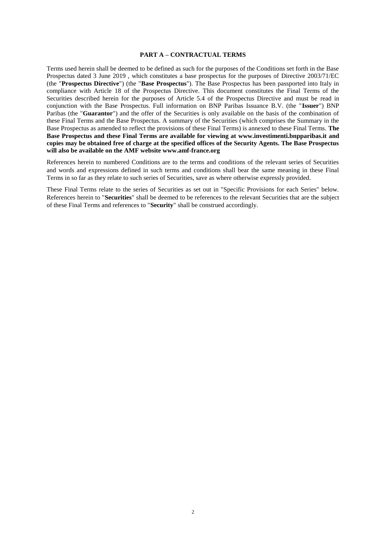#### **PART A – CONTRACTUAL TERMS**

Terms used herein shall be deemed to be defined as such for the purposes of the Conditions set forth in the Base Prospectus dated 3 June 2019 , which constitutes a base prospectus for the purposes of Directive 2003/71/EC (the "**Prospectus Directive**") (the "**Base Prospectus**"). The Base Prospectus has been passported into Italy in compliance with Article 18 of the Prospectus Directive. This document constitutes the Final Terms of the Securities described herein for the purposes of Article 5.4 of the Prospectus Directive and must be read in conjunction with the Base Prospectus. Full information on BNP Paribas Issuance B.V. (the "**Issuer**") BNP Paribas (the "**Guarantor**") and the offer of the Securities is only available on the basis of the combination of these Final Terms and the Base Prospectus. A summary of the Securities (which comprises the Summary in the Base Prospectus as amended to reflect the provisions of these Final Terms) is annexed to these Final Terms. **The Base Prospectus and these Final Terms are available for viewing at www.investimenti.bnpparibas.it and copies may be obtained free of charge at the specified offices of the Security Agents. The Base Prospectus will also be available on the AMF website [www.amf-france.org](http://www.amf-france.org/)**

References herein to numbered Conditions are to the terms and conditions of the relevant series of Securities and words and expressions defined in such terms and conditions shall bear the same meaning in these Final Terms in so far as they relate to such series of Securities, save as where otherwise expressly provided.

These Final Terms relate to the series of Securities as set out in "Specific Provisions for each Series" below. References herein to "**Securities**" shall be deemed to be references to the relevant Securities that are the subject of these Final Terms and references to "**Security**" shall be construed accordingly.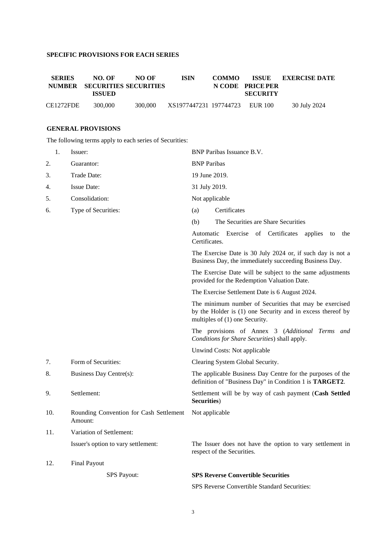# **SPECIFIC PROVISIONS FOR EACH SERIES**

| <b>SERIES</b> | NO. OF<br>NUMBER SECURITIES SECURITIES<br>ISSUED | NO OF   | <b>ISIN</b>                    | <b>COMMO</b> | N CODE PRICE PER<br><b>SECURITY</b> | <b>ISSUE EXERCISE DATE</b> |
|---------------|--------------------------------------------------|---------|--------------------------------|--------------|-------------------------------------|----------------------------|
| CE1272FDE     | 300,000                                          | 300,000 | XS1977447231 197744723 EUR 100 |              |                                     | 30 July 2024               |

# **GENERAL PROVISIONS**

The following terms apply to each series of Securities:

|     | 1. | Issuer:                                            | BNP Paribas Issuance B.V.                                                                                                                              |
|-----|----|----------------------------------------------------|--------------------------------------------------------------------------------------------------------------------------------------------------------|
| 2.  |    | Guarantor:                                         | <b>BNP</b> Paribas                                                                                                                                     |
| 3.  |    | Trade Date:                                        | 19 June 2019.                                                                                                                                          |
| 4.  |    | <b>Issue Date:</b>                                 | 31 July 2019.                                                                                                                                          |
| 5.  |    | Consolidation:                                     | Not applicable                                                                                                                                         |
| 6.  |    | Type of Securities:                                | Certificates<br>(a)                                                                                                                                    |
|     |    |                                                    | The Securities are Share Securities<br>(b)                                                                                                             |
|     |    |                                                    | Automatic Exercise of Certificates applies<br>to<br>the<br>Certificates.                                                                               |
|     |    |                                                    | The Exercise Date is 30 July 2024 or, if such day is not a<br>Business Day, the immediately succeeding Business Day.                                   |
|     |    |                                                    | The Exercise Date will be subject to the same adjustments<br>provided for the Redemption Valuation Date.                                               |
|     |    |                                                    | The Exercise Settlement Date is 6 August 2024.                                                                                                         |
|     |    |                                                    | The minimum number of Securities that may be exercised<br>by the Holder is (1) one Security and in excess thereof by<br>multiples of (1) one Security. |
|     |    |                                                    | The provisions of Annex 3 (Additional Terms and<br>Conditions for Share Securities) shall apply.                                                       |
|     |    |                                                    | Unwind Costs: Not applicable                                                                                                                           |
| 7.  |    | Form of Securities:                                | Clearing System Global Security.                                                                                                                       |
| 8.  |    | Business Day Centre(s):                            | The applicable Business Day Centre for the purposes of the<br>definition of "Business Day" in Condition 1 is <b>TARGET2</b> .                          |
| 9.  |    | Settlement:                                        | Settlement will be by way of cash payment (Cash Settled<br>Securities)                                                                                 |
| 10. |    | Rounding Convention for Cash Settlement<br>Amount: | Not applicable                                                                                                                                         |
| 11. |    | Variation of Settlement:                           |                                                                                                                                                        |
|     |    | Issuer's option to vary settlement:                | The Issuer does not have the option to vary settlement in<br>respect of the Securities.                                                                |
| 12. |    | <b>Final Payout</b>                                |                                                                                                                                                        |
|     |    | <b>SPS Payout:</b>                                 | <b>SPS Reverse Convertible Securities</b>                                                                                                              |
|     |    |                                                    | SPS Reverse Convertible Standard Securities:                                                                                                           |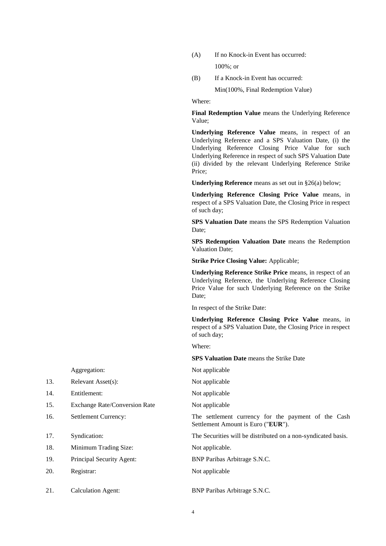- (A) If no Knock-in Event has occurred: 100%; or
- (B) If a Knock-in Event has occurred:

Min(100%, Final Redemption Value)

Where:

**Final Redemption Value** means the Underlying Reference Value;

**Underlying Reference Value** means, in respect of an Underlying Reference and a SPS Valuation Date, (i) the Underlying Reference Closing Price Value for such Underlying Reference in respect of such SPS Valuation Date (ii) divided by the relevant Underlying Reference Strike Price;

**Underlying Reference** means as set out in §26(a) below;

**Underlying Reference Closing Price Value** means, in respect of a SPS Valuation Date, the Closing Price in respect of such day;

**SPS Valuation Date** means the SPS Redemption Valuation Date:

**SPS Redemption Valuation Date** means the Redemption Valuation Date;

**Strike Price Closing Value:** Applicable;

**Underlying Reference Strike Price** means, in respect of an Underlying Reference, the Underlying Reference Closing Price Value for such Underlying Reference on the Strike Date;

In respect of the Strike Date:

**Underlying Reference Closing Price Value** means, in respect of a SPS Valuation Date, the Closing Price in respect of such day;

Where:

**SPS Valuation Date** means the Strike Date

Aggregation: Not applicable

16. Settlement Currency: The settlement currency for the payment of the Cash Settlement Amount is Euro ("**EUR**").

17. Syndication: The Securities will be distributed on a non-syndicated basis.

Not applicable

21. Calculation Agent: BNP Paribas Arbitrage S.N.C.

- 13. Relevant Asset(s): Not applicable
- 14. Entitlement: Not applicable
- 15. Exchange Rate/Conversion Rate Not applicable
- 
- 
- 18. Minimum Trading Size: Not applicable.
- 19. Principal Security Agent: BNP Paribas Arbitrage S.N.C.
- 20. Registrar: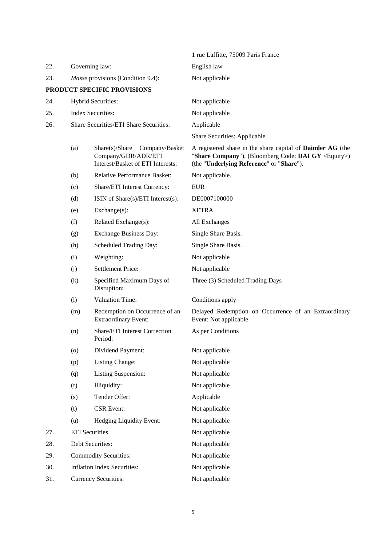|     |                                          |                                                                                           | 1 rue Laffitte, 75009 Paris France                                                                                                                                         |
|-----|------------------------------------------|-------------------------------------------------------------------------------------------|----------------------------------------------------------------------------------------------------------------------------------------------------------------------------|
| 22. | Governing law:                           |                                                                                           | English law                                                                                                                                                                |
| 23. | <i>Masse</i> provisions (Condition 9.4): |                                                                                           | Not applicable                                                                                                                                                             |
|     |                                          | PRODUCT SPECIFIC PROVISIONS                                                               |                                                                                                                                                                            |
| 24. |                                          | Hybrid Securities:                                                                        | Not applicable                                                                                                                                                             |
| 25. |                                          | <b>Index Securities:</b>                                                                  | Not applicable                                                                                                                                                             |
| 26. |                                          | Share Securities/ETI Share Securities:                                                    | Applicable                                                                                                                                                                 |
|     |                                          |                                                                                           | Share Securities: Applicable                                                                                                                                               |
|     | (a)                                      | Share(s)/Share Company/Basket<br>Company/GDR/ADR/ETI<br>Interest/Basket of ETI Interests: | A registered share in the share capital of <b>Daimler AG</b> (the<br>"Share Company"), (Bloomberg Code: DAI GY $\leq$ Equity>)<br>(the "Underlying Reference" or "Share"). |
|     | (b)                                      | Relative Performance Basket:                                                              | Not applicable.                                                                                                                                                            |
|     | (c)                                      | Share/ETI Interest Currency:                                                              | <b>EUR</b>                                                                                                                                                                 |
|     | (d)                                      | ISIN of Share(s)/ETI Interest(s):                                                         | DE0007100000                                                                                                                                                               |
|     | (e)                                      | Exchange(s):                                                                              | <b>XETRA</b>                                                                                                                                                               |
|     | (f)                                      | Related Exchange(s):                                                                      | All Exchanges                                                                                                                                                              |
|     | (g)                                      | Exchange Business Day:                                                                    | Single Share Basis.                                                                                                                                                        |
|     | (h)                                      | Scheduled Trading Day:                                                                    | Single Share Basis.                                                                                                                                                        |
|     | (i)                                      | Weighting:                                                                                | Not applicable                                                                                                                                                             |
|     | (i)                                      | <b>Settlement Price:</b>                                                                  | Not applicable                                                                                                                                                             |
|     | (k)                                      | Specified Maximum Days of<br>Disruption:                                                  | Three (3) Scheduled Trading Days                                                                                                                                           |
|     | (1)                                      | <b>Valuation Time:</b>                                                                    | Conditions apply                                                                                                                                                           |
|     | (m)                                      | Redemption on Occurrence of an<br><b>Extraordinary Event:</b>                             | Delayed Redemption on Occurrence of an Extraordinary<br>Event: Not applicable                                                                                              |
|     | (n)                                      | Share/ETI Interest Correction<br>Period:                                                  | As per Conditions                                                                                                                                                          |
|     | (o)                                      | Dividend Payment:                                                                         | Not applicable                                                                                                                                                             |
|     | (p)                                      | Listing Change:                                                                           | Not applicable                                                                                                                                                             |
|     | (q)                                      | <b>Listing Suspension:</b>                                                                | Not applicable                                                                                                                                                             |
|     | (r)                                      | Illiquidity:                                                                              | Not applicable                                                                                                                                                             |
|     | (s)                                      | Tender Offer:                                                                             | Applicable                                                                                                                                                                 |
|     | (t)                                      | <b>CSR</b> Event:                                                                         | Not applicable                                                                                                                                                             |
|     | (u)                                      | Hedging Liquidity Event:                                                                  | Not applicable                                                                                                                                                             |
| 27. | <b>ETI</b> Securities                    |                                                                                           | Not applicable                                                                                                                                                             |
| 28. |                                          | Debt Securities:                                                                          | Not applicable                                                                                                                                                             |
| 29. |                                          | <b>Commodity Securities:</b>                                                              | Not applicable                                                                                                                                                             |
| 30. |                                          | <b>Inflation Index Securities:</b>                                                        | Not applicable                                                                                                                                                             |
| 31. |                                          | <b>Currency Securities:</b>                                                               | Not applicable                                                                                                                                                             |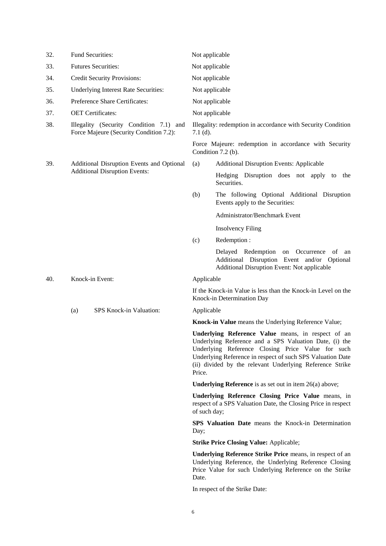| 32. | <b>Fund Securities:</b>                                                            | Not applicable                                                                                                                                                                                                                                                                                        |  |  |
|-----|------------------------------------------------------------------------------------|-------------------------------------------------------------------------------------------------------------------------------------------------------------------------------------------------------------------------------------------------------------------------------------------------------|--|--|
| 33. | <b>Futures Securities:</b>                                                         | Not applicable                                                                                                                                                                                                                                                                                        |  |  |
| 34. | <b>Credit Security Provisions:</b>                                                 | Not applicable                                                                                                                                                                                                                                                                                        |  |  |
| 35. | Underlying Interest Rate Securities:                                               | Not applicable                                                                                                                                                                                                                                                                                        |  |  |
| 36. | Preference Share Certificates:                                                     | Not applicable                                                                                                                                                                                                                                                                                        |  |  |
| 37. | <b>OET</b> Certificates:                                                           | Not applicable                                                                                                                                                                                                                                                                                        |  |  |
| 38. | Illegality (Security Condition 7.1) and<br>Force Majeure (Security Condition 7.2): | Illegality: redemption in accordance with Security Condition<br>$7.1$ (d).                                                                                                                                                                                                                            |  |  |
|     |                                                                                    | Force Majeure: redemption in accordance with Security<br>Condition $7.2$ (b).                                                                                                                                                                                                                         |  |  |
| 39. | Additional Disruption Events and Optional                                          | (a)<br><b>Additional Disruption Events: Applicable</b>                                                                                                                                                                                                                                                |  |  |
|     | <b>Additional Disruption Events:</b>                                               | Hedging Disruption does not apply to the<br>Securities.                                                                                                                                                                                                                                               |  |  |
|     |                                                                                    | The following Optional Additional Disruption<br>(b)<br>Events apply to the Securities:                                                                                                                                                                                                                |  |  |
|     |                                                                                    | Administrator/Benchmark Event                                                                                                                                                                                                                                                                         |  |  |
|     |                                                                                    | <b>Insolvency Filing</b>                                                                                                                                                                                                                                                                              |  |  |
|     |                                                                                    | Redemption:<br>(c)                                                                                                                                                                                                                                                                                    |  |  |
|     |                                                                                    | Delayed Redemption on Occurrence of<br>an<br>Additional Disruption Event and/or Optional<br>Additional Disruption Event: Not applicable                                                                                                                                                               |  |  |
| 40. | Knock-in Event:                                                                    | Applicable                                                                                                                                                                                                                                                                                            |  |  |
|     |                                                                                    | If the Knock-in Value is less than the Knock-in Level on the<br>Knock-in Determination Day                                                                                                                                                                                                            |  |  |
|     | SPS Knock-in Valuation:<br>(a)                                                     | Applicable                                                                                                                                                                                                                                                                                            |  |  |
|     |                                                                                    | Knock-in Value means the Underlying Reference Value;                                                                                                                                                                                                                                                  |  |  |
|     |                                                                                    | Underlying Reference Value means, in respect of an<br>Underlying Reference and a SPS Valuation Date, (i) the<br>Underlying Reference Closing Price Value for such<br>Underlying Reference in respect of such SPS Valuation Date<br>(ii) divided by the relevant Underlying Reference Strike<br>Price. |  |  |
|     |                                                                                    | <b>Underlying Reference</b> is as set out in item $26(a)$ above;                                                                                                                                                                                                                                      |  |  |
|     |                                                                                    | Underlying Reference Closing Price Value means, in<br>respect of a SPS Valuation Date, the Closing Price in respect<br>of such day;                                                                                                                                                                   |  |  |
|     |                                                                                    | <b>SPS Valuation Date</b> means the Knock-in Determination<br>Day;                                                                                                                                                                                                                                    |  |  |
|     |                                                                                    | <b>Strike Price Closing Value: Applicable;</b>                                                                                                                                                                                                                                                        |  |  |
|     |                                                                                    | <b>Underlying Reference Strike Price means, in respect of an</b><br>Underlying Reference, the Underlying Reference Closing<br>Price Value for such Underlying Reference on the Strike<br>Date.                                                                                                        |  |  |
|     |                                                                                    |                                                                                                                                                                                                                                                                                                       |  |  |

In respect of the Strike Date: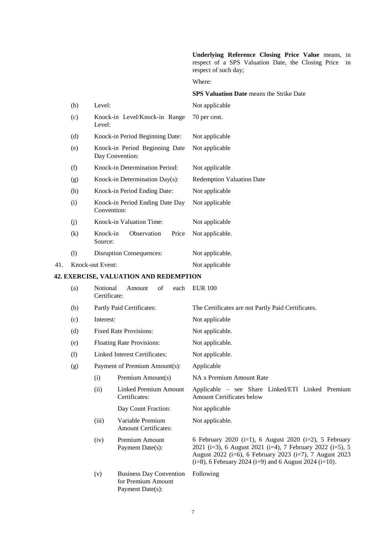**Underlying Reference Closing Price Value** means, in respect of a SPS Valuation Date, the Closing Price in respect of such day;

Where:

#### **SPS Valuation Date** means the Strike Date

|     | (b) | Level:                                            | Not applicable                   |
|-----|-----|---------------------------------------------------|----------------------------------|
|     | (c) | Knock-in Level/Knock-in Range<br>Level:           | 70 per cent.                     |
|     | (d) | Knock-in Period Beginning Date:                   | Not applicable                   |
|     | (e) | Knock-in Period Beginning Date<br>Day Convention: | Not applicable                   |
|     | (f) | Knock-in Determination Period:                    | Not applicable                   |
|     | (g) | Knock-in Determination Day(s):                    | <b>Redemption Valuation Date</b> |
|     | (h) | Knock-in Period Ending Date:                      | Not applicable                   |
|     | (i) | Knock-in Period Ending Date Day<br>Convention:    | Not applicable                   |
|     | (j) | Knock-in Valuation Time:                          | Not applicable                   |
|     | (k) | Observation<br>Knock-in<br>Price<br>Source:       | Not applicable.                  |
|     | (1) | <b>Disruption Consequences:</b>                   | Not applicable.                  |
| 41. |     | Knock-out Event:                                  | Not applicable                   |

# **42. EXERCISE, VALUATION AND REDEMPTION**

| (a) | Notional<br>Certificate:      | of<br>each<br>Amount                                                     | <b>EUR 100</b>                                                                                                                                                                                                                                   |
|-----|-------------------------------|--------------------------------------------------------------------------|--------------------------------------------------------------------------------------------------------------------------------------------------------------------------------------------------------------------------------------------------|
| (b) |                               | Partly Paid Certificates:                                                | The Certificates are not Partly Paid Certificates.                                                                                                                                                                                               |
| (c) | Interest:                     |                                                                          | Not applicable                                                                                                                                                                                                                                   |
| (d) |                               | <b>Fixed Rate Provisions:</b>                                            | Not applicable.                                                                                                                                                                                                                                  |
| (e) |                               | <b>Floating Rate Provisions:</b>                                         | Not applicable.                                                                                                                                                                                                                                  |
| (f) |                               | Linked Interest Certificates:                                            | Not applicable.                                                                                                                                                                                                                                  |
| (g) | Payment of Premium Amount(s): |                                                                          | Applicable                                                                                                                                                                                                                                       |
|     | (i)                           | Premium Amount(s)                                                        | NA x Premium Amount Rate                                                                                                                                                                                                                         |
|     | (ii)                          | Linked Premium Amount<br>Certificates:                                   | Applicable – see Share Linked/ETI Linked Premium<br><b>Amount Certificates below</b>                                                                                                                                                             |
|     |                               | Day Count Fraction:                                                      | Not applicable                                                                                                                                                                                                                                   |
|     | (iii)                         | Variable Premium<br><b>Amount Certificates:</b>                          | Not applicable.                                                                                                                                                                                                                                  |
|     | (iv)                          | Premium Amount<br>Payment Date(s):                                       | 6 February 2020 (i=1), 6 August 2020 (i=2), 5 February<br>2021 (i=3), 6 August 2021 (i=4), 7 February 2022 (i=5), 5<br>August 2022 (i=6), 6 February 2023 (i=7), 7 August 2023<br>$(i=8)$ , 6 February 2024 $(i=9)$ and 6 August 2024 $(i=10)$ . |
|     | (v)                           | <b>Business Day Convention</b><br>for Premium Amount<br>Payment Date(s): | Following                                                                                                                                                                                                                                        |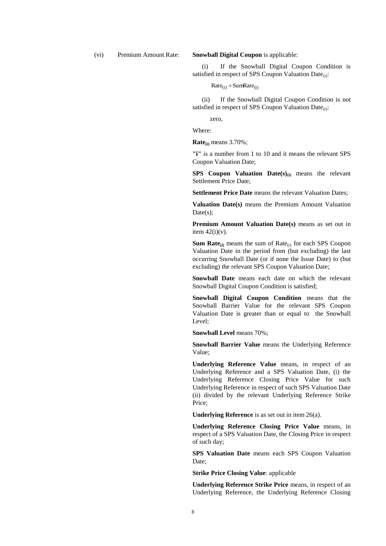(vi) Premium Amount Rate: **Snowball Digital Coupon** is applicable:

(i) If the Snowball Digital Coupon Condition is satisfied in respect of SPS Coupon Valuation Date $_{(i)}$ :

 $Rate_{(i)} + SumRate_{(i)}$ 

(ii) If the Snowball Digital Coupon Condition is not satisfied in respect of SPS Coupon Valuation Date $_{(i)}$ :

zero,

Where:

**Rate(i)** means 3.70%;

**"i"** is a number from 1 to 10 and it means the relevant SPS Coupon Valuation Date;

**SPS Coupon Valuation Date(s)(i)** means the relevant Settlement Price Date;

**Settlement Price Date** means the relevant Valuation Dates;

**Valuation Date(s)** means the Premium Amount Valuation Date(s);

**Premium Amount Valuation Date(s)** means as set out in item  $42(i)(v)$ .

**Sum Rate** $_{(i)}$  means the sum of Rate $_{(i)}$  for each SPS Coupon Valuation Date in the period from (but excluding) the last occurring Snowball Date (or if none the Issue Date) to (but excluding) the relevant SPS Coupon Valuation Date;

**Snowball Date** means each date on which the relevant Snowball Digital Coupon Condition is satisfied;

**Snowball Digital Coupon Condition** means that the Snowball Barrier Value for the relevant SPS Coupon Valuation Date is greater than or equal to the Snowball Level;

**Snowball Level** means 70%;

**Snowball Barrier Value** means the Underlying Reference Value;

**Underlying Reference Value** means, in respect of an Underlying Reference and a SPS Valuation Date, (i) the Underlying Reference Closing Price Value for such Underlying Reference in respect of such SPS Valuation Date (ii) divided by the relevant Underlying Reference Strike Price;

**Underlying Reference** is as set out in item 26(a).

**Underlying Reference Closing Price Value** means, in respect of a SPS Valuation Date, the Closing Price in respect of such day;

**SPS Valuation Date** means each SPS Coupon Valuation Date;

**Strike Price Closing Value**: applicable

**Underlying Reference Strike Price** means, in respect of an Underlying Reference, the Underlying Reference Closing

8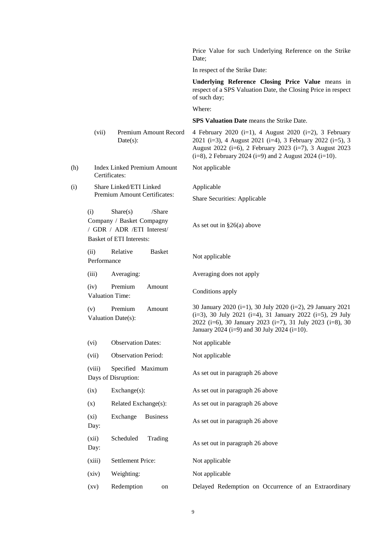|     |                     |                                                                                                                   | Price Value for such Underlying Reference on the Strike<br>Date:                                                                                                                                                                                 |
|-----|---------------------|-------------------------------------------------------------------------------------------------------------------|--------------------------------------------------------------------------------------------------------------------------------------------------------------------------------------------------------------------------------------------------|
|     |                     |                                                                                                                   | In respect of the Strike Date:                                                                                                                                                                                                                   |
|     |                     |                                                                                                                   | Underlying Reference Closing Price Value means in<br>respect of a SPS Valuation Date, the Closing Price in respect<br>of such day;                                                                                                               |
|     |                     |                                                                                                                   | Where:                                                                                                                                                                                                                                           |
|     |                     |                                                                                                                   | <b>SPS Valuation Date</b> means the Strike Date.                                                                                                                                                                                                 |
|     | (vii)               | Premium Amount Record<br>Date(s):                                                                                 | 4 February 2020 (i=1), 4 August 2020 (i=2), 3 February<br>2021 (i=3), 4 August 2021 (i=4), 3 February 2022 (i=5), 3<br>August 2022 (i=6), 2 February 2023 (i=7), 3 August 2023<br>$(i=8)$ , 2 February 2024 $(i=9)$ and 2 August 2024 $(i=10)$ . |
| (h) |                     | <b>Index Linked Premium Amount</b><br>Certificates:                                                               | Not applicable                                                                                                                                                                                                                                   |
| (i) |                     | Share Linked/ETI Linked                                                                                           | Applicable                                                                                                                                                                                                                                       |
|     |                     | Premium Amount Certificates:                                                                                      | <b>Share Securities: Applicable</b>                                                                                                                                                                                                              |
|     | (i)                 | Share(s)<br>/Share<br>Company / Basket Compagny<br>/ GDR / ADR / ETI Interest/<br><b>Basket of ETI Interests:</b> | As set out in $\S26(a)$ above                                                                                                                                                                                                                    |
|     | (ii)<br>Performance | Relative<br><b>Basket</b>                                                                                         | Not applicable                                                                                                                                                                                                                                   |
|     | (iii)               | Averaging:                                                                                                        | Averaging does not apply                                                                                                                                                                                                                         |
|     | (iv)                | Premium<br>Amount<br><b>Valuation Time:</b>                                                                       | Conditions apply                                                                                                                                                                                                                                 |
|     | (v)                 | Premium<br>Amount<br>Valuation Date(s):                                                                           | 30 January 2020 (i=1), 30 July 2020 (i=2), 29 January 2021<br>(i=3), 30 July 2021 (i=4), 31 January 2022 (i=5), 29 July<br>2022 (i=6), 30 January 2023 (i=7), 31 July 2023 (i=8), 30<br>January 2024 (i=9) and 30 July 2024 (i=10).              |
|     | (vi)                | <b>Observation Dates:</b>                                                                                         | Not applicable                                                                                                                                                                                                                                   |
|     | (vii)               | <b>Observation Period:</b>                                                                                        | Not applicable                                                                                                                                                                                                                                   |
|     | (viii)              | Specified Maximum<br>Days of Disruption:                                                                          | As set out in paragraph 26 above                                                                                                                                                                                                                 |
|     | (ix)                | Exchange(s):                                                                                                      | As set out in paragraph 26 above                                                                                                                                                                                                                 |
|     | (x)                 | Related Exchange(s):                                                                                              | As set out in paragraph 26 above                                                                                                                                                                                                                 |
|     | (xi)<br>Day:        | Exchange<br><b>Business</b>                                                                                       | As set out in paragraph 26 above                                                                                                                                                                                                                 |
|     | (xii)<br>Day:       | Scheduled<br>Trading                                                                                              | As set out in paragraph 26 above                                                                                                                                                                                                                 |
|     | (xiii)              | <b>Settlement Price:</b>                                                                                          | Not applicable                                                                                                                                                                                                                                   |
|     | (xiv)               | Weighting:                                                                                                        | Not applicable                                                                                                                                                                                                                                   |
|     | (xv)                | Redemption<br>on                                                                                                  | Delayed Redemption on Occurrence of an Extraordinary                                                                                                                                                                                             |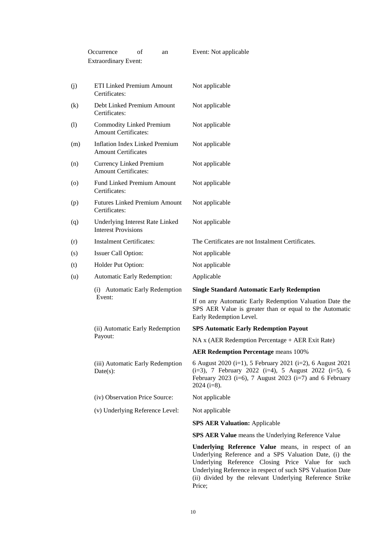|                   | Occurrence<br>of<br>an<br><b>Extraordinary Event:</b>               | Event: Not applicable                                                                                                                                                                                                                                                                       |
|-------------------|---------------------------------------------------------------------|---------------------------------------------------------------------------------------------------------------------------------------------------------------------------------------------------------------------------------------------------------------------------------------------|
| (j)               | ETI Linked Premium Amount<br>Certificates:                          | Not applicable                                                                                                                                                                                                                                                                              |
| $\left( k\right)$ | Debt Linked Premium Amount<br>Certificates:                         | Not applicable                                                                                                                                                                                                                                                                              |
| (1)               | <b>Commodity Linked Premium</b><br><b>Amount Certificates:</b>      | Not applicable                                                                                                                                                                                                                                                                              |
| (m)               | <b>Inflation Index Linked Premium</b><br><b>Amount Certificates</b> | Not applicable                                                                                                                                                                                                                                                                              |
| (n)               | <b>Currency Linked Premium</b><br><b>Amount Certificates:</b>       | Not applicable                                                                                                                                                                                                                                                                              |
| (0)               | Fund Linked Premium Amount<br>Certificates:                         | Not applicable                                                                                                                                                                                                                                                                              |
| (p)               | <b>Futures Linked Premium Amount</b><br>Certificates:               | Not applicable                                                                                                                                                                                                                                                                              |
| (q)               | Underlying Interest Rate Linked<br><b>Interest Provisions</b>       | Not applicable                                                                                                                                                                                                                                                                              |
| (r)               | <b>Instalment Certificates:</b>                                     | The Certificates are not Instalment Certificates.                                                                                                                                                                                                                                           |
| (s)               | Issuer Call Option:                                                 | Not applicable                                                                                                                                                                                                                                                                              |
| (t)               | Holder Put Option:                                                  | Not applicable                                                                                                                                                                                                                                                                              |
| (u)               | Automatic Early Redemption:                                         | Applicable                                                                                                                                                                                                                                                                                  |
|                   | (i) Automatic Early Redemption                                      | <b>Single Standard Automatic Early Redemption</b>                                                                                                                                                                                                                                           |
|                   | Event:                                                              | If on any Automatic Early Redemption Valuation Date the<br>SPS AER Value is greater than or equal to the Automatic<br>Early Redemption Level.                                                                                                                                               |
|                   | (ii) Automatic Early Redemption                                     | <b>SPS Automatic Early Redemption Payout</b>                                                                                                                                                                                                                                                |
|                   | Payout:                                                             | NA x (AER Redemption Percentage + AER Exit Rate)                                                                                                                                                                                                                                            |
|                   |                                                                     | <b>AER Redemption Percentage means 100%</b>                                                                                                                                                                                                                                                 |
|                   | (iii) Automatic Early Redemption<br>$Date(s)$ :                     | 6 August 2020 (i=1), 5 February 2021 (i=2), 6 August 2021<br>$(i=3)$ , 7 February 2022 $(i=4)$ , 5 August 2022 $(i=5)$ , 6<br>February 2023 (i=6), 7 August 2023 (i=7) and 6 February<br>$2024$ (i=8).                                                                                      |
|                   | (iv) Observation Price Source:                                      | Not applicable                                                                                                                                                                                                                                                                              |
|                   | (v) Underlying Reference Level:                                     | Not applicable                                                                                                                                                                                                                                                                              |
|                   |                                                                     | <b>SPS AER Valuation: Applicable</b>                                                                                                                                                                                                                                                        |
|                   |                                                                     | <b>SPS AER Value</b> means the Underlying Reference Value                                                                                                                                                                                                                                   |
|                   |                                                                     | Underlying Reference Value means, in respect of an<br>Underlying Reference and a SPS Valuation Date, (i) the<br>Underlying Reference Closing Price Value for such<br>Underlying Reference in respect of such SPS Valuation Date<br>(ii) divided by the relevant Underlying Reference Strike |

Price;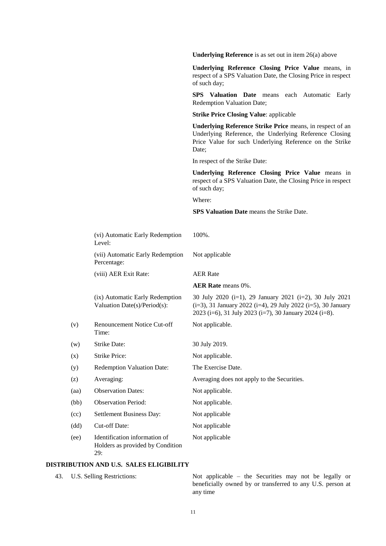**Underlying Reference** is as set out in item 26(a) above **Underlying Reference Closing Price Value** means, in respect of a SPS Valuation Date, the Closing Price in respect of such day; **SPS Valuation Date** means each Automatic Early Redemption Valuation Date; **Strike Price Closing Value**: applicable **Underlying Reference Strike Price** means, in respect of an Underlying Reference, the Underlying Reference Closing Price Value for such Underlying Reference on the Strike Date; In respect of the Strike Date: **Underlying Reference Closing Price Value** means in respect of a SPS Valuation Date, the Closing Price in respect of such day; Where: **SPS Valuation Date** means the Strike Date. (vi) Automatic Early Redemption Level: 100%. (vii) Automatic Early Redemption Percentage: Not applicable (viii) AER Exit Rate: AER Rate **AER Rate** means 0%. (ix) Automatic Early Redemption Valuation Date(s)/Period(s): 30 July 2020 (i=1), 29 January 2021 (i=2), 30 July 2021  $(i=3)$ , 31 January 2022  $(i=4)$ , 29 July 2022  $(i=5)$ , 30 January 2023 (i=6), 31 July 2023 (i=7), 30 January 2024 (i=8). (v) Renouncement Notice Cut-off Time: Not applicable. (w) Strike Date: 30 July 2019. (x) Strike Price: Not applicable. (y) Redemption Valuation Date: The Exercise Date. (z) Averaging: Averaging does not apply to the Securities. (aa) Observation Dates: Not applicable. (bb) Observation Period: Not applicable. (cc) Settlement Business Day: Not applicable (dd) Cut-off Date: Not applicable (ee) Identification information of Holders as provided by Condition 29: Not applicable

#### **DISTRIBUTION AND U.S. SALES ELIGIBILITY**

43. U.S. Selling Restrictions: Not applicable – the Securities may not be legally or beneficially owned by or transferred to any U.S. person at any time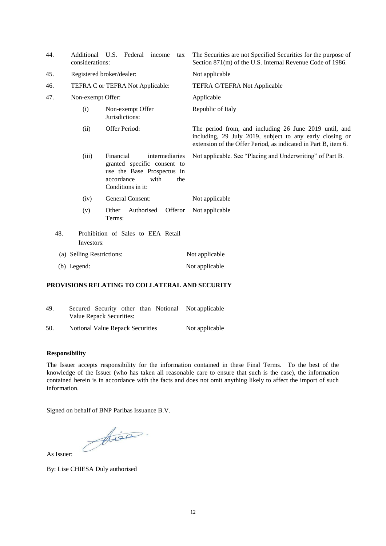| 44. | Additional<br>considerations: | U.S.<br>Federal<br>income<br>tax                                                                                                           | The Securities are not Specified Securities for the purpose of<br>Section 871(m) of the U.S. Internal Revenue Code of 1986.                                                          |
|-----|-------------------------------|--------------------------------------------------------------------------------------------------------------------------------------------|--------------------------------------------------------------------------------------------------------------------------------------------------------------------------------------|
| 45. |                               | Registered broker/dealer:                                                                                                                  | Not applicable                                                                                                                                                                       |
| 46. |                               | TEFRA C or TEFRA Not Applicable:                                                                                                           | <b>TEFRA C/TEFRA Not Applicable</b>                                                                                                                                                  |
| 47. | Non-exempt Offer:             |                                                                                                                                            | Applicable                                                                                                                                                                           |
|     | (i)                           | Non-exempt Offer<br>Jurisdictions:                                                                                                         | Republic of Italy                                                                                                                                                                    |
|     | (ii)                          | Offer Period:                                                                                                                              | The period from, and including 26 June 2019 until, and<br>including, 29 July 2019, subject to any early closing or<br>extension of the Offer Period, as indicated in Part B, item 6. |
|     | (iii)                         | Financial<br>intermediaries<br>granted specific consent to<br>use the Base Prospectus in<br>accordance<br>with<br>the<br>Conditions in it: | Not applicable. See "Placing and Underwriting" of Part B.                                                                                                                            |
|     | (iv)                          | General Consent:                                                                                                                           | Not applicable                                                                                                                                                                       |
|     | (v)                           | Other<br>Authorised<br>Offeror<br>Terms:                                                                                                   | Not applicable                                                                                                                                                                       |
| 48. |                               | Prohibition of Sales to EEA Retail                                                                                                         |                                                                                                                                                                                      |
|     | Investors:                    |                                                                                                                                            |                                                                                                                                                                                      |
|     | (a) Selling Restrictions:     |                                                                                                                                            | Not applicable                                                                                                                                                                       |
|     | (b) Legend:                   |                                                                                                                                            | Not applicable                                                                                                                                                                       |

## **PROVISIONS RELATING TO COLLATERAL AND SECURITY**

| 49. | Secured Security other than Notional Not applicable |                |
|-----|-----------------------------------------------------|----------------|
|     | Value Repack Securities:                            |                |
| 50. | Notional Value Repack Securities                    | Not applicable |

#### **Responsibility**

The Issuer accepts responsibility for the information contained in these Final Terms. To the best of the knowledge of the Issuer (who has taken all reasonable care to ensure that such is the case), the information contained herein is in accordance with the facts and does not omit anything likely to affect the import of such information.

Signed on behalf of BNP Paribas Issuance B.V.

Aisa.

As Issuer:

By: Lise CHIESA Duly authorised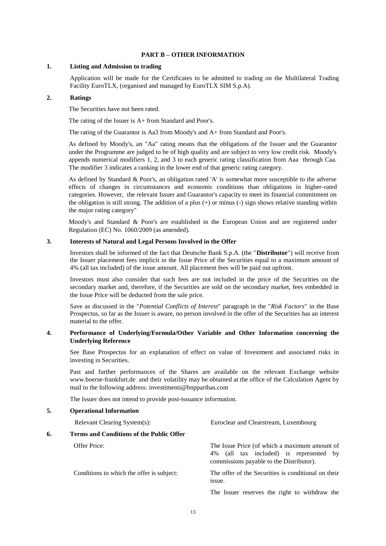#### **PART B – OTHER INFORMATION**

#### **1. Listing and Admission to trading**

Application will be made for the Certificates to be admitted to trading on the Multilateral Trading Facility EuroTLX, (organised and managed by EuroTLX SIM S.p.A).

#### **2. Ratings**

The Securities have not been rated.

The rating of the Issuer is A+ from Standard and Poor's.

The rating of the Guarantor is Aa3 from Moody's and A+ from Standard and Poor's.

As defined by Moody's, an "Aa" rating means that the obligations of the Issuer and the Guarantor under the Programme are judged to be of high quality and are subject to very low credit risk. Moody's appends numerical modifiers 1, 2, and 3 to each generic rating classification from Aaa through Caa. The modifier 3 indicates a ranking in the lower end of that generic rating category.

As defined by Standard & Poor's, an obligation rated 'A' is somewhat more susceptible to the adverse effects of changes in circumstances and economic conditions than obligations in higher-rated categories. However, the relevant Issuer and Guarantor's capacity to meet its financial commitment on the obligation is still strong. The addition of a plus (+) or minus (-) sign shows relative standing within the major rating category"

Moody's and Standard & Poor's are established in the European Union and are registered under Regulation (EC) No. 1060/2009 (as amended).

#### **3. Interests of Natural and Legal Persons Involved in the Offer**

Investors shall be informed of the fact that Deutsche Bank S.p.A. (the "**Distributor**") will receive from the Issuer placement fees implicit in the Issue Price of the Securities equal to a maximum amount of 4% (all tax included) of the issue amount. All placement fees will be paid out upfront.

Investors must also consider that such fees are not included in the price of the Securities on the secondary market and, therefore, if the Securities are sold on the secondary market, fees embedded in the Issue Price will be deducted from the sale price.

Save as discussed in the "*Potential Conflicts of Interest*" paragraph in the "*Risk Factors*" in the Base Prospectus, so far as the Issuer is aware, no person involved in the offer of the Securities has an interest material to the offer.

#### **4. Performance of Underlying/Formula/Other Variable and Other Information concerning the Underlying Reference**

See Base Prospectus for an explanation of effect on value of Investment and associated risks in investing in Securities.

Past and further performances of the Shares are available on the relevant Exchange website www.boerse-frankfurt.de and their volatility may be obtained at the office of the Calculation Agent by mail to the following address: [investimenti@bnpparibas.com](mailto:investimenti@bnpparibas.com)

The Issuer does not intend to provide post-issuance information.

#### **5. Operational Information**

|    | Relevant Clearing System(s):              | Euroclear and Clearstream, Luxembourg                                                                                                |
|----|-------------------------------------------|--------------------------------------------------------------------------------------------------------------------------------------|
| 6. | Terms and Conditions of the Public Offer  |                                                                                                                                      |
|    | Offer Price:                              | The Issue Price (of which a maximum amount of<br>4% (all tax included) is represented by<br>commissions payable to the Distributor). |
|    | Conditions to which the offer is subject: | The offer of the Securities is conditional on their<br>issue.                                                                        |
|    |                                           | The Issuer reserves the right to withdraw the                                                                                        |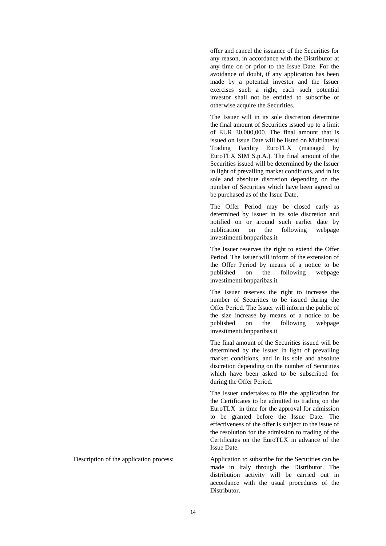offer and cancel the issuance of the Securities for any reason, in accordance with the Distributor at any time on or prior to the Issue Date. For the avoidance of doubt, if any application has been made by a potential investor and the Issuer exercises such a right, each such potential investor shall not be entitled to subscribe or otherwise acquire the Securities.

The Issuer will in its sole discretion determine the final amount of Securities issued up to a limit of EUR 30,000,000. The final amount that is issued on Issue Date will be listed on Multilateral Trading Facility EuroTLX (managed by EuroTLX SIM S.p.A.). The final amount of the Securities issued will be determined by the Issuer in light of prevailing market conditions, and in its sole and absolute discretion depending on the number of Securities which have been agreed to be purchased as of the Issue Date.

The Offer Period may be closed early as determined by Issuer in its sole discretion and notified on or around such earlier date by publication on the following webpage investimenti.bnpparibas.it

The Issuer reserves the right to extend the Offer Period. The Issuer will inform of the extension of the Offer Period by means of a notice to be published on the following webpage investimenti.bnpparibas.it

The Issuer reserves the right to increase the number of Securities to be issued during the Offer Period. The Issuer will inform the public of the size increase by means of a notice to be published on the following webpage investimenti.bnpparibas.it

The final amount of the Securities issued will be determined by the Issuer in light of prevailing market conditions, and in its sole and absolute discretion depending on the number of Securities which have been asked to be subscribed for during the Offer Period.

The Issuer undertakes to file the application for the Certificates to be admitted to trading on the EuroTLX in time for the approval for admission to be granted before the Issue Date. The effectiveness of the offer is subject to the issue of the resolution for the admission to trading of the Certificates on the EuroTLX in advance of the Issue Date.

Description of the application process: Application to subscribe for the Securities can be made in Italy through the Distributor. The distribution activity will be carried out in accordance with the usual procedures of the Distributor.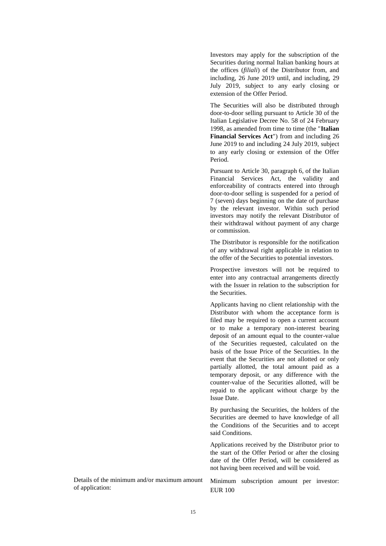Investors may apply for the subscription of the Securities during normal Italian banking hours at the offices (*filiali*) of the Distributor from, and including, 26 June 2019 until, and including, 29 July 2019, subject to any early closing or extension of the Offer Period.

The Securities will also be distributed through door-to-door selling pursuant to Article 30 of the Italian Legislative Decree No. 58 of 24 February 1998, as amended from time to time (the "**Italian Financial Services Act**") from and including 26 June 2019 to and including 24 July 2019, subject to any early closing or extension of the Offer Period.

Pursuant to Article 30, paragraph 6, of the Italian Financial Services Act, the validity and enforceability of contracts entered into through door-to-door selling is suspended for a period of 7 (seven) days beginning on the date of purchase by the relevant investor. Within such period investors may notify the relevant Distributor of their withdrawal without payment of any charge or commission.

The Distributor is responsible for the notification of any withdrawal right applicable in relation to the offer of the Securities to potential investors.

Prospective investors will not be required to enter into any contractual arrangements directly with the Issuer in relation to the subscription for the Securities.

Applicants having no client relationship with the Distributor with whom the acceptance form is filed may be required to open a current account or to make a temporary non-interest bearing deposit of an amount equal to the counter-value of the Securities requested, calculated on the basis of the Issue Price of the Securities. In the event that the Securities are not allotted or only partially allotted, the total amount paid as a temporary deposit, or any difference with the counter-value of the Securities allotted, will be repaid to the applicant without charge by the Issue Date.

By purchasing the Securities, the holders of the Securities are deemed to have knowledge of all the Conditions of the Securities and to accept said Conditions.

Applications received by the Distributor prior to the start of the Offer Period or after the closing date of the Offer Period, will be considered as not having been received and will be void.

Details of the minimum and/or maximum amount of application:

Minimum subscription amount per investor: EUR 100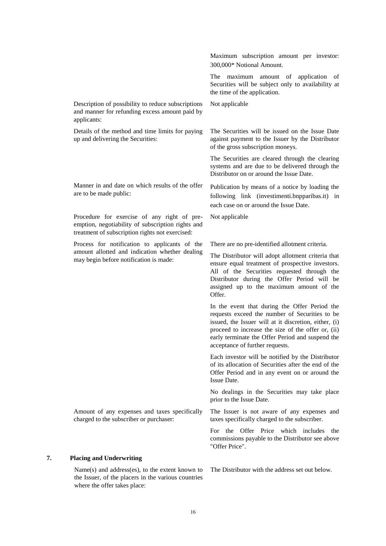Maximum subscription amount per investor: 300,000\* Notional Amount. The maximum amount of application of Securities will be subject only to availability at the time of the application. Description of possibility to reduce subscriptions and manner for refunding excess amount paid by applicants: Not applicable Details of the method and time limits for paying up and delivering the Securities: The Securities will be issued on the Issue Date against payment to the Issuer by the Distributor of the gross subscription moneys. The Securities are cleared through the clearing systems and are due to be delivered through the Distributor on or around the Issue Date. Manner in and date on which results of the offer are to be made public: Publication by means of a notice by loading the following link (investimenti.bnpparibas.it) in each case on or around the Issue Date. Procedure for exercise of any right of preemption, negotiability of subscription rights and treatment of subscription rights not exercised: Not applicable Process for notification to applicants of the amount allotted and indication whether dealing may begin before notification is made: There are no pre-identified allotment criteria. The Distributor will adopt allotment criteria that ensure equal treatment of prospective investors. All of the Securities requested through the Distributor during the Offer Period will be assigned up to the maximum amount of the Offer. In the event that during the Offer Period the requests exceed the number of Securities to be issued, the Issuer will at it discretion, either, (i) proceed to increase the size of the offer or, (ii) early terminate the Offer Period and suspend the acceptance of further requests. Each investor will be notified by the Distributor of its allocation of Securities after the end of the Offer Period and in any event on or around the Issue Date. No dealings in the Securities may take place prior to the Issue Date. Amount of any expenses and taxes specifically charged to the subscriber or purchaser: The Issuer is not aware of any expenses and taxes specifically charged to the subscriber. For the Offer Price which includes the commissions payable to the Distributor see above "Offer Price". **7. Placing and Underwriting**

Name(s) and address(es), to the extent known to the Issuer, of the placers in the various countries where the offer takes place:

The Distributor with the address set out below.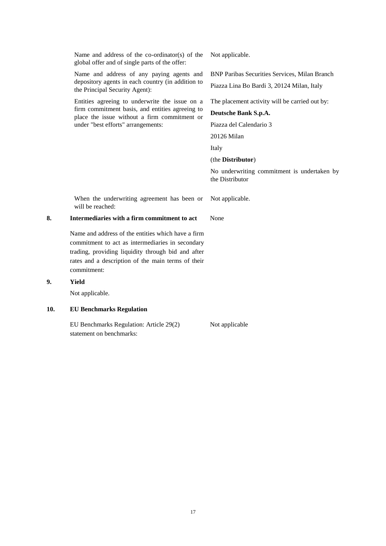Name and address of the co-ordinator(s) of the global offer and of single parts of the offer:

Name and address of any paying agents and depository agents in each country (in addition to the Principal Security Agent):

Entities agreeing to underwrite the issue on a firm commitment basis, and entities agreeing to place the issue without a firm commitment or under "best efforts" arrangements:

Not applicable.

BNP Paribas Securities Services, Milan Branch

Piazza Lina Bo Bardi 3, 20124 Milan, Italy

The placement activity will be carried out by:

## **Deutsche Bank S.p.A.**

Piazza del Calendario 3

20126 Milan

Italy

(the **Distributor**)

No underwriting commitment is undertaken by the Distributor

When the underwriting agreement has been or will be reached:

## **8. Intermediaries with a firm commitment to act** None

Name and address of the entities which have a firm commitment to act as intermediaries in secondary trading, providing liquidity through bid and after rates and a description of the main terms of their commitment:

#### **9. Yield**

Not applicable.

## **10. EU Benchmarks Regulation**

EU Benchmarks Regulation: Article 29(2) Not applicable statement on benchmarks:

Not applicable.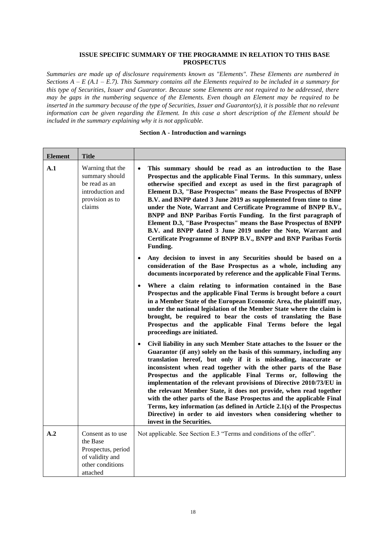## **ISSUE SPECIFIC SUMMARY OF THE PROGRAMME IN RELATION TO THIS BASE PROSPECTUS**

*Summaries are made up of disclosure requirements known as "Elements". These Elements are numbered in Sections A – E (A.1 – E.7). This Summary contains all the Elements required to be included in a summary for this type of Securities, Issuer and Guarantor. Because some Elements are not required to be addressed, there may be gaps in the numbering sequence of the Elements. Even though an Element may be required to be inserted in the summary because of the type of Securities, Issuer and Guarantor(s), it is possible that no relevant information can be given regarding the Element. In this case a short description of the Element should be included in the summary explaining why it is not applicable.*

#### **Section A - Introduction and warnings**

| <b>Element</b> | <b>Title</b>                                                                                           |                                                                                                                                                                                                                                                                                                                                                                                                                                                                                                                                                                                                                                                                                                                                                                     |
|----------------|--------------------------------------------------------------------------------------------------------|---------------------------------------------------------------------------------------------------------------------------------------------------------------------------------------------------------------------------------------------------------------------------------------------------------------------------------------------------------------------------------------------------------------------------------------------------------------------------------------------------------------------------------------------------------------------------------------------------------------------------------------------------------------------------------------------------------------------------------------------------------------------|
| A.1            | Warning that the<br>summary should<br>be read as an<br>introduction and<br>provision as to<br>claims   | This summary should be read as an introduction to the Base<br>$\bullet$<br>Prospectus and the applicable Final Terms. In this summary, unless<br>otherwise specified and except as used in the first paragraph of<br>Element D.3, "Base Prospectus" means the Base Prospectus of BNPP<br>B.V. and BNPP dated 3 June 2019 as supplemented from time to time<br>under the Note, Warrant and Certificate Programme of BNPP B.V.,<br>BNPP and BNP Paribas Fortis Funding. In the first paragraph of<br>Element D.3, "Base Prospectus" means the Base Prospectus of BNPP<br>B.V. and BNPP dated 3 June 2019 under the Note, Warrant and<br>Certificate Programme of BNPP B.V., BNPP and BNP Paribas Fortis<br>Funding.                                                   |
|                |                                                                                                        | Any decision to invest in any Securities should be based on a<br>$\bullet$<br>consideration of the Base Prospectus as a whole, including any<br>documents incorporated by reference and the applicable Final Terms.                                                                                                                                                                                                                                                                                                                                                                                                                                                                                                                                                 |
|                |                                                                                                        | Where a claim relating to information contained in the Base<br>$\bullet$<br>Prospectus and the applicable Final Terms is brought before a court<br>in a Member State of the European Economic Area, the plaintiff may,<br>under the national legislation of the Member State where the claim is<br>brought, be required to bear the costs of translating the Base<br>Prospectus and the applicable Final Terms before the legal<br>proceedings are initiated.                                                                                                                                                                                                                                                                                                       |
|                |                                                                                                        | Civil liability in any such Member State attaches to the Issuer or the<br>$\bullet$<br>Guarantor (if any) solely on the basis of this summary, including any<br>translation hereof, but only if it is misleading, inaccurate or<br>inconsistent when read together with the other parts of the Base<br>Prospectus and the applicable Final Terms or, following the<br>implementation of the relevant provisions of Directive 2010/73/EU in<br>the relevant Member State, it does not provide, when read together<br>with the other parts of the Base Prospectus and the applicable Final<br>Terms, key information (as defined in Article 2.1(s) of the Prospectus<br>Directive) in order to aid investors when considering whether to<br>invest in the Securities. |
| A.2            | Consent as to use<br>the Base<br>Prospectus, period<br>of validity and<br>other conditions<br>attached | Not applicable. See Section E.3 "Terms and conditions of the offer".                                                                                                                                                                                                                                                                                                                                                                                                                                                                                                                                                                                                                                                                                                |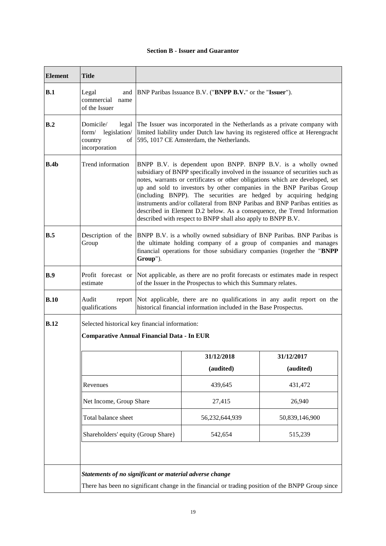# **Section B - Issuer and Guarantor**

| <b>Element</b> | <b>Title</b>                                                                                        |                                                                                                                                                                                                                                                                                                                                                                                                                                                                                                                                                                                                       |                                                                                                   |                |
|----------------|-----------------------------------------------------------------------------------------------------|-------------------------------------------------------------------------------------------------------------------------------------------------------------------------------------------------------------------------------------------------------------------------------------------------------------------------------------------------------------------------------------------------------------------------------------------------------------------------------------------------------------------------------------------------------------------------------------------------------|---------------------------------------------------------------------------------------------------|----------------|
| B.1            | Legal<br>and<br>commercial<br>name<br>of the Issuer                                                 | BNP Paribas Issuance B.V. ("BNPP B.V." or the "Issuer").                                                                                                                                                                                                                                                                                                                                                                                                                                                                                                                                              |                                                                                                   |                |
| B <sub>2</sub> | Domicile/<br>legal<br>form/ legislation/<br>country<br>of<br>incorporation                          | The Issuer was incorporated in the Netherlands as a private company with<br>limited liability under Dutch law having its registered office at Herengracht<br>595, 1017 CE Amsterdam, the Netherlands.                                                                                                                                                                                                                                                                                                                                                                                                 |                                                                                                   |                |
| B.4b           | Trend information                                                                                   | BNPP B.V. is dependent upon BNPP. BNPP B.V. is a wholly owned<br>subsidiary of BNPP specifically involved in the issuance of securities such as<br>notes, warrants or certificates or other obligations which are developed, set<br>up and sold to investors by other companies in the BNP Paribas Group<br>(including BNPP). The securities are hedged by acquiring hedging<br>instruments and/or collateral from BNP Paribas and BNP Paribas entities as<br>described in Element D.2 below. As a consequence, the Trend Information<br>described with respect to BNPP shall also apply to BNPP B.V. |                                                                                                   |                |
| B.5            | Description of the<br>Group                                                                         | BNPP B.V. is a wholly owned subsidiary of BNP Paribas. BNP Paribas is<br>the ultimate holding company of a group of companies and manages<br>financial operations for those subsidiary companies (together the "BNPP<br>Group").                                                                                                                                                                                                                                                                                                                                                                      |                                                                                                   |                |
| B.9            | Profit forecast or<br>estimate                                                                      | Not applicable, as there are no profit forecasts or estimates made in respect<br>of the Issuer in the Prospectus to which this Summary relates.                                                                                                                                                                                                                                                                                                                                                                                                                                                       |                                                                                                   |                |
| B.10           | Audit<br>report<br>qualifications                                                                   | Not applicable, there are no qualifications in any audit report on the<br>historical financial information included in the Base Prospectus.                                                                                                                                                                                                                                                                                                                                                                                                                                                           |                                                                                                   |                |
| <b>B.12</b>    | Selected historical key financial information:<br><b>Comparative Annual Financial Data - In EUR</b> |                                                                                                                                                                                                                                                                                                                                                                                                                                                                                                                                                                                                       |                                                                                                   |                |
|                |                                                                                                     |                                                                                                                                                                                                                                                                                                                                                                                                                                                                                                                                                                                                       | 31/12/2018                                                                                        | 31/12/2017     |
|                |                                                                                                     |                                                                                                                                                                                                                                                                                                                                                                                                                                                                                                                                                                                                       | (audited)                                                                                         | (audited)      |
|                | Revenues                                                                                            |                                                                                                                                                                                                                                                                                                                                                                                                                                                                                                                                                                                                       | 439,645                                                                                           | 431,472        |
|                | Net Income, Group Share                                                                             |                                                                                                                                                                                                                                                                                                                                                                                                                                                                                                                                                                                                       | 27,415                                                                                            | 26,940         |
|                | Total balance sheet                                                                                 |                                                                                                                                                                                                                                                                                                                                                                                                                                                                                                                                                                                                       | 56,232,644,939                                                                                    | 50,839,146,900 |
|                | Shareholders' equity (Group Share)                                                                  |                                                                                                                                                                                                                                                                                                                                                                                                                                                                                                                                                                                                       | 542,654                                                                                           | 515,239        |
|                |                                                                                                     |                                                                                                                                                                                                                                                                                                                                                                                                                                                                                                                                                                                                       |                                                                                                   |                |
|                | Statements of no significant or material adverse change                                             |                                                                                                                                                                                                                                                                                                                                                                                                                                                                                                                                                                                                       |                                                                                                   |                |
|                |                                                                                                     |                                                                                                                                                                                                                                                                                                                                                                                                                                                                                                                                                                                                       | There has been no significant change in the financial or trading position of the BNPP Group since |                |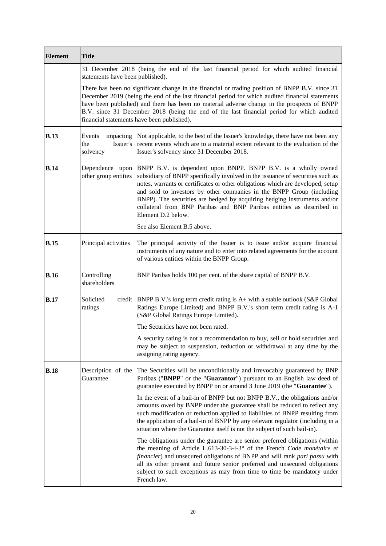| <b>Element</b> | <b>Title</b>                            |                                                                                                                                                                                                                                                                                                                                                                                                                                                                                       |
|----------------|-----------------------------------------|---------------------------------------------------------------------------------------------------------------------------------------------------------------------------------------------------------------------------------------------------------------------------------------------------------------------------------------------------------------------------------------------------------------------------------------------------------------------------------------|
|                | statements have been published).        | 31 December 2018 (being the end of the last financial period for which audited financial                                                                                                                                                                                                                                                                                                                                                                                              |
|                |                                         | There has been no significant change in the financial or trading position of BNPP B.V. since 31<br>December 2019 (being the end of the last financial period for which audited financial statements<br>have been published) and there has been no material adverse change in the prospects of BNPP<br>B.V. since 31 December 2018 (being the end of the last financial period for which audited<br>financial statements have been published).                                         |
| <b>B.13</b>    | Events<br>the<br>Issuer's<br>solvency   | impacting Not applicable, to the best of the Issuer's knowledge, there have not been any<br>recent events which are to a material extent relevant to the evaluation of the<br>Issuer's solvency since 31 December 2018.                                                                                                                                                                                                                                                               |
| B.14           | Dependence upon<br>other group entities | BNPP B.V. is dependent upon BNPP. BNPP B.V. is a wholly owned<br>subsidiary of BNPP specifically involved in the issuance of securities such as<br>notes, warrants or certificates or other obligations which are developed, setup<br>and sold to investors by other companies in the BNPP Group (including<br>BNPP). The securities are hedged by acquiring hedging instruments and/or<br>collateral from BNP Paribas and BNP Paribas entities as described in<br>Element D.2 below. |
|                |                                         | See also Element B.5 above.                                                                                                                                                                                                                                                                                                                                                                                                                                                           |
| B.15           | Principal activities                    | The principal activity of the Issuer is to issue and/or acquire financial<br>instruments of any nature and to enter into related agreements for the account<br>of various entities within the BNPP Group.                                                                                                                                                                                                                                                                             |
| <b>B.16</b>    | Controlling<br>shareholders             | BNP Paribas holds 100 per cent. of the share capital of BNPP B.V.                                                                                                                                                                                                                                                                                                                                                                                                                     |
| B.17           | Solicited<br>ratings                    | credit  BNPP B.V.'s long term credit rating is $A+$ with a stable outlook (S&P Global<br>Ratings Europe Limited) and BNPP B.V.'s short term credit rating is A-1<br>(S&P Global Ratings Europe Limited).                                                                                                                                                                                                                                                                              |
|                |                                         | The Securities have not been rated.                                                                                                                                                                                                                                                                                                                                                                                                                                                   |
|                |                                         | A security rating is not a recommendation to buy, sell or hold securities and<br>may be subject to suspension, reduction or withdrawal at any time by the<br>assigning rating agency.                                                                                                                                                                                                                                                                                                 |
| <b>B.18</b>    | Description of the<br>Guarantee         | The Securities will be unconditionally and irrevocably guaranteed by BNP<br>Paribas ("BNPP" or the "Guarantor") pursuant to an English law deed of<br>guarantee executed by BNPP on or around 3 June 2019 (the "Guarantee").                                                                                                                                                                                                                                                          |
|                |                                         | In the event of a bail-in of BNPP but not BNPP B.V., the obligations and/or<br>amounts owed by BNPP under the guarantee shall be reduced to reflect any<br>such modification or reduction applied to liabilities of BNPP resulting from<br>the application of a bail-in of BNPP by any relevant regulator (including in a<br>situation where the Guarantee itself is not the subject of such bail-in).                                                                                |
|                |                                         | The obligations under the guarantee are senior preferred obligations (within<br>the meaning of Article L.613-30-3-I-3° of the French Code monétaire et<br><i>financier</i> ) and unsecured obligations of BNPP and will rank pari passu with<br>all its other present and future senior preferred and unsecured obligations<br>subject to such exceptions as may from time to time be mandatory under<br>French law.                                                                  |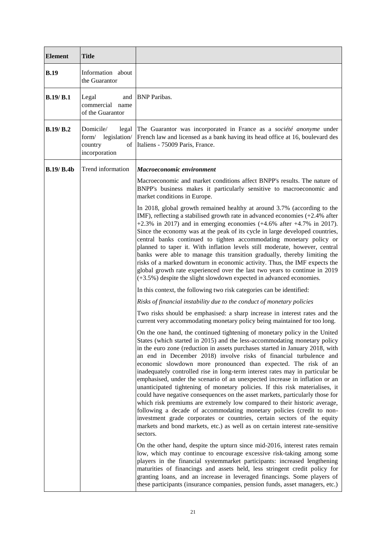| <b>Element</b> | <b>Title</b>                                           |                                                                                                                                                                                                                                                                                                                                                                                                                                                                                                                                                                                                                                                                                                                                                                                                                                                                                                                                                                                                                                                  |
|----------------|--------------------------------------------------------|--------------------------------------------------------------------------------------------------------------------------------------------------------------------------------------------------------------------------------------------------------------------------------------------------------------------------------------------------------------------------------------------------------------------------------------------------------------------------------------------------------------------------------------------------------------------------------------------------------------------------------------------------------------------------------------------------------------------------------------------------------------------------------------------------------------------------------------------------------------------------------------------------------------------------------------------------------------------------------------------------------------------------------------------------|
| <b>B.19</b>    | Information about<br>the Guarantor                     |                                                                                                                                                                                                                                                                                                                                                                                                                                                                                                                                                                                                                                                                                                                                                                                                                                                                                                                                                                                                                                                  |
| B.19/B.1       | Legal<br>and<br>commercial<br>name<br>of the Guarantor | <b>BNP</b> Paribas.                                                                                                                                                                                                                                                                                                                                                                                                                                                                                                                                                                                                                                                                                                                                                                                                                                                                                                                                                                                                                              |
| B.19/B.2       | Domicile/<br>country<br>incorporation                  | legal The Guarantor was incorporated in France as a société anonyme under<br>form/ legislation/ French law and licensed as a bank having its head office at 16, boulevard des<br>of Italiens - 75009 Paris, France.                                                                                                                                                                                                                                                                                                                                                                                                                                                                                                                                                                                                                                                                                                                                                                                                                              |
| B.19/B.4b      | Trend information                                      | Macroeconomic environment                                                                                                                                                                                                                                                                                                                                                                                                                                                                                                                                                                                                                                                                                                                                                                                                                                                                                                                                                                                                                        |
|                |                                                        | Macroeconomic and market conditions affect BNPP's results. The nature of<br>BNPP's business makes it particularly sensitive to macroeconomic and<br>market conditions in Europe.                                                                                                                                                                                                                                                                                                                                                                                                                                                                                                                                                                                                                                                                                                                                                                                                                                                                 |
|                |                                                        | In 2018, global growth remained healthy at around 3.7% (according to the<br>IMF), reflecting a stabilised growth rate in advanced economies $(+2.4\%$ after<br>$+2.3\%$ in 2017) and in emerging economies ( $+4.6\%$ after $+4.7\%$ in 2017).<br>Since the economy was at the peak of its cycle in large developed countries,<br>central banks continued to tighten accommodating monetary policy or<br>planned to taper it. With inflation levels still moderate, however, central<br>banks were able to manage this transition gradually, thereby limiting the<br>risks of a marked downturn in economic activity. Thus, the IMF expects the<br>global growth rate experienced over the last two years to continue in 2019<br>$(+3.5%)$ despite the slight slowdown expected in advanced economies.                                                                                                                                                                                                                                           |
|                |                                                        | In this context, the following two risk categories can be identified:                                                                                                                                                                                                                                                                                                                                                                                                                                                                                                                                                                                                                                                                                                                                                                                                                                                                                                                                                                            |
|                |                                                        | Risks of financial instability due to the conduct of monetary policies                                                                                                                                                                                                                                                                                                                                                                                                                                                                                                                                                                                                                                                                                                                                                                                                                                                                                                                                                                           |
|                |                                                        | Two risks should be emphasised: a sharp increase in interest rates and the<br>current very accommodating monetary policy being maintained for too long.                                                                                                                                                                                                                                                                                                                                                                                                                                                                                                                                                                                                                                                                                                                                                                                                                                                                                          |
|                |                                                        | On the one hand, the continued tightening of monetary policy in the United<br>States (which started in 2015) and the less-accommodating monetary policy<br>in the euro zone (reduction in assets purchases started in January 2018, with<br>an end in December 2018) involve risks of financial turbulence and<br>economic slowdown more pronounced than expected. The risk of an<br>inadequately controlled rise in long-term interest rates may in particular be<br>emphasised, under the scenario of an unexpected increase in inflation or an<br>unanticipated tightening of monetary policies. If this risk materialises, it<br>could have negative consequences on the asset markets, particularly those for<br>which risk premiums are extremely low compared to their historic average,<br>following a decade of accommodating monetary policies (credit to non-<br>investment grade corporates or countries, certain sectors of the equity<br>markets and bond markets, etc.) as well as on certain interest rate-sensitive<br>sectors. |
|                |                                                        | On the other hand, despite the upturn since mid-2016, interest rates remain<br>low, which may continue to encourage excessive risk-taking among some<br>players in the financial systemmarket participants: increased lengthening<br>maturities of financings and assets held, less stringent credit policy for<br>granting loans, and an increase in leveraged financings. Some players of<br>these participants (insurance companies, pension funds, asset managers, etc.)                                                                                                                                                                                                                                                                                                                                                                                                                                                                                                                                                                     |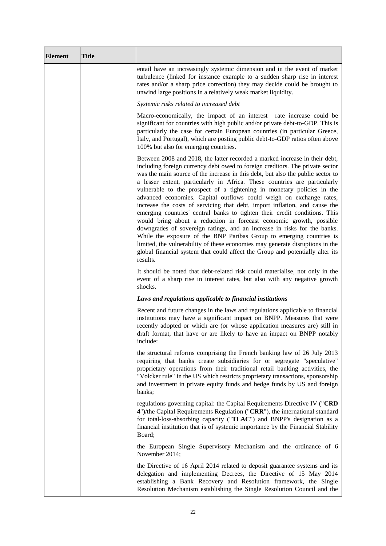| <b>Element</b> | <b>Title</b> |                                                                                                                                                                                                                                                                                                                                                                                                                                                                                                                                                                                                                                                                                                                                                                                                                                                                                                                                                                                                                                                    |
|----------------|--------------|----------------------------------------------------------------------------------------------------------------------------------------------------------------------------------------------------------------------------------------------------------------------------------------------------------------------------------------------------------------------------------------------------------------------------------------------------------------------------------------------------------------------------------------------------------------------------------------------------------------------------------------------------------------------------------------------------------------------------------------------------------------------------------------------------------------------------------------------------------------------------------------------------------------------------------------------------------------------------------------------------------------------------------------------------|
|                |              | entail have an increasingly systemic dimension and in the event of market<br>turbulence (linked for instance example to a sudden sharp rise in interest<br>rates and/or a sharp price correction) they may decide could be brought to<br>unwind large positions in a relatively weak market liquidity.                                                                                                                                                                                                                                                                                                                                                                                                                                                                                                                                                                                                                                                                                                                                             |
|                |              | Systemic risks related to increased debt                                                                                                                                                                                                                                                                                                                                                                                                                                                                                                                                                                                                                                                                                                                                                                                                                                                                                                                                                                                                           |
|                |              | Macro-economically, the impact of an interest rate increase could be<br>significant for countries with high public and/or private debt-to-GDP. This is<br>particularly the case for certain European countries (in particular Greece,<br>Italy, and Portugal), which are posting public debt-to-GDP ratios often above<br>100% but also for emerging countries.                                                                                                                                                                                                                                                                                                                                                                                                                                                                                                                                                                                                                                                                                    |
|                |              | Between 2008 and 2018, the latter recorded a marked increase in their debt,<br>including foreign currency debt owed to foreign creditors. The private sector<br>was the main source of the increase in this debt, but also the public sector to<br>a lesser extent, particularly in Africa. These countries are particularly<br>vulnerable to the prospect of a tightening in monetary policies in the<br>advanced economies. Capital outflows could weigh on exchange rates,<br>increase the costs of servicing that debt, import inflation, and cause the<br>emerging countries' central banks to tighten their credit conditions. This<br>would bring about a reduction in forecast economic growth, possible<br>downgrades of sovereign ratings, and an increase in risks for the banks.<br>While the exposure of the BNP Paribas Group to emerging countries is<br>limited, the vulnerability of these economies may generate disruptions in the<br>global financial system that could affect the Group and potentially alter its<br>results. |
|                |              | It should be noted that debt-related risk could materialise, not only in the<br>event of a sharp rise in interest rates, but also with any negative growth<br>shocks.                                                                                                                                                                                                                                                                                                                                                                                                                                                                                                                                                                                                                                                                                                                                                                                                                                                                              |
|                |              | Laws and regulations applicable to financial institutions                                                                                                                                                                                                                                                                                                                                                                                                                                                                                                                                                                                                                                                                                                                                                                                                                                                                                                                                                                                          |
|                |              | Recent and future changes in the laws and regulations applicable to financial<br>institutions may have a significant impact on BNPP. Measures that were<br>recently adopted or which are (or whose application measures are) still in<br>draft format, that have or are likely to have an impact on BNPP notably<br>include:                                                                                                                                                                                                                                                                                                                                                                                                                                                                                                                                                                                                                                                                                                                       |
|                |              | the structural reforms comprising the French banking law of 26 July 2013<br>requiring that banks create subsidiaries for or segregate "speculative"<br>proprietary operations from their traditional retail banking activities, the<br>"Volcker rule" in the US which restricts proprietary transactions, sponsorship<br>and investment in private equity funds and hedge funds by US and foreign<br>banks;                                                                                                                                                                                                                                                                                                                                                                                                                                                                                                                                                                                                                                        |
|                |              | regulations governing capital: the Capital Requirements Directive IV ("CRD<br>4")/the Capital Requirements Regulation ("CRR"), the international standard<br>for total-loss-absorbing capacity ("TLAC") and BNPP's designation as a<br>financial institution that is of systemic importance by the Financial Stability<br>Board;                                                                                                                                                                                                                                                                                                                                                                                                                                                                                                                                                                                                                                                                                                                   |
|                |              | the European Single Supervisory Mechanism and the ordinance of 6<br>November 2014;                                                                                                                                                                                                                                                                                                                                                                                                                                                                                                                                                                                                                                                                                                                                                                                                                                                                                                                                                                 |
|                |              | the Directive of 16 April 2014 related to deposit guarantee systems and its<br>delegation and implementing Decrees, the Directive of 15 May 2014<br>establishing a Bank Recovery and Resolution framework, the Single<br>Resolution Mechanism establishing the Single Resolution Council and the                                                                                                                                                                                                                                                                                                                                                                                                                                                                                                                                                                                                                                                                                                                                                   |

 $\mathsf{r}$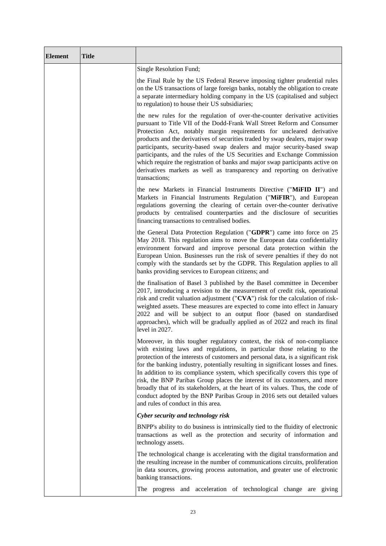| <b>Element</b> | <b>Title</b> |                                                                                                                                                                                                                                                                                                                                                                                                                                                                                                                                                                                                                                                                                                  |
|----------------|--------------|--------------------------------------------------------------------------------------------------------------------------------------------------------------------------------------------------------------------------------------------------------------------------------------------------------------------------------------------------------------------------------------------------------------------------------------------------------------------------------------------------------------------------------------------------------------------------------------------------------------------------------------------------------------------------------------------------|
|                |              | Single Resolution Fund;                                                                                                                                                                                                                                                                                                                                                                                                                                                                                                                                                                                                                                                                          |
|                |              | the Final Rule by the US Federal Reserve imposing tighter prudential rules<br>on the US transactions of large foreign banks, notably the obligation to create<br>a separate intermediary holding company in the US (capitalised and subject<br>to regulation) to house their US subsidiaries;                                                                                                                                                                                                                                                                                                                                                                                                    |
|                |              | the new rules for the regulation of over-the-counter derivative activities<br>pursuant to Title VII of the Dodd-Frank Wall Street Reform and Consumer<br>Protection Act, notably margin requirements for uncleared derivative<br>products and the derivatives of securities traded by swap dealers, major swap<br>participants, security-based swap dealers and major security-based swap<br>participants, and the rules of the US Securities and Exchange Commission<br>which require the registration of banks and major swap participants active on<br>derivatives markets as well as transparency and reporting on derivative<br>transactions;                                               |
|                |              | the new Markets in Financial Instruments Directive ("MiFID II") and<br>Markets in Financial Instruments Regulation ("MiFIR"), and European<br>regulations governing the clearing of certain over-the-counter derivative<br>products by centralised counterparties and the disclosure of securities<br>financing transactions to centralised bodies.                                                                                                                                                                                                                                                                                                                                              |
|                |              | the General Data Protection Regulation ("GDPR") came into force on 25<br>May 2018. This regulation aims to move the European data confidentiality<br>environment forward and improve personal data protection within the<br>European Union. Businesses run the risk of severe penalties if they do not<br>comply with the standards set by the GDPR. This Regulation applies to all<br>banks providing services to European citizens; and                                                                                                                                                                                                                                                        |
|                |              | the finalisation of Basel 3 published by the Basel committee in December<br>2017, introducing a revision to the measurement of credit risk, operational<br>risk and credit valuation adjustment ("CVA") risk for the calculation of risk-<br>weighted assets. These measures are expected to come into effect in January<br>2022 and will be subject to an output floor (based on standardised<br>approaches), which will be gradually applied as of 2022 and reach its final<br>level in 2027.                                                                                                                                                                                                  |
|                |              | Moreover, in this tougher regulatory context, the risk of non-compliance<br>with existing laws and regulations, in particular those relating to the<br>protection of the interests of customers and personal data, is a significant risk<br>for the banking industry, potentially resulting in significant losses and fines.<br>In addition to its compliance system, which specifically covers this type of<br>risk, the BNP Paribas Group places the interest of its customers, and more<br>broadly that of its stakeholders, at the heart of its values. Thus, the code of<br>conduct adopted by the BNP Paribas Group in 2016 sets out detailed values<br>and rules of conduct in this area. |
|                |              | Cyber security and technology risk                                                                                                                                                                                                                                                                                                                                                                                                                                                                                                                                                                                                                                                               |
|                |              | BNPP's ability to do business is intrinsically tied to the fluidity of electronic<br>transactions as well as the protection and security of information and<br>technology assets.                                                                                                                                                                                                                                                                                                                                                                                                                                                                                                                |
|                |              | The technological change is accelerating with the digital transformation and<br>the resulting increase in the number of communications circuits, proliferation<br>in data sources, growing process automation, and greater use of electronic<br>banking transactions.                                                                                                                                                                                                                                                                                                                                                                                                                            |
|                |              | The progress and acceleration of technological change are giving                                                                                                                                                                                                                                                                                                                                                                                                                                                                                                                                                                                                                                 |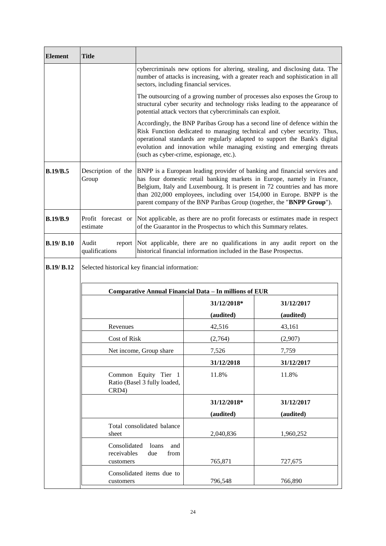| <b>Element</b>    | <b>Title</b>                                                  |                                                                                                                                                                                                                        |                                                                   |                                                                                                                                                                                                                                                                                                                                                                                   |
|-------------------|---------------------------------------------------------------|------------------------------------------------------------------------------------------------------------------------------------------------------------------------------------------------------------------------|-------------------------------------------------------------------|-----------------------------------------------------------------------------------------------------------------------------------------------------------------------------------------------------------------------------------------------------------------------------------------------------------------------------------------------------------------------------------|
|                   |                                                               | sectors, including financial services.                                                                                                                                                                                 |                                                                   | cybercriminals new options for altering, stealing, and disclosing data. The<br>number of attacks is increasing, with a greater reach and sophistication in all                                                                                                                                                                                                                    |
|                   |                                                               | The outsourcing of a growing number of processes also exposes the Group to<br>structural cyber security and technology risks leading to the appearance of<br>potential attack vectors that cybercriminals can exploit. |                                                                   |                                                                                                                                                                                                                                                                                                                                                                                   |
|                   |                                                               |                                                                                                                                                                                                                        | (such as cyber-crime, espionage, etc.).                           | Accordingly, the BNP Paribas Group has a second line of defence within the<br>Risk Function dedicated to managing technical and cyber security. Thus,<br>operational standards are regularly adapted to support the Bank's digital<br>evolution and innovation while managing existing and emerging threats                                                                       |
| B.19/B.5          | Description of the<br>Group                                   |                                                                                                                                                                                                                        |                                                                   | BNPP is a European leading provider of banking and financial services and<br>has four domestic retail banking markets in Europe, namely in France,<br>Belgium, Italy and Luxembourg. It is present in 72 countries and has more<br>than 202,000 employees, including over 154,000 in Europe. BNPP is the<br>parent company of the BNP Paribas Group (together, the "BNPP Group"). |
| <b>B.19/B.9</b>   | Profit forecast or<br>estimate                                |                                                                                                                                                                                                                        | of the Guarantor in the Prospectus to which this Summary relates. | Not applicable, as there are no profit forecasts or estimates made in respect                                                                                                                                                                                                                                                                                                     |
| <b>B.19/ B.10</b> | Audit<br>qualifications                                       | report Not applicable, there are no qualifications in any audit report on the<br>historical financial information included in the Base Prospectus.                                                                     |                                                                   |                                                                                                                                                                                                                                                                                                                                                                                   |
| <b>B.19/ B.12</b> | Selected historical key financial information:                |                                                                                                                                                                                                                        |                                                                   |                                                                                                                                                                                                                                                                                                                                                                                   |
|                   | <b>Comparative Annual Financial Data - In millions of EUR</b> |                                                                                                                                                                                                                        |                                                                   |                                                                                                                                                                                                                                                                                                                                                                                   |
|                   |                                                               |                                                                                                                                                                                                                        | 31/12/2018*                                                       | 31/12/2017                                                                                                                                                                                                                                                                                                                                                                        |
|                   |                                                               |                                                                                                                                                                                                                        | (audited)                                                         | (audited)                                                                                                                                                                                                                                                                                                                                                                         |
|                   | Revenues                                                      |                                                                                                                                                                                                                        | 42,516                                                            | 43,161                                                                                                                                                                                                                                                                                                                                                                            |
|                   | Cost of Risk                                                  |                                                                                                                                                                                                                        | (2,764)                                                           | (2,907)                                                                                                                                                                                                                                                                                                                                                                           |
|                   |                                                               | Net income, Group share                                                                                                                                                                                                | 7,526                                                             | 7,759                                                                                                                                                                                                                                                                                                                                                                             |
|                   |                                                               |                                                                                                                                                                                                                        | 31/12/2018                                                        | 31/12/2017                                                                                                                                                                                                                                                                                                                                                                        |
|                   | Common Equity Tier 1<br>Ratio (Basel 3 fully loaded,<br>CRD4) |                                                                                                                                                                                                                        | 11.8%                                                             | 11.8%                                                                                                                                                                                                                                                                                                                                                                             |
|                   |                                                               |                                                                                                                                                                                                                        | 31/12/2018*                                                       | 31/12/2017                                                                                                                                                                                                                                                                                                                                                                        |
|                   |                                                               |                                                                                                                                                                                                                        | (audited)                                                         | (audited)                                                                                                                                                                                                                                                                                                                                                                         |
|                   | sheet                                                         | Total consolidated balance                                                                                                                                                                                             | 2,040,836                                                         | 1,960,252                                                                                                                                                                                                                                                                                                                                                                         |
|                   | Consolidated<br>receivables<br>customers                      | loans<br>and<br>due<br>from                                                                                                                                                                                            | 765,871                                                           | 727,675                                                                                                                                                                                                                                                                                                                                                                           |
|                   | Consolidated items due to<br>customers                        |                                                                                                                                                                                                                        | 796,548                                                           | 766,890                                                                                                                                                                                                                                                                                                                                                                           |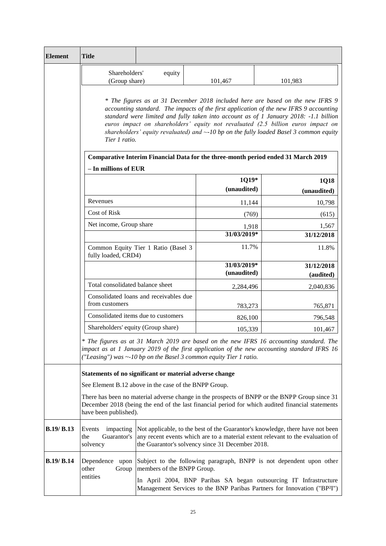| <b>Element</b>    | <b>Title</b>                                                                                                                                                                                                                                                                                                                                                                                                                                                           |                            |                                                  |                                                                                                                                                                 |
|-------------------|------------------------------------------------------------------------------------------------------------------------------------------------------------------------------------------------------------------------------------------------------------------------------------------------------------------------------------------------------------------------------------------------------------------------------------------------------------------------|----------------------------|--------------------------------------------------|-----------------------------------------------------------------------------------------------------------------------------------------------------------------|
|                   | Shareholders'<br>(Group share)                                                                                                                                                                                                                                                                                                                                                                                                                                         | equity                     | 101,467                                          | 101,983                                                                                                                                                         |
|                   | * The figures as at 31 December 2018 included here are based on the new IFRS 9<br>accounting standard. The impacts of the first application of the new IFRS 9 accounting<br>standard were limited and fully taken into account as of 1 January 2018: -1.1 billion<br>euros impact on shareholders' equity not revaluated (2.5 billion euros impact on<br>shareholders' equity revaluated) and $\sim$ -10 bp on the fully loaded Basel 3 common equity<br>Tier 1 ratio. |                            |                                                  |                                                                                                                                                                 |
|                   | Comparative Interim Financial Data for the three-month period ended 31 March 2019                                                                                                                                                                                                                                                                                                                                                                                      |                            |                                                  |                                                                                                                                                                 |
|                   | - In millions of EUR                                                                                                                                                                                                                                                                                                                                                                                                                                                   |                            | 1Q19*<br>(unaudited)                             | 1Q18<br>(unaudited)                                                                                                                                             |
|                   | Revenues                                                                                                                                                                                                                                                                                                                                                                                                                                                               |                            | 11,144                                           | 10,798                                                                                                                                                          |
|                   | <b>Cost of Risk</b>                                                                                                                                                                                                                                                                                                                                                                                                                                                    |                            | (769)                                            | (615)                                                                                                                                                           |
|                   | Net income, Group share                                                                                                                                                                                                                                                                                                                                                                                                                                                |                            | 1,918                                            | 1,567                                                                                                                                                           |
|                   |                                                                                                                                                                                                                                                                                                                                                                                                                                                                        |                            | 31/03/2019*                                      | 31/12/2018                                                                                                                                                      |
|                   | Common Equity Tier 1 Ratio (Basel 3<br>fully loaded, CRD4)                                                                                                                                                                                                                                                                                                                                                                                                             |                            | 11.7%                                            | 11.8%                                                                                                                                                           |
|                   |                                                                                                                                                                                                                                                                                                                                                                                                                                                                        |                            | 31/03/2019*<br>(unaudited)                       | 31/12/2018<br>(audited)                                                                                                                                         |
|                   | Total consolidated balance sheet                                                                                                                                                                                                                                                                                                                                                                                                                                       |                            | 2,284,496                                        | 2,040,836                                                                                                                                                       |
|                   | Consolidated loans and receivables due<br>from customers                                                                                                                                                                                                                                                                                                                                                                                                               |                            | 783,273                                          | 765,871                                                                                                                                                         |
|                   | Consolidated items due to customers                                                                                                                                                                                                                                                                                                                                                                                                                                    |                            | 826,100                                          | 796,548                                                                                                                                                         |
|                   | Shareholders' equity (Group share)                                                                                                                                                                                                                                                                                                                                                                                                                                     |                            | 105,339                                          | 101,467                                                                                                                                                         |
|                   | * The figures as at 31 March 2019 are based on the new IFRS 16 accounting standard. The<br>impact as at 1 January 2019 of the first application of the new accounting standard IFRS 16<br>("Leasing") was ~-10 bp on the Basel 3 common equity Tier 1 ratio.                                                                                                                                                                                                           |                            |                                                  |                                                                                                                                                                 |
|                   | Statements of no significant or material adverse change                                                                                                                                                                                                                                                                                                                                                                                                                |                            |                                                  |                                                                                                                                                                 |
|                   | See Element B.12 above in the case of the BNPP Group.                                                                                                                                                                                                                                                                                                                                                                                                                  |                            |                                                  |                                                                                                                                                                 |
|                   | There has been no material adverse change in the prospects of BNPP or the BNPP Group since 31<br>December 2018 (being the end of the last financial period for which audited financial statements<br>have been published).                                                                                                                                                                                                                                             |                            |                                                  |                                                                                                                                                                 |
| B.19/ B.13        | Events<br>impacting<br>Guarantor's<br>the<br>solvency                                                                                                                                                                                                                                                                                                                                                                                                                  |                            | the Guarantor's solvency since 31 December 2018. | Not applicable, to the best of the Guarantor's knowledge, there have not been<br>any recent events which are to a material extent relevant to the evaluation of |
| <b>B.19/ B.14</b> | Dependence upon<br>other<br>Group<br>entities                                                                                                                                                                                                                                                                                                                                                                                                                          | members of the BNPP Group. |                                                  | Subject to the following paragraph, BNPP is not dependent upon other<br>In April 2004, BNP Paribas SA began outsourcing IT Infrastructure                       |
|                   |                                                                                                                                                                                                                                                                                                                                                                                                                                                                        |                            |                                                  | Management Services to the BNP Paribas Partners for Innovation ("BP <sup>2</sup> I")                                                                            |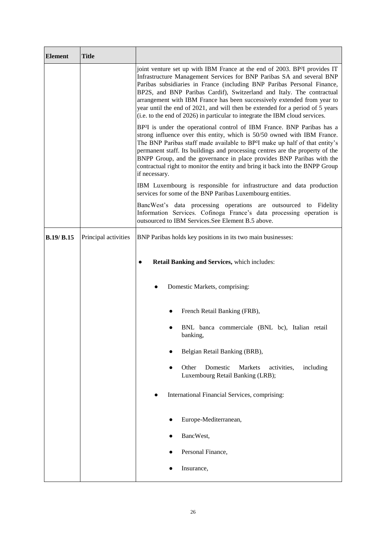| <b>Element</b>    | <b>Title</b>         |                                                                                                                                                                                                                                                                                                                                                                                                                                                                                                                                                                 |  |
|-------------------|----------------------|-----------------------------------------------------------------------------------------------------------------------------------------------------------------------------------------------------------------------------------------------------------------------------------------------------------------------------------------------------------------------------------------------------------------------------------------------------------------------------------------------------------------------------------------------------------------|--|
|                   |                      | joint venture set up with IBM France at the end of 2003. BP <sup>2</sup> I provides IT<br>Infrastructure Management Services for BNP Paribas SA and several BNP<br>Paribas subsidiaries in France (including BNP Paribas Personal Finance,<br>BP2S, and BNP Paribas Cardif), Switzerland and Italy. The contractual<br>arrangement with IBM France has been successively extended from year to<br>year until the end of 2021, and will then be extended for a period of 5 years<br>(i.e. to the end of 2026) in particular to integrate the IBM cloud services. |  |
|                   |                      | BP <sup>2</sup> I is under the operational control of IBM France. BNP Paribas has a<br>strong influence over this entity, which is 50/50 owned with IBM France.<br>The BNP Paribas staff made available to BP <sup>2</sup> I make up half of that entity's<br>permanent staff. Its buildings and processing centres are the property of the<br>BNPP Group, and the governance in place provides BNP Paribas with the<br>contractual right to monitor the entity and bring it back into the BNPP Group<br>if necessary.                                          |  |
|                   |                      | IBM Luxembourg is responsible for infrastructure and data production<br>services for some of the BNP Paribas Luxembourg entities.                                                                                                                                                                                                                                                                                                                                                                                                                               |  |
|                   |                      | BancWest's data processing operations are outsourced to Fidelity<br>Information Services. Cofinoga France's data processing operation is<br>outsourced to IBM Services. See Element B.5 above.                                                                                                                                                                                                                                                                                                                                                                  |  |
| <b>B.19/ B.15</b> | Principal activities | BNP Paribas holds key positions in its two main businesses:                                                                                                                                                                                                                                                                                                                                                                                                                                                                                                     |  |
|                   |                      | Retail Banking and Services, which includes:<br>$\bullet$                                                                                                                                                                                                                                                                                                                                                                                                                                                                                                       |  |
|                   |                      | Domestic Markets, comprising:                                                                                                                                                                                                                                                                                                                                                                                                                                                                                                                                   |  |
|                   |                      | French Retail Banking (FRB),                                                                                                                                                                                                                                                                                                                                                                                                                                                                                                                                    |  |
|                   |                      | BNL banca commerciale (BNL bc), Italian retail<br>banking,                                                                                                                                                                                                                                                                                                                                                                                                                                                                                                      |  |
|                   |                      | Belgian Retail Banking (BRB),                                                                                                                                                                                                                                                                                                                                                                                                                                                                                                                                   |  |
|                   |                      | Other<br>Domestic<br>Markets<br>activities,<br>including<br>Luxembourg Retail Banking (LRB);                                                                                                                                                                                                                                                                                                                                                                                                                                                                    |  |
|                   |                      | International Financial Services, comprising:                                                                                                                                                                                                                                                                                                                                                                                                                                                                                                                   |  |
|                   |                      | Europe-Mediterranean,                                                                                                                                                                                                                                                                                                                                                                                                                                                                                                                                           |  |
|                   |                      | BancWest,                                                                                                                                                                                                                                                                                                                                                                                                                                                                                                                                                       |  |
|                   |                      | Personal Finance,                                                                                                                                                                                                                                                                                                                                                                                                                                                                                                                                               |  |
|                   |                      | Insurance,                                                                                                                                                                                                                                                                                                                                                                                                                                                                                                                                                      |  |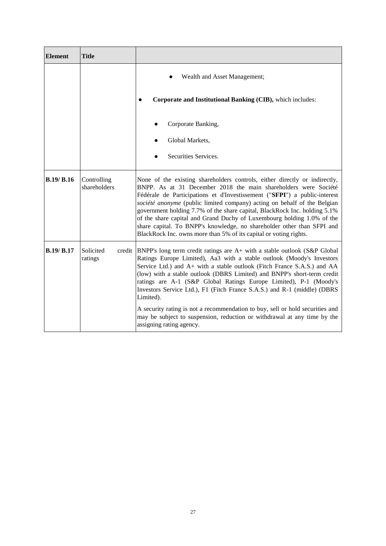| <b>Element</b>    | <b>Title</b>                |                                                                                                                                                                                                                                                                                                                                                                                                                                                                                                                                                                                                              |
|-------------------|-----------------------------|--------------------------------------------------------------------------------------------------------------------------------------------------------------------------------------------------------------------------------------------------------------------------------------------------------------------------------------------------------------------------------------------------------------------------------------------------------------------------------------------------------------------------------------------------------------------------------------------------------------|
|                   |                             | Wealth and Asset Management;                                                                                                                                                                                                                                                                                                                                                                                                                                                                                                                                                                                 |
|                   |                             | Corporate and Institutional Banking (CIB), which includes:                                                                                                                                                                                                                                                                                                                                                                                                                                                                                                                                                   |
|                   |                             | Corporate Banking,                                                                                                                                                                                                                                                                                                                                                                                                                                                                                                                                                                                           |
|                   |                             | Global Markets,                                                                                                                                                                                                                                                                                                                                                                                                                                                                                                                                                                                              |
|                   |                             | Securities Services.                                                                                                                                                                                                                                                                                                                                                                                                                                                                                                                                                                                         |
| B.19/B.16         | Controlling<br>shareholders | None of the existing shareholders controls, either directly or indirectly,<br>BNPP. As at 31 December 2018 the main shareholders were Société<br>Fédérale de Participations et d'Investissement ("SFPI") a public-interest<br>société anonyme (public limited company) acting on behalf of the Belgian<br>government holding 7.7% of the share capital, BlackRock Inc. holding 5.1%<br>of the share capital and Grand Duchy of Luxembourg holding 1.0% of the<br>share capital. To BNPP's knowledge, no shareholder other than SFPI and<br>BlackRock Inc. owns more than 5% of its capital or voting rights. |
| <b>B.19/ B.17</b> | Solicited<br>ratings        | credit BNPP's long term credit ratings are A+ with a stable outlook (S&P Global<br>Ratings Europe Limited), Aa3 with a stable outlook (Moody's Investors<br>Service Ltd.) and A+ with a stable outlook (Fitch France S.A.S.) and AA<br>(low) with a stable outlook (DBRS Limited) and BNPP's short-term credit<br>ratings are A-1 (S&P Global Ratings Europe Limited), P-1 (Moody's<br>Investors Service Ltd.), F1 (Fitch France S.A.S.) and R-1 (middle) (DBRS<br>Limited).                                                                                                                                 |
|                   |                             | A security rating is not a recommendation to buy, sell or hold securities and<br>may be subject to suspension, reduction or withdrawal at any time by the<br>assigning rating agency.                                                                                                                                                                                                                                                                                                                                                                                                                        |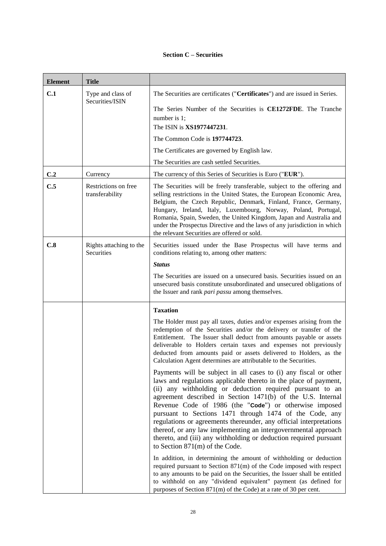# **Section C – Securities**

| <b>Element</b> | <b>Title</b>                            |                                                                                                                                                                                                                                                                                                                                                                                                                                                                                                                                                                                                                                        |
|----------------|-----------------------------------------|----------------------------------------------------------------------------------------------------------------------------------------------------------------------------------------------------------------------------------------------------------------------------------------------------------------------------------------------------------------------------------------------------------------------------------------------------------------------------------------------------------------------------------------------------------------------------------------------------------------------------------------|
| C.1            | Type and class of                       | The Securities are certificates ("Certificates") and are issued in Series.                                                                                                                                                                                                                                                                                                                                                                                                                                                                                                                                                             |
|                | Securities/ISIN                         | The Series Number of the Securities is CE1272FDE. The Tranche<br>number is 1;<br>The ISIN is XS1977447231.                                                                                                                                                                                                                                                                                                                                                                                                                                                                                                                             |
|                |                                         | The Common Code is 197744723.                                                                                                                                                                                                                                                                                                                                                                                                                                                                                                                                                                                                          |
|                |                                         | The Certificates are governed by English law.                                                                                                                                                                                                                                                                                                                                                                                                                                                                                                                                                                                          |
|                |                                         | The Securities are cash settled Securities.                                                                                                                                                                                                                                                                                                                                                                                                                                                                                                                                                                                            |
| C.2            | Currency                                | The currency of this Series of Securities is Euro ("EUR").                                                                                                                                                                                                                                                                                                                                                                                                                                                                                                                                                                             |
| C.5            | Restrictions on free<br>transferability | The Securities will be freely transferable, subject to the offering and<br>selling restrictions in the United States, the European Economic Area,<br>Belgium, the Czech Republic, Denmark, Finland, France, Germany,<br>Hungary, Ireland, Italy, Luxembourg, Norway, Poland, Portugal,<br>Romania, Spain, Sweden, the United Kingdom, Japan and Australia and<br>under the Prospectus Directive and the laws of any jurisdiction in which<br>the relevant Securities are offered or sold.                                                                                                                                              |
| C.8            | Rights attaching to the<br>Securities   | Securities issued under the Base Prospectus will have terms and<br>conditions relating to, among other matters:                                                                                                                                                                                                                                                                                                                                                                                                                                                                                                                        |
|                |                                         | <b>Status</b>                                                                                                                                                                                                                                                                                                                                                                                                                                                                                                                                                                                                                          |
|                |                                         | The Securities are issued on a unsecured basis. Securities issued on an<br>unsecured basis constitute unsubordinated and unsecured obligations of<br>the Issuer and rank <i>pari passu</i> among themselves.                                                                                                                                                                                                                                                                                                                                                                                                                           |
|                |                                         | <b>Taxation</b>                                                                                                                                                                                                                                                                                                                                                                                                                                                                                                                                                                                                                        |
|                |                                         | The Holder must pay all taxes, duties and/or expenses arising from the<br>redemption of the Securities and/or the delivery or transfer of the<br>Entitlement. The Issuer shall deduct from amounts payable or assets<br>deliverable to Holders certain taxes and expenses not previously<br>deducted from amounts paid or assets delivered to Holders, as the<br>Calculation Agent determines are attributable to the Securities.                                                                                                                                                                                                      |
|                |                                         | Payments will be subject in all cases to (i) any fiscal or other<br>laws and regulations applicable thereto in the place of payment,<br>(ii) any withholding or deduction required pursuant to an<br>agreement described in Section 1471(b) of the U.S. Internal<br>Revenue Code of 1986 (the "Code") or otherwise imposed<br>pursuant to Sections 1471 through 1474 of the Code, any<br>regulations or agreements thereunder, any official interpretations<br>thereof, or any law implementing an intergovernmental approach<br>thereto, and (iii) any withholding or deduction required pursuant<br>to Section $871(m)$ of the Code. |
|                |                                         | In addition, in determining the amount of withholding or deduction<br>required pursuant to Section $871(m)$ of the Code imposed with respect<br>to any amounts to be paid on the Securities, the Issuer shall be entitled<br>to withhold on any "dividend equivalent" payment (as defined for<br>purposes of Section 871(m) of the Code) at a rate of 30 per cent.                                                                                                                                                                                                                                                                     |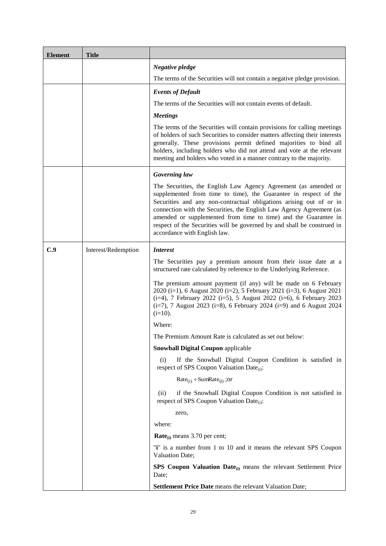| <b>Element</b> | <b>Title</b>        |                                                                                                                                                                                                                                                                                                                                                                                                                                                                  |
|----------------|---------------------|------------------------------------------------------------------------------------------------------------------------------------------------------------------------------------------------------------------------------------------------------------------------------------------------------------------------------------------------------------------------------------------------------------------------------------------------------------------|
|                |                     | Negative pledge                                                                                                                                                                                                                                                                                                                                                                                                                                                  |
|                |                     | The terms of the Securities will not contain a negative pledge provision.                                                                                                                                                                                                                                                                                                                                                                                        |
|                |                     | <b>Events of Default</b>                                                                                                                                                                                                                                                                                                                                                                                                                                         |
|                |                     | The terms of the Securities will not contain events of default.                                                                                                                                                                                                                                                                                                                                                                                                  |
|                |                     | <b>Meetings</b>                                                                                                                                                                                                                                                                                                                                                                                                                                                  |
|                |                     | The terms of the Securities will contain provisions for calling meetings<br>of holders of such Securities to consider matters affecting their interests<br>generally. These provisions permit defined majorities to bind all<br>holders, including holders who did not attend and vote at the relevant<br>meeting and holders who voted in a manner contrary to the majority.                                                                                    |
|                |                     | Governing law                                                                                                                                                                                                                                                                                                                                                                                                                                                    |
|                |                     | The Securities, the English Law Agency Agreement (as amended or<br>supplemented from time to time), the Guarantee in respect of the<br>Securities and any non-contractual obligations arising out of or in<br>connection with the Securities, the English Law Agency Agreement (as<br>amended or supplemented from time to time) and the Guarantee in<br>respect of the Securities will be governed by and shall be construed in<br>accordance with English law. |
| C.9            | Interest/Redemption | <i>Interest</i>                                                                                                                                                                                                                                                                                                                                                                                                                                                  |
|                |                     | The Securities pay a premium amount from their issue date at a<br>structured rate calculated by reference to the Underlying Reference.                                                                                                                                                                                                                                                                                                                           |
|                |                     | The premium amount payment (if any) will be made on 6 February<br>2020 (i=1), 6 August 2020 (i=2), 5 February 2021 (i=3), 6 August 2021<br>(i=4), 7 February 2022 (i=5), 5 August 2022 (i=6), 6 February 2023<br>$(i=7)$ , 7 August 2023 (i=8), 6 February 2024 (i=9) and 6 August 2024<br>$(i=10)$ .                                                                                                                                                            |
|                |                     | Where:                                                                                                                                                                                                                                                                                                                                                                                                                                                           |
|                |                     | The Premium Amount Rate is calculated as set out below:                                                                                                                                                                                                                                                                                                                                                                                                          |
|                |                     | <b>Snowball Digital Coupon applicable</b>                                                                                                                                                                                                                                                                                                                                                                                                                        |
|                |                     | If the Snowball Digital Coupon Condition is satisfied in<br>(i)<br>respect of SPS Coupon Valuation Date <sub>(i)</sub> :                                                                                                                                                                                                                                                                                                                                         |
|                |                     | $Rate_{(i)} + SumRate_{(i)}$ ; or                                                                                                                                                                                                                                                                                                                                                                                                                                |
|                |                     | if the Snowball Digital Coupon Condition is not satisfied in<br>(ii)<br>respect of SPS Coupon Valuation Date <sub>(i)</sub> :                                                                                                                                                                                                                                                                                                                                    |
|                |                     | zero,                                                                                                                                                                                                                                                                                                                                                                                                                                                            |
|                |                     | where:                                                                                                                                                                                                                                                                                                                                                                                                                                                           |
|                |                     | $Rate_{(i)}$ means 3.70 per cent;                                                                                                                                                                                                                                                                                                                                                                                                                                |
|                |                     | "i" is a number from 1 to 10 and it means the relevant SPS Coupon<br>Valuation Date;                                                                                                                                                                                                                                                                                                                                                                             |
|                |                     | SPS Coupon Valuation Date <sub>(i)</sub> means the relevant Settlement Price<br>Date;                                                                                                                                                                                                                                                                                                                                                                            |
|                |                     | Settlement Price Date means the relevant Valuation Date;                                                                                                                                                                                                                                                                                                                                                                                                         |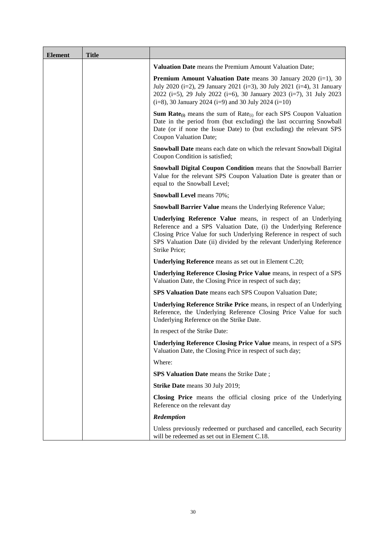| <b>Element</b> | <b>Title</b> |                                                                                                                                                                                                                                                                                                    |
|----------------|--------------|----------------------------------------------------------------------------------------------------------------------------------------------------------------------------------------------------------------------------------------------------------------------------------------------------|
|                |              | <b>Valuation Date</b> means the Premium Amount Valuation Date;                                                                                                                                                                                                                                     |
|                |              | <b>Premium Amount Valuation Date</b> means 30 January 2020 $(i=1)$ , 30<br>July 2020 (i=2), 29 January 2021 (i=3), 30 July 2021 (i=4), 31 January<br>2022 (i=5), 29 July 2022 (i=6), 30 January 2023 (i=7), 31 July 2023<br>$(i=8)$ , 30 January 2024 ( $i=9$ ) and 30 July 2024 ( $i=10$ )        |
|                |              | <b>Sum Rate</b> <sub>(i)</sub> means the sum of Rate <sub>(i)</sub> for each SPS Coupon Valuation<br>Date in the period from (but excluding) the last occurring Snowball<br>Date (or if none the Issue Date) to (but excluding) the relevant SPS<br>Coupon Valuation Date;                         |
|                |              | Snowball Date means each date on which the relevant Snowball Digital<br>Coupon Condition is satisfied;                                                                                                                                                                                             |
|                |              | <b>Snowball Digital Coupon Condition means that the Snowball Barrier</b><br>Value for the relevant SPS Coupon Valuation Date is greater than or<br>equal to the Snowball Level;                                                                                                                    |
|                |              | <b>Snowball Level</b> means 70%;                                                                                                                                                                                                                                                                   |
|                |              | <b>Snowball Barrier Value</b> means the Underlying Reference Value;                                                                                                                                                                                                                                |
|                |              | Underlying Reference Value means, in respect of an Underlying<br>Reference and a SPS Valuation Date, (i) the Underlying Reference<br>Closing Price Value for such Underlying Reference in respect of such<br>SPS Valuation Date (ii) divided by the relevant Underlying Reference<br>Strike Price; |
|                |              | <b>Underlying Reference</b> means as set out in Element C.20;                                                                                                                                                                                                                                      |
|                |              | Underlying Reference Closing Price Value means, in respect of a SPS<br>Valuation Date, the Closing Price in respect of such day;                                                                                                                                                                   |
|                |              | <b>SPS Valuation Date</b> means each SPS Coupon Valuation Date;                                                                                                                                                                                                                                    |
|                |              | <b>Underlying Reference Strike Price means, in respect of an Underlying</b><br>Reference, the Underlying Reference Closing Price Value for such<br>Underlying Reference on the Strike Date.                                                                                                        |
|                |              | In respect of the Strike Date:                                                                                                                                                                                                                                                                     |
|                |              | Underlying Reference Closing Price Value means, in respect of a SPS<br>Valuation Date, the Closing Price in respect of such day;                                                                                                                                                                   |
|                |              | Where:                                                                                                                                                                                                                                                                                             |
|                |              | <b>SPS Valuation Date</b> means the Strike Date;                                                                                                                                                                                                                                                   |
|                |              | Strike Date means 30 July 2019;                                                                                                                                                                                                                                                                    |
|                |              | Closing Price means the official closing price of the Underlying<br>Reference on the relevant day                                                                                                                                                                                                  |
|                |              | Redemption                                                                                                                                                                                                                                                                                         |
|                |              | Unless previously redeemed or purchased and cancelled, each Security<br>will be redeemed as set out in Element C.18.                                                                                                                                                                               |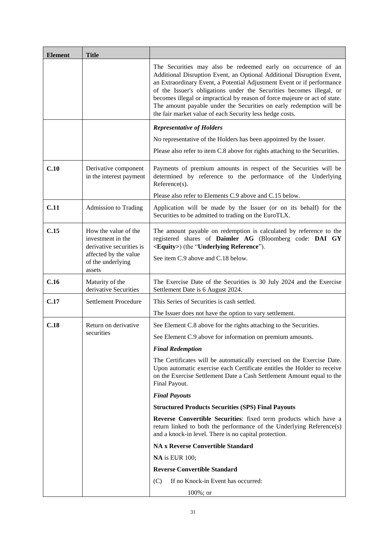| <b>Element</b> | <b>Title</b>                                                                                   |                                                                                                                                                                                                                                                                                                                                                                                                                                                                                                           |
|----------------|------------------------------------------------------------------------------------------------|-----------------------------------------------------------------------------------------------------------------------------------------------------------------------------------------------------------------------------------------------------------------------------------------------------------------------------------------------------------------------------------------------------------------------------------------------------------------------------------------------------------|
|                |                                                                                                | The Securities may also be redeemed early on occurrence of an<br>Additional Disruption Event, an Optional Additional Disruption Event,<br>an Extraordinary Event, a Potential Adjustment Event or if performance<br>of the Issuer's obligations under the Securities becomes illegal, or<br>becomes illegal or impractical by reason of force majeure or act of state.<br>The amount payable under the Securities on early redemption will be<br>the fair market value of each Security less hedge costs. |
|                |                                                                                                | <b>Representative of Holders</b>                                                                                                                                                                                                                                                                                                                                                                                                                                                                          |
|                |                                                                                                | No representative of the Holders has been appointed by the Issuer.                                                                                                                                                                                                                                                                                                                                                                                                                                        |
|                |                                                                                                | Please also refer to item C.8 above for rights attaching to the Securities.                                                                                                                                                                                                                                                                                                                                                                                                                               |
| C.10           | Derivative component<br>in the interest payment                                                | Payments of premium amounts in respect of the Securities will be<br>determined by reference to the performance of the Underlying<br>Reference(s).                                                                                                                                                                                                                                                                                                                                                         |
|                |                                                                                                | Please also refer to Elements C.9 above and C.15 below.                                                                                                                                                                                                                                                                                                                                                                                                                                                   |
| C.11           | <b>Admission to Trading</b>                                                                    | Application will be made by the Issuer (or on its behalf) for the<br>Securities to be admitted to trading on the EuroTLX.                                                                                                                                                                                                                                                                                                                                                                                 |
| C.15           | How the value of the<br>investment in the<br>derivative securities is<br>affected by the value | The amount payable on redemption is calculated by reference to the<br>registered shares of Daimler AG (Bloomberg code: DAI GY<br><equity>) (the "Underlying Reference").</equity>                                                                                                                                                                                                                                                                                                                         |
|                | of the underlying<br>assets                                                                    | See item C.9 above and C.18 below.                                                                                                                                                                                                                                                                                                                                                                                                                                                                        |
| C.16           | Maturity of the<br>derivative Securities                                                       | The Exercise Date of the Securities is 30 July 2024 and the Exercise<br>Settlement Date is 6 August 2024.                                                                                                                                                                                                                                                                                                                                                                                                 |
| C.17           | <b>Settlement Procedure</b>                                                                    | This Series of Securities is cash settled.                                                                                                                                                                                                                                                                                                                                                                                                                                                                |
|                |                                                                                                | The Issuer does not have the option to vary settlement.                                                                                                                                                                                                                                                                                                                                                                                                                                                   |
| C.18           | Return on derivative                                                                           | See Element C.8 above for the rights attaching to the Securities.                                                                                                                                                                                                                                                                                                                                                                                                                                         |
|                | securities                                                                                     | See Element C.9 above for information on premium amounts.                                                                                                                                                                                                                                                                                                                                                                                                                                                 |
|                |                                                                                                | <b>Final Redemption</b>                                                                                                                                                                                                                                                                                                                                                                                                                                                                                   |
|                |                                                                                                | The Certificates will be automatically exercised on the Exercise Date.<br>Upon automatic exercise each Certificate entitles the Holder to receive<br>on the Exercise Settlement Date a Cash Settlement Amount equal to the<br>Final Payout.                                                                                                                                                                                                                                                               |
|                |                                                                                                | <b>Final Payouts</b>                                                                                                                                                                                                                                                                                                                                                                                                                                                                                      |
|                |                                                                                                | <b>Structured Products Securities (SPS) Final Payouts</b>                                                                                                                                                                                                                                                                                                                                                                                                                                                 |
|                |                                                                                                | Reverse Convertible Securities: fixed term products which have a<br>return linked to both the performance of the Underlying Reference(s)<br>and a knock-in level. There is no capital protection.                                                                                                                                                                                                                                                                                                         |
|                |                                                                                                | <b>NA x Reverse Convertible Standard</b>                                                                                                                                                                                                                                                                                                                                                                                                                                                                  |
|                |                                                                                                | <b>NA</b> is EUR 100;                                                                                                                                                                                                                                                                                                                                                                                                                                                                                     |
|                |                                                                                                | <b>Reverse Convertible Standard</b>                                                                                                                                                                                                                                                                                                                                                                                                                                                                       |
|                |                                                                                                | If no Knock-in Event has occurred:<br>(C)                                                                                                                                                                                                                                                                                                                                                                                                                                                                 |
|                |                                                                                                | $100\%$ ; or                                                                                                                                                                                                                                                                                                                                                                                                                                                                                              |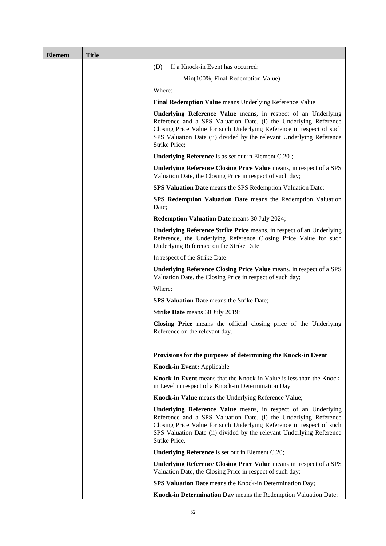| <b>Element</b> | <b>Title</b> |                                                                                                                                                                                                                                                                                                    |
|----------------|--------------|----------------------------------------------------------------------------------------------------------------------------------------------------------------------------------------------------------------------------------------------------------------------------------------------------|
|                |              | If a Knock-in Event has occurred:<br>(D)                                                                                                                                                                                                                                                           |
|                |              | Min(100%, Final Redemption Value)                                                                                                                                                                                                                                                                  |
|                |              | Where:                                                                                                                                                                                                                                                                                             |
|                |              | Final Redemption Value means Underlying Reference Value                                                                                                                                                                                                                                            |
|                |              | Underlying Reference Value means, in respect of an Underlying<br>Reference and a SPS Valuation Date, (i) the Underlying Reference<br>Closing Price Value for such Underlying Reference in respect of such<br>SPS Valuation Date (ii) divided by the relevant Underlying Reference<br>Strike Price; |
|                |              | <b>Underlying Reference</b> is as set out in Element C.20;                                                                                                                                                                                                                                         |
|                |              | <b>Underlying Reference Closing Price Value</b> means, in respect of a SPS<br>Valuation Date, the Closing Price in respect of such day;                                                                                                                                                            |
|                |              | <b>SPS Valuation Date</b> means the SPS Redemption Valuation Date;                                                                                                                                                                                                                                 |
|                |              | SPS Redemption Valuation Date means the Redemption Valuation<br>Date;                                                                                                                                                                                                                              |
|                |              | <b>Redemption Valuation Date</b> means 30 July 2024;                                                                                                                                                                                                                                               |
|                |              | <b>Underlying Reference Strike Price means, in respect of an Underlying</b><br>Reference, the Underlying Reference Closing Price Value for such<br>Underlying Reference on the Strike Date.                                                                                                        |
|                |              | In respect of the Strike Date:                                                                                                                                                                                                                                                                     |
|                |              | Underlying Reference Closing Price Value means, in respect of a SPS<br>Valuation Date, the Closing Price in respect of such day;                                                                                                                                                                   |
|                |              | Where:                                                                                                                                                                                                                                                                                             |
|                |              | <b>SPS Valuation Date</b> means the Strike Date;                                                                                                                                                                                                                                                   |
|                |              | Strike Date means 30 July 2019;                                                                                                                                                                                                                                                                    |
|                |              | Closing Price means the official closing price of the Underlying<br>Reference on the relevant day.                                                                                                                                                                                                 |
|                |              | Provisions for the purposes of determining the Knock-in Event                                                                                                                                                                                                                                      |
|                |              | <b>Knock-in Event: Applicable</b>                                                                                                                                                                                                                                                                  |
|                |              | Knock-in Event means that the Knock-in Value is less than the Knock-<br>in Level in respect of a Knock-in Determination Day                                                                                                                                                                        |
|                |              | Knock-in Value means the Underlying Reference Value;                                                                                                                                                                                                                                               |
|                |              | Underlying Reference Value means, in respect of an Underlying<br>Reference and a SPS Valuation Date, (i) the Underlying Reference<br>Closing Price Value for such Underlying Reference in respect of such<br>SPS Valuation Date (ii) divided by the relevant Underlying Reference<br>Strike Price. |
|                |              | <b>Underlying Reference</b> is set out in Element C.20;                                                                                                                                                                                                                                            |
|                |              | Underlying Reference Closing Price Value means in respect of a SPS<br>Valuation Date, the Closing Price in respect of such day;                                                                                                                                                                    |
|                |              | SPS Valuation Date means the Knock-in Determination Day;                                                                                                                                                                                                                                           |
|                |              | Knock-in Determination Day means the Redemption Valuation Date;                                                                                                                                                                                                                                    |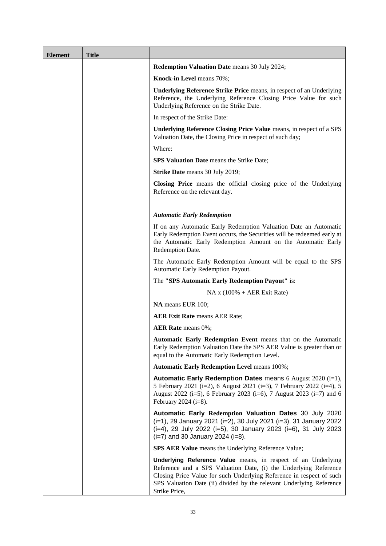| <b>Element</b> | <b>Title</b> |                                                                                                                                                                                                                                                                                                           |
|----------------|--------------|-----------------------------------------------------------------------------------------------------------------------------------------------------------------------------------------------------------------------------------------------------------------------------------------------------------|
|                |              | <b>Redemption Valuation Date</b> means 30 July 2024;                                                                                                                                                                                                                                                      |
|                |              | Knock-in Level means 70%;                                                                                                                                                                                                                                                                                 |
|                |              | <b>Underlying Reference Strike Price means, in respect of an Underlying</b><br>Reference, the Underlying Reference Closing Price Value for such<br>Underlying Reference on the Strike Date.                                                                                                               |
|                |              | In respect of the Strike Date:                                                                                                                                                                                                                                                                            |
|                |              | Underlying Reference Closing Price Value means, in respect of a SPS<br>Valuation Date, the Closing Price in respect of such day;                                                                                                                                                                          |
|                |              | Where:                                                                                                                                                                                                                                                                                                    |
|                |              | <b>SPS Valuation Date</b> means the Strike Date;                                                                                                                                                                                                                                                          |
|                |              | Strike Date means 30 July 2019;                                                                                                                                                                                                                                                                           |
|                |              | Closing Price means the official closing price of the Underlying<br>Reference on the relevant day.                                                                                                                                                                                                        |
|                |              | <b>Automatic Early Redemption</b>                                                                                                                                                                                                                                                                         |
|                |              | If on any Automatic Early Redemption Valuation Date an Automatic<br>Early Redemption Event occurs, the Securities will be redeemed early at<br>the Automatic Early Redemption Amount on the Automatic Early<br>Redemption Date.                                                                           |
|                |              | The Automatic Early Redemption Amount will be equal to the SPS<br>Automatic Early Redemption Payout.                                                                                                                                                                                                      |
|                |              | The "SPS Automatic Early Redemption Payout" is:                                                                                                                                                                                                                                                           |
|                |              | $NA x (100\% + AER \text{Exit Rate})$                                                                                                                                                                                                                                                                     |
|                |              | NA means EUR 100;                                                                                                                                                                                                                                                                                         |
|                |              | <b>AER Exit Rate</b> means AER Rate;                                                                                                                                                                                                                                                                      |
|                |              | <b>AER Rate</b> means 0%;                                                                                                                                                                                                                                                                                 |
|                |              | Automatic Early Redemption Event means that on the Automatic<br>Early Redemption Valuation Date the SPS AER Value is greater than or<br>equal to the Automatic Early Redemption Level.                                                                                                                    |
|                |              | <b>Automatic Early Redemption Level means 100%;</b>                                                                                                                                                                                                                                                       |
|                |              | Automatic Early Redemption Dates means 6 August 2020 (i=1),<br>5 February 2021 (i=2), 6 August 2021 (i=3), 7 February 2022 (i=4), 5<br>August 2022 (i=5), 6 February 2023 (i=6), 7 August 2023 (i=7) and 6<br>February 2024 ( $i=8$ ).                                                                    |
|                |              | Automatic Early Redemption Valuation Dates 30 July 2020<br>(i=1), 29 January 2021 (i=2), 30 July 2021 (i=3), 31 January 2022<br>(i=4), 29 July 2022 (i=5), 30 January 2023 (i=6), 31 July 2023<br>$(i=7)$ and 30 January 2024 $(i=8)$ .                                                                   |
|                |              | SPS AER Value means the Underlying Reference Value;                                                                                                                                                                                                                                                       |
|                |              | <b>Underlying Reference Value</b> means, in respect of an Underlying<br>Reference and a SPS Valuation Date, (i) the Underlying Reference<br>Closing Price Value for such Underlying Reference in respect of such<br>SPS Valuation Date (ii) divided by the relevant Underlying Reference<br>Strike Price, |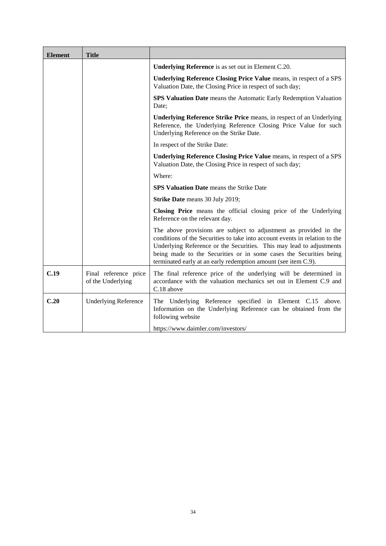| <b>Element</b> | <b>Title</b>                               |                                                                                                                                                                                                                                                                                                                                                                  |
|----------------|--------------------------------------------|------------------------------------------------------------------------------------------------------------------------------------------------------------------------------------------------------------------------------------------------------------------------------------------------------------------------------------------------------------------|
|                |                                            | <b>Underlying Reference</b> is as set out in Element C.20.                                                                                                                                                                                                                                                                                                       |
|                |                                            | Underlying Reference Closing Price Value means, in respect of a SPS<br>Valuation Date, the Closing Price in respect of such day;                                                                                                                                                                                                                                 |
|                |                                            | SPS Valuation Date means the Automatic Early Redemption Valuation<br>Date:                                                                                                                                                                                                                                                                                       |
|                |                                            | <b>Underlying Reference Strike Price means, in respect of an Underlying</b><br>Reference, the Underlying Reference Closing Price Value for such<br>Underlying Reference on the Strike Date.                                                                                                                                                                      |
|                |                                            | In respect of the Strike Date:                                                                                                                                                                                                                                                                                                                                   |
|                |                                            | Underlying Reference Closing Price Value means, in respect of a SPS<br>Valuation Date, the Closing Price in respect of such day;                                                                                                                                                                                                                                 |
|                |                                            | Where:                                                                                                                                                                                                                                                                                                                                                           |
|                |                                            | SPS Valuation Date means the Strike Date                                                                                                                                                                                                                                                                                                                         |
|                |                                            | Strike Date means 30 July 2019;                                                                                                                                                                                                                                                                                                                                  |
|                |                                            | Closing Price means the official closing price of the Underlying<br>Reference on the relevant day.                                                                                                                                                                                                                                                               |
|                |                                            | The above provisions are subject to adjustment as provided in the<br>conditions of the Securities to take into account events in relation to the<br>Underlying Reference or the Securities. This may lead to adjustments<br>being made to the Securities or in some cases the Securities being<br>terminated early at an early redemption amount (see item C.9). |
| C.19           | Final reference price<br>of the Underlying | The final reference price of the underlying will be determined in<br>accordance with the valuation mechanics set out in Element C.9 and<br>C.18 above                                                                                                                                                                                                            |
| C.20           | <b>Underlying Reference</b>                | The Underlying Reference specified in Element C.15 above.<br>Information on the Underlying Reference can be obtained from the<br>following website                                                                                                                                                                                                               |
|                |                                            | https://www.daimler.com/investors/                                                                                                                                                                                                                                                                                                                               |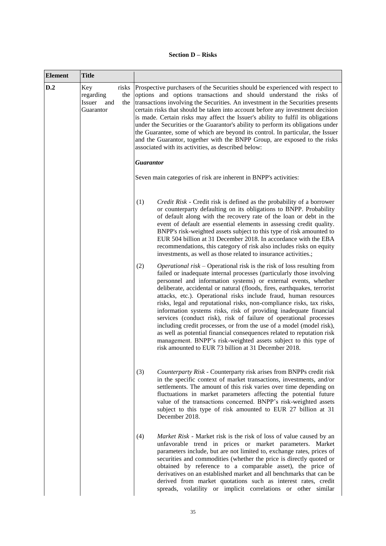# **Section D – Risks**

| <b>Element</b> | <b>Title</b>                                                          |                                                                                                                                                                                                                                                                                                                                                                                                                                                                                                                                                                                                                                                                                                                                                                                                                                                                                 |
|----------------|-----------------------------------------------------------------------|---------------------------------------------------------------------------------------------------------------------------------------------------------------------------------------------------------------------------------------------------------------------------------------------------------------------------------------------------------------------------------------------------------------------------------------------------------------------------------------------------------------------------------------------------------------------------------------------------------------------------------------------------------------------------------------------------------------------------------------------------------------------------------------------------------------------------------------------------------------------------------|
| D.2            | Key<br>risks<br>regarding<br>the<br>Issuer<br>and<br>the<br>Guarantor | Prospective purchasers of the Securities should be experienced with respect to<br>options and options transactions and should understand the risks of<br>transactions involving the Securities. An investment in the Securities presents<br>certain risks that should be taken into account before any investment decision<br>is made. Certain risks may affect the Issuer's ability to fulfil its obligations<br>under the Securities or the Guarantor's ability to perform its obligations under<br>the Guarantee, some of which are beyond its control. In particular, the Issuer<br>and the Guarantor, together with the BNPP Group, are exposed to the risks<br>associated with its activities, as described below:                                                                                                                                                        |
|                |                                                                       | <b>Guarantor</b>                                                                                                                                                                                                                                                                                                                                                                                                                                                                                                                                                                                                                                                                                                                                                                                                                                                                |
|                |                                                                       | Seven main categories of risk are inherent in BNPP's activities:                                                                                                                                                                                                                                                                                                                                                                                                                                                                                                                                                                                                                                                                                                                                                                                                                |
|                |                                                                       | (1)<br>Credit Risk - Credit risk is defined as the probability of a borrower<br>or counterparty defaulting on its obligations to BNPP. Probability<br>of default along with the recovery rate of the loan or debt in the<br>event of default are essential elements in assessing credit quality.<br>BNPP's risk-weighted assets subject to this type of risk amounted to<br>EUR 504 billion at 31 December 2018. In accordance with the EBA<br>recommendations, this category of risk also includes risks on equity<br>investments, as well as those related to insurance activities.;                                                                                                                                                                                                                                                                                          |
|                |                                                                       | <i>Operational risk</i> – Operational risk is the risk of loss resulting from<br>(2)<br>failed or inadequate internal processes (particularly those involving<br>personnel and information systems) or external events, whether<br>deliberate, accidental or natural (floods, fires, earthquakes, terrorist<br>attacks, etc.). Operational risks include fraud, human resources<br>risks, legal and reputational risks, non-compliance risks, tax risks,<br>information systems risks, risk of providing inadequate financial<br>services (conduct risk), risk of failure of operational processes<br>including credit processes, or from the use of a model (model risk),<br>as well as potential financial consequences related to reputation risk<br>management. BNPP's risk-weighted assets subject to this type of<br>risk amounted to EUR 73 billion at 31 December 2018. |
|                |                                                                       | (3)<br>Counterparty Risk - Counterparty risk arises from BNPPs credit risk<br>in the specific context of market transactions, investments, and/or<br>settlements. The amount of this risk varies over time depending on<br>fluctuations in market parameters affecting the potential future<br>value of the transactions concerned. BNPP's risk-weighted assets<br>subject to this type of risk amounted to EUR 27 billion at 31<br>December 2018.                                                                                                                                                                                                                                                                                                                                                                                                                              |
|                |                                                                       | (4)<br>Market Risk - Market risk is the risk of loss of value caused by an<br>unfavorable trend in prices or market parameters. Market<br>parameters include, but are not limited to, exchange rates, prices of<br>securities and commodities (whether the price is directly quoted or<br>obtained by reference to a comparable asset), the price of<br>derivatives on an established market and all benchmarks that can be<br>derived from market quotations such as interest rates, credit<br>spreads, volatility or implicit correlations or other similar                                                                                                                                                                                                                                                                                                                   |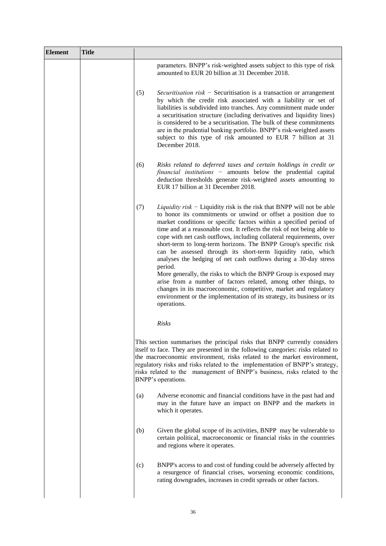| <b>Element</b> | <b>Title</b> |                                                                                                                                                                                                                                                                                                                                                                                                                                                                                                                                                                                                                                                                                                                                                                                                                                                                                                         |
|----------------|--------------|---------------------------------------------------------------------------------------------------------------------------------------------------------------------------------------------------------------------------------------------------------------------------------------------------------------------------------------------------------------------------------------------------------------------------------------------------------------------------------------------------------------------------------------------------------------------------------------------------------------------------------------------------------------------------------------------------------------------------------------------------------------------------------------------------------------------------------------------------------------------------------------------------------|
|                |              | parameters. BNPP's risk-weighted assets subject to this type of risk<br>amounted to EUR 20 billion at 31 December 2018.                                                                                                                                                                                                                                                                                                                                                                                                                                                                                                                                                                                                                                                                                                                                                                                 |
|                |              | (5)<br><i>Securitisation risk</i> – Securitisation is a transaction or arrangement<br>by which the credit risk associated with a liability or set of<br>liabilities is subdivided into tranches. Any commitment made under<br>a securitisation structure (including derivatives and liquidity lines)<br>is considered to be a securitisation. The bulk of these commitments<br>are in the prudential banking portfolio. BNPP's risk-weighted assets<br>subject to this type of risk amounted to EUR 7 billion at 31<br>December 2018.                                                                                                                                                                                                                                                                                                                                                                   |
|                |              | (6)<br>Risks related to deferred taxes and certain holdings in credit or<br>financial institutions - amounts below the prudential capital<br>deduction thresholds generate risk-weighted assets amounting to<br>EUR 17 billion at 31 December 2018.                                                                                                                                                                                                                                                                                                                                                                                                                                                                                                                                                                                                                                                     |
|                |              | <i>Liquidity risk</i> – Liquidity risk is the risk that BNPP will not be able<br>(7)<br>to honor its commitments or unwind or offset a position due to<br>market conditions or specific factors within a specified period of<br>time and at a reasonable cost. It reflects the risk of not being able to<br>cope with net cash outflows, including collateral requirements, over<br>short-term to long-term horizons. The BNPP Group's specific risk<br>can be assessed through its short-term liquidity ratio, which<br>analyses the hedging of net cash outflows during a 30-day stress<br>period.<br>More generally, the risks to which the BNPP Group is exposed may<br>arise from a number of factors related, among other things, to<br>changes in its macroeconomic, competitive, market and regulatory<br>environment or the implementation of its strategy, its business or its<br>operations. |
|                |              | Risks                                                                                                                                                                                                                                                                                                                                                                                                                                                                                                                                                                                                                                                                                                                                                                                                                                                                                                   |
|                |              | This section summarises the principal risks that BNPP currently considers<br>itself to face. They are presented in the following categories: risks related to<br>the macroeconomic environment, risks related to the market environment,<br>regulatory risks and risks related to the implementation of BNPP's strategy,<br>risks related to the management of BNPP's business, risks related to the<br>BNPP's operations.                                                                                                                                                                                                                                                                                                                                                                                                                                                                              |
|                |              | Adverse economic and financial conditions have in the past had and<br>(a)<br>may in the future have an impact on BNPP and the markets in<br>which it operates.                                                                                                                                                                                                                                                                                                                                                                                                                                                                                                                                                                                                                                                                                                                                          |
|                |              | Given the global scope of its activities, BNPP may be vulnerable to<br>(b)<br>certain political, macroeconomic or financial risks in the countries<br>and regions where it operates.                                                                                                                                                                                                                                                                                                                                                                                                                                                                                                                                                                                                                                                                                                                    |
|                |              | BNPP's access to and cost of funding could be adversely affected by<br>(c)<br>a resurgence of financial crises, worsening economic conditions,<br>rating downgrades, increases in credit spreads or other factors.                                                                                                                                                                                                                                                                                                                                                                                                                                                                                                                                                                                                                                                                                      |
|                |              |                                                                                                                                                                                                                                                                                                                                                                                                                                                                                                                                                                                                                                                                                                                                                                                                                                                                                                         |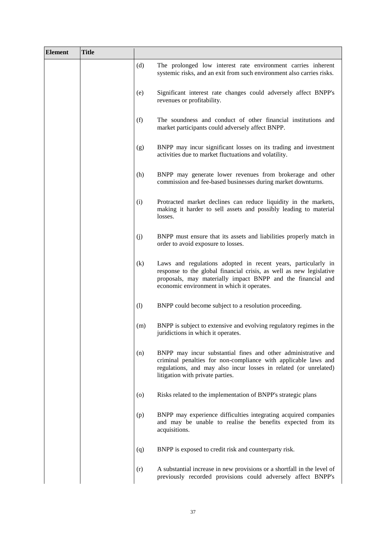| <b>Element</b> | <b>Title</b> |                    |                                                                                                                                                                                                                                                   |
|----------------|--------------|--------------------|---------------------------------------------------------------------------------------------------------------------------------------------------------------------------------------------------------------------------------------------------|
|                |              | (d)                | The prolonged low interest rate environment carries inherent<br>systemic risks, and an exit from such environment also carries risks.                                                                                                             |
|                |              | (e)                | Significant interest rate changes could adversely affect BNPP's<br>revenues or profitability.                                                                                                                                                     |
|                |              | (f)                | The soundness and conduct of other financial institutions and<br>market participants could adversely affect BNPP.                                                                                                                                 |
|                |              | (g)                | BNPP may incur significant losses on its trading and investment<br>activities due to market fluctuations and volatility.                                                                                                                          |
|                |              | (h)                | BNPP may generate lower revenues from brokerage and other<br>commission and fee-based businesses during market downturns.                                                                                                                         |
|                |              | (i)                | Protracted market declines can reduce liquidity in the markets,<br>making it harder to sell assets and possibly leading to material<br>losses.                                                                                                    |
|                |              | (j)                | BNPP must ensure that its assets and liabilities properly match in<br>order to avoid exposure to losses.                                                                                                                                          |
|                |              | (k)                | Laws and regulations adopted in recent years, particularly in<br>response to the global financial crisis, as well as new legislative<br>proposals, may materially impact BNPP and the financial and<br>economic environment in which it operates. |
|                |              | (1)                | BNPP could become subject to a resolution proceeding.                                                                                                                                                                                             |
|                |              | (m)                | BNPP is subject to extensive and evolving regulatory regimes in the<br>juridictions in which it operates.                                                                                                                                         |
|                |              | (n)                | BNPP may incur substantial fines and other administrative and<br>criminal penalties for non-compliance with applicable laws and<br>regulations, and may also incur losses in related (or unrelated)<br>litigation with private parties.           |
|                |              | $\left( 0 \right)$ | Risks related to the implementation of BNPP's strategic plans                                                                                                                                                                                     |
|                |              | (p)                | BNPP may experience difficulties integrating acquired companies<br>and may be unable to realise the benefits expected from its<br>acquisitions.                                                                                                   |
|                |              | (q)                | BNPP is exposed to credit risk and counterparty risk.                                                                                                                                                                                             |
|                |              | (r)                | A substantial increase in new provisions or a shortfall in the level of<br>previously recorded provisions could adversely affect BNPP's                                                                                                           |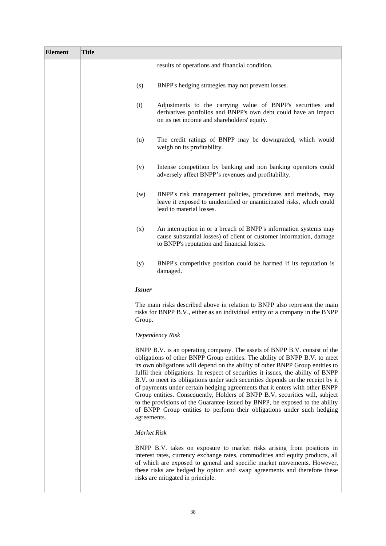| <b>Element</b> | <b>Title</b> |                                                                                                                                                                                                                                                                                                                                                                                                                                                                                                                                                                                                                                                                                                                                                          |  |
|----------------|--------------|----------------------------------------------------------------------------------------------------------------------------------------------------------------------------------------------------------------------------------------------------------------------------------------------------------------------------------------------------------------------------------------------------------------------------------------------------------------------------------------------------------------------------------------------------------------------------------------------------------------------------------------------------------------------------------------------------------------------------------------------------------|--|
|                |              | results of operations and financial condition.                                                                                                                                                                                                                                                                                                                                                                                                                                                                                                                                                                                                                                                                                                           |  |
|                |              | BNPP's hedging strategies may not prevent losses.<br>(s)                                                                                                                                                                                                                                                                                                                                                                                                                                                                                                                                                                                                                                                                                                 |  |
|                |              | Adjustments to the carrying value of BNPP's securities and<br>(t)<br>derivatives portfolios and BNPP's own debt could have an impact<br>on its net income and shareholders' equity.                                                                                                                                                                                                                                                                                                                                                                                                                                                                                                                                                                      |  |
|                |              | The credit ratings of BNPP may be downgraded, which would<br>(u)<br>weigh on its profitability.                                                                                                                                                                                                                                                                                                                                                                                                                                                                                                                                                                                                                                                          |  |
|                |              | (v)<br>Intense competition by banking and non banking operators could<br>adversely affect BNPP's revenues and profitability.                                                                                                                                                                                                                                                                                                                                                                                                                                                                                                                                                                                                                             |  |
|                |              | BNPP's risk management policies, procedures and methods, may<br>(w)<br>leave it exposed to unidentified or unanticipated risks, which could<br>lead to material losses.                                                                                                                                                                                                                                                                                                                                                                                                                                                                                                                                                                                  |  |
|                |              | An interruption in or a breach of BNPP's information systems may<br>(x)<br>cause substantial losses) of client or customer information, damage<br>to BNPP's reputation and financial losses.                                                                                                                                                                                                                                                                                                                                                                                                                                                                                                                                                             |  |
|                |              | BNPP's competitive position could be harmed if its reputation is<br>(y)<br>damaged.                                                                                                                                                                                                                                                                                                                                                                                                                                                                                                                                                                                                                                                                      |  |
|                |              | <b>Issuer</b>                                                                                                                                                                                                                                                                                                                                                                                                                                                                                                                                                                                                                                                                                                                                            |  |
|                |              | The main risks described above in relation to BNPP also represent the main<br>risks for BNPP B.V., either as an individual entity or a company in the BNPP<br>Group.                                                                                                                                                                                                                                                                                                                                                                                                                                                                                                                                                                                     |  |
|                |              | Dependency Risk                                                                                                                                                                                                                                                                                                                                                                                                                                                                                                                                                                                                                                                                                                                                          |  |
|                |              | BNPP B.V. is an operating company. The assets of BNPP B.V. consist of the<br>obligations of other BNPP Group entities. The ability of BNPP B.V. to meet<br>its own obligations will depend on the ability of other BNPP Group entities to<br>fulfil their obligations. In respect of securities it issues, the ability of BNPP<br>B.V. to meet its obligations under such securities depends on the receipt by it<br>of payments under certain hedging agreements that it enters with other BNPP<br>Group entities. Consequently, Holders of BNPP B.V. securities will, subject<br>to the provisions of the Guarantee issued by BNPP, be exposed to the ability<br>of BNPP Group entities to perform their obligations under such hedging<br>agreements. |  |
|                |              | Market Risk                                                                                                                                                                                                                                                                                                                                                                                                                                                                                                                                                                                                                                                                                                                                              |  |
|                |              | BNPP B.V. takes on exposure to market risks arising from positions in<br>interest rates, currency exchange rates, commodities and equity products, all<br>of which are exposed to general and specific market movements. However,<br>these risks are hedged by option and swap agreements and therefore these<br>risks are mitigated in principle.                                                                                                                                                                                                                                                                                                                                                                                                       |  |
|                |              |                                                                                                                                                                                                                                                                                                                                                                                                                                                                                                                                                                                                                                                                                                                                                          |  |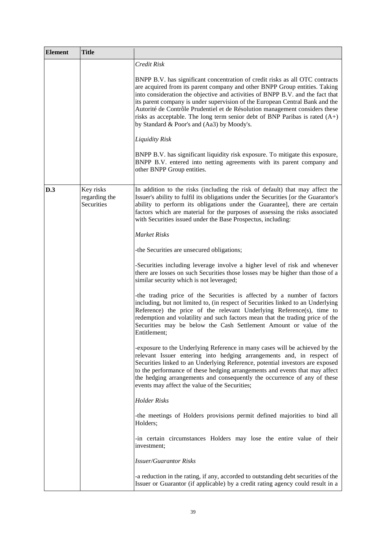| <b>Element</b> | <b>Title</b>                             |                                                                                                                                                                                                                                                                                                                                                                                                                                                                                                                                            |
|----------------|------------------------------------------|--------------------------------------------------------------------------------------------------------------------------------------------------------------------------------------------------------------------------------------------------------------------------------------------------------------------------------------------------------------------------------------------------------------------------------------------------------------------------------------------------------------------------------------------|
|                |                                          | Credit Risk                                                                                                                                                                                                                                                                                                                                                                                                                                                                                                                                |
|                |                                          | BNPP B.V. has significant concentration of credit risks as all OTC contracts<br>are acquired from its parent company and other BNPP Group entities. Taking<br>into consideration the objective and activities of BNPP B.V. and the fact that<br>its parent company is under supervision of the European Central Bank and the<br>Autorité de Contrôle Prudentiel et de Résolution management considers these<br>risks as acceptable. The long term senior debt of BNP Paribas is rated $(A+)$<br>by Standard & Poor's and (Aa3) by Moody's. |
|                |                                          | <b>Liquidity Risk</b>                                                                                                                                                                                                                                                                                                                                                                                                                                                                                                                      |
|                |                                          | BNPP B.V. has significant liquidity risk exposure. To mitigate this exposure,<br>BNPP B.V. entered into netting agreements with its parent company and<br>other BNPP Group entities.                                                                                                                                                                                                                                                                                                                                                       |
| D.3            | Key risks<br>regarding the<br>Securities | In addition to the risks (including the risk of default) that may affect the<br>Issuer's ability to fulfil its obligations under the Securities [or the Guarantor's<br>ability to perform its obligations under the Guarantee], there are certain<br>factors which are material for the purposes of assessing the risks associated<br>with Securities issued under the Base Prospectus, including:                                                                                                                                         |
|                |                                          | <b>Market Risks</b>                                                                                                                                                                                                                                                                                                                                                                                                                                                                                                                        |
|                |                                          | -the Securities are unsecured obligations;                                                                                                                                                                                                                                                                                                                                                                                                                                                                                                 |
|                |                                          | -Securities including leverage involve a higher level of risk and whenever<br>there are losses on such Securities those losses may be higher than those of a<br>similar security which is not leveraged;                                                                                                                                                                                                                                                                                                                                   |
|                |                                          | -the trading price of the Securities is affected by a number of factors<br>including, but not limited to, (in respect of Securities linked to an Underlying<br>Reference) the price of the relevant Underlying Reference(s), time to<br>redemption and volatility and such factors mean that the trading price of the<br>Securities may be below the Cash Settlement Amount or value of the<br>Entitlement;                                                                                                                                |
|                |                                          | -exposure to the Underlying Reference in many cases will be achieved by the<br>relevant Issuer entering into hedging arrangements and, in respect of<br>Securities linked to an Underlying Reference, potential investors are exposed<br>to the performance of these hedging arrangements and events that may affect<br>the hedging arrangements and consequently the occurrence of any of these<br>events may affect the value of the Securities;                                                                                         |
|                |                                          | <b>Holder Risks</b>                                                                                                                                                                                                                                                                                                                                                                                                                                                                                                                        |
|                |                                          | -the meetings of Holders provisions permit defined majorities to bind all<br>Holders;                                                                                                                                                                                                                                                                                                                                                                                                                                                      |
|                |                                          | -in certain circumstances Holders may lose the entire value of their<br>investment;                                                                                                                                                                                                                                                                                                                                                                                                                                                        |
|                |                                          | <b>Issuer/Guarantor Risks</b>                                                                                                                                                                                                                                                                                                                                                                                                                                                                                                              |
|                |                                          | -a reduction in the rating, if any, accorded to outstanding debt securities of the<br>Issuer or Guarantor (if applicable) by a credit rating agency could result in a                                                                                                                                                                                                                                                                                                                                                                      |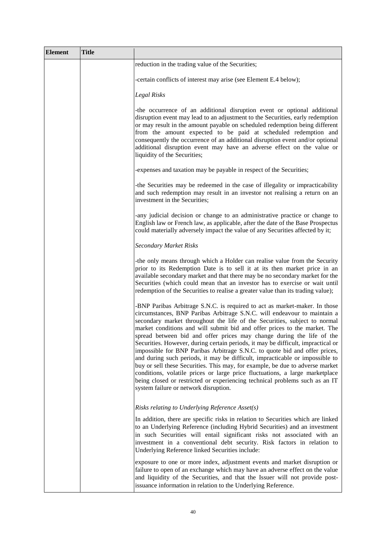| <b>Element</b> | <b>Title</b> |                                                                                                                                                                                                                                                                                                                                                                                                                                                                                                                                                                                                                                                                                                                                                                                                                                                                                                                                      |
|----------------|--------------|--------------------------------------------------------------------------------------------------------------------------------------------------------------------------------------------------------------------------------------------------------------------------------------------------------------------------------------------------------------------------------------------------------------------------------------------------------------------------------------------------------------------------------------------------------------------------------------------------------------------------------------------------------------------------------------------------------------------------------------------------------------------------------------------------------------------------------------------------------------------------------------------------------------------------------------|
|                |              | reduction in the trading value of the Securities;                                                                                                                                                                                                                                                                                                                                                                                                                                                                                                                                                                                                                                                                                                                                                                                                                                                                                    |
|                |              | -certain conflicts of interest may arise (see Element E.4 below);                                                                                                                                                                                                                                                                                                                                                                                                                                                                                                                                                                                                                                                                                                                                                                                                                                                                    |
|                |              | Legal Risks                                                                                                                                                                                                                                                                                                                                                                                                                                                                                                                                                                                                                                                                                                                                                                                                                                                                                                                          |
|                |              | -the occurrence of an additional disruption event or optional additional<br>disruption event may lead to an adjustment to the Securities, early redemption<br>or may result in the amount payable on scheduled redemption being different<br>from the amount expected to be paid at scheduled redemption and<br>consequently the occurrence of an additional disruption event and/or optional<br>additional disruption event may have an adverse effect on the value or<br>liquidity of the Securities;                                                                                                                                                                                                                                                                                                                                                                                                                              |
|                |              | -expenses and taxation may be payable in respect of the Securities;                                                                                                                                                                                                                                                                                                                                                                                                                                                                                                                                                                                                                                                                                                                                                                                                                                                                  |
|                |              | -the Securities may be redeemed in the case of illegality or impracticability<br>and such redemption may result in an investor not realising a return on an<br>investment in the Securities;                                                                                                                                                                                                                                                                                                                                                                                                                                                                                                                                                                                                                                                                                                                                         |
|                |              | -any judicial decision or change to an administrative practice or change to<br>English law or French law, as applicable, after the date of the Base Prospectus<br>could materially adversely impact the value of any Securities affected by it;                                                                                                                                                                                                                                                                                                                                                                                                                                                                                                                                                                                                                                                                                      |
|                |              | <b>Secondary Market Risks</b>                                                                                                                                                                                                                                                                                                                                                                                                                                                                                                                                                                                                                                                                                                                                                                                                                                                                                                        |
|                |              | -the only means through which a Holder can realise value from the Security<br>prior to its Redemption Date is to sell it at its then market price in an<br>available secondary market and that there may be no secondary market for the<br>Securities (which could mean that an investor has to exercise or wait until<br>redemption of the Securities to realise a greater value than its trading value);                                                                                                                                                                                                                                                                                                                                                                                                                                                                                                                           |
|                |              | -BNP Paribas Arbitrage S.N.C. is required to act as market-maker. In those<br>circumstances, BNP Paribas Arbitrage S.N.C. will endeavour to maintain a<br>secondary market throughout the life of the Securities, subject to normal<br>market conditions and will submit bid and offer prices to the market. The<br>spread between bid and offer prices may change during the life of the<br>Securities. However, during certain periods, it may be difficult, impractical or<br>impossible for BNP Paribas Arbitrage S.N.C. to quote bid and offer prices,<br>and during such periods, it may be difficult, impracticable or impossible to<br>buy or sell these Securities. This may, for example, be due to adverse market<br>conditions, volatile prices or large price fluctuations, a large marketplace<br>being closed or restricted or experiencing technical problems such as an IT<br>system failure or network disruption. |
|                |              | Risks relating to Underlying Reference Asset(s)                                                                                                                                                                                                                                                                                                                                                                                                                                                                                                                                                                                                                                                                                                                                                                                                                                                                                      |
|                |              | In addition, there are specific risks in relation to Securities which are linked<br>to an Underlying Reference (including Hybrid Securities) and an investment<br>in such Securities will entail significant risks not associated with an<br>investment in a conventional debt security. Risk factors in relation to<br>Underlying Reference linked Securities include:                                                                                                                                                                                                                                                                                                                                                                                                                                                                                                                                                              |
|                |              | exposure to one or more index, adjustment events and market disruption or<br>failure to open of an exchange which may have an adverse effect on the value<br>and liquidity of the Securities, and that the Issuer will not provide post-<br>issuance information in relation to the Underlying Reference.                                                                                                                                                                                                                                                                                                                                                                                                                                                                                                                                                                                                                            |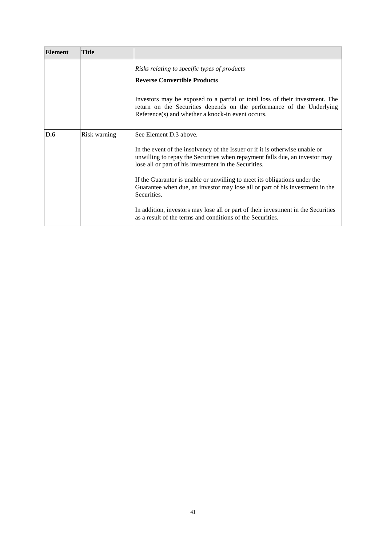| <b>Element</b> | <b>Title</b> |                                                                                                                                                                                                                      |
|----------------|--------------|----------------------------------------------------------------------------------------------------------------------------------------------------------------------------------------------------------------------|
|                |              | Risks relating to specific types of products<br><b>Reverse Convertible Products</b>                                                                                                                                  |
|                |              | Investors may be exposed to a partial or total loss of their investment. The<br>return on the Securities depends on the performance of the Underlying<br>Reference(s) and whether a knock-in event occurs.           |
| D.6            | Risk warning | See Element D.3 above.                                                                                                                                                                                               |
|                |              | In the event of the insolvency of the Issuer or if it is otherwise unable or<br>unwilling to repay the Securities when repayment falls due, an investor may<br>lose all or part of his investment in the Securities. |
|                |              | If the Guarantor is unable or unwilling to meet its obligations under the<br>Guarantee when due, an investor may lose all or part of his investment in the<br>Securities.                                            |
|                |              | In addition, investors may lose all or part of their investment in the Securities<br>as a result of the terms and conditions of the Securities.                                                                      |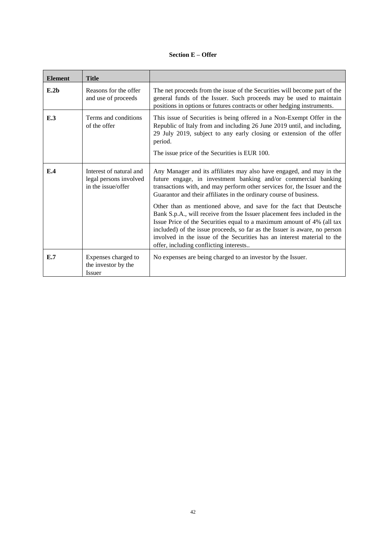# **Section E – Offer**

| <b>Element</b>   | <b>Title</b>                                                            |                                                                                                                                                                                                                                                                                                                                                                                                                            |
|------------------|-------------------------------------------------------------------------|----------------------------------------------------------------------------------------------------------------------------------------------------------------------------------------------------------------------------------------------------------------------------------------------------------------------------------------------------------------------------------------------------------------------------|
| E.2 <sub>b</sub> | Reasons for the offer<br>and use of proceeds                            | The net proceeds from the issue of the Securities will become part of the<br>general funds of the Issuer. Such proceeds may be used to maintain<br>positions in options or futures contracts or other hedging instruments.                                                                                                                                                                                                 |
| E.3              | Terms and conditions<br>of the offer                                    | This issue of Securities is being offered in a Non-Exempt Offer in the<br>Republic of Italy from and including 26 June 2019 until, and including,<br>29 July 2019, subject to any early closing or extension of the offer<br>period.<br>The issue price of the Securities is EUR 100.                                                                                                                                      |
| E.4              | Interest of natural and<br>legal persons involved<br>in the issue/offer | Any Manager and its affiliates may also have engaged, and may in the<br>future engage, in investment banking and/or commercial banking<br>transactions with, and may perform other services for, the Issuer and the<br>Guarantor and their affiliates in the ordinary course of business.                                                                                                                                  |
|                  |                                                                         | Other than as mentioned above, and save for the fact that Deutsche<br>Bank S.p.A., will receive from the Issuer placement fees included in the<br>Issue Price of the Securities equal to a maximum amount of 4% (all tax<br>included) of the issue proceeds, so far as the Issuer is aware, no person<br>involved in the issue of the Securities has an interest material to the<br>offer, including conflicting interests |
| E.7              | Expenses charged to<br>the investor by the<br><b>Issuer</b>             | No expenses are being charged to an investor by the Issuer.                                                                                                                                                                                                                                                                                                                                                                |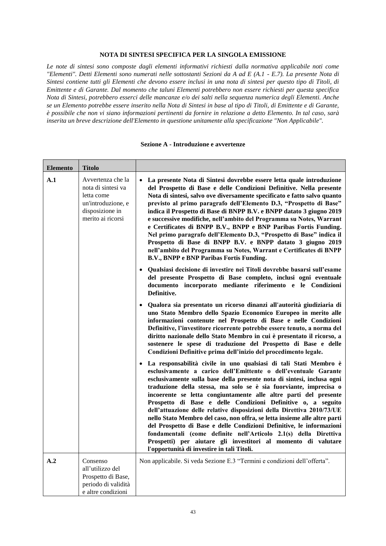#### **NOTA DI SINTESI SPECIFICA PER LA SINGOLA EMISSIONE**

*Le note di sintesi sono composte dagli elementi informativi richiesti dalla normativa applicabile noti come "Elementi". Detti Elementi sono numerati nelle sottostanti Sezioni da A ad E (A.1 - E.7). La presente Nota di Sintesi contiene tutti gli Elementi che devono essere inclusi in una nota di sintesi per questo tipo di Titoli, di Emittente e di Garante. Dal momento che taluni Elementi potrebbero non essere richiesti per questa specifica Nota di Sintesi, potrebbero esserci delle mancanze e/o dei salti nella sequenza numerica degli Elementi. Anche se un Elemento potrebbe essere inserito nella Nota di Sintesi in base al tipo di Titoli, di Emittente e di Garante, è possibile che non vi siano informazioni pertinenti da fornire in relazione a detto Elemento. In tal caso, sarà inserita un breve descrizione dell'Elemento in questione unitamente alla specificazione "Non Applicabile".*

| <b>Elemento</b> | <b>Titolo</b>                                                                                                       |                                                                                                                                                                                                                                                                                                                                                                                                                                                                                                                                                                                                                                                                                                                                                                                                                                            |
|-----------------|---------------------------------------------------------------------------------------------------------------------|--------------------------------------------------------------------------------------------------------------------------------------------------------------------------------------------------------------------------------------------------------------------------------------------------------------------------------------------------------------------------------------------------------------------------------------------------------------------------------------------------------------------------------------------------------------------------------------------------------------------------------------------------------------------------------------------------------------------------------------------------------------------------------------------------------------------------------------------|
| A.1             | Avvertenza che la<br>nota di sintesi va<br>letta come<br>un'introduzione, e<br>disposizione in<br>merito ai ricorsi | La presente Nota di Sintesi dovrebbe essere letta quale introduzione<br>$\bullet$<br>del Prospetto di Base e delle Condizioni Definitive. Nella presente<br>Nota di sintesi, salvo ove diversamente specificato e fatto salvo quanto<br>previsto al primo paragrafo dell'Elemento D.3, "Prospetto di Base"<br>indica il Prospetto di Base di BNPP B.V. e BNPP datato 3 giugno 2019<br>e successive modifiche, nell'ambito del Programma su Notes, Warrant<br>e Certificates di BNPP B.V., BNPP e BNP Paribas Fortis Funding.<br>Nel primo paragrafo dell'Elemento D.3, "Prospetto di Base" indica il<br>Prospetto di Base di BNPP B.V. e BNPP datato 3 giugno 2019<br>nell'ambito del Programma su Notes, Warrant e Certificates di BNPP<br>B.V., BNPP e BNP Paribas Fortis Funding.                                                       |
|                 |                                                                                                                     | • Qualsiasi decisione di investire nei Titoli dovrebbe basarsi sull'esame<br>del presente Prospetto di Base completo, inclusi ogni eventuale<br>documento incorporato mediante riferimento e le Condizioni<br>Definitive.                                                                                                                                                                                                                                                                                                                                                                                                                                                                                                                                                                                                                  |
|                 |                                                                                                                     | · Qualora sia presentato un ricorso dinanzi all'autorità giudiziaria di<br>uno Stato Membro dello Spazio Economico Europeo in merito alle<br>informazioni contenute nel Prospetto di Base e nelle Condizioni<br>Definitive, l'investitore ricorrente potrebbe essere tenuto, a norma del<br>diritto nazionale dello Stato Membro in cui è presentato il ricorso, a<br>sostenere le spese di traduzione del Prospetto di Base e delle<br>Condizioni Definitive prima dell'inizio del procedimento legale.                                                                                                                                                                                                                                                                                                                                   |
|                 |                                                                                                                     | · La responsabilità civile in uno qualsiasi di tali Stati Membro è<br>esclusivamente a carico dell'Emittente o dell'eventuale Garante<br>esclusivamente sulla base della presente nota di sintesi, inclusa ogni<br>traduzione della stessa, ma solo se è sia fuorviante, imprecisa o<br>incoerente se letta congiuntamente alle altre parti del presente<br>Prospetto di Base e delle Condizioni Definitive o, a seguito<br>dell'attuazione delle relative disposizioni della Direttiva 2010/73/UE<br>nello Stato Membro del caso, non offra, se letta insieme alle altre parti<br>del Prospetto di Base e delle Condizioni Definitive, le informazioni<br>fondamentali (come definite nell'Articolo 2.1(s) della Direttiva<br>Prospetti) per aiutare gli investitori al momento di valutare<br>l'opportunità di investire in tali Titoli. |
| A.2             | Consenso<br>all'utilizzo del<br>Prospetto di Base,<br>periodo di validità<br>e altre condizioni                     | Non applicabile. Si veda Sezione E.3 "Termini e condizioni dell'offerta".                                                                                                                                                                                                                                                                                                                                                                                                                                                                                                                                                                                                                                                                                                                                                                  |

#### **Sezione A - Introduzione e avvertenze**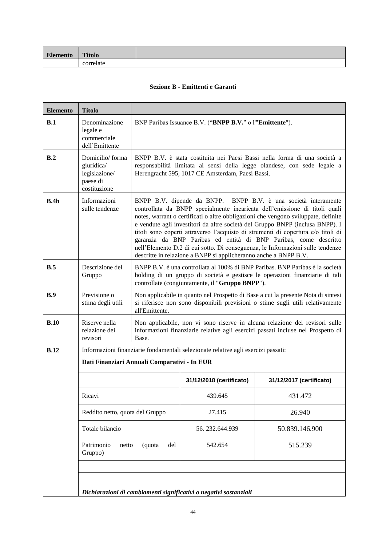| Elemento | <b>Titolo</b> |  |
|----------|---------------|--|
|          |               |  |

# **Sezione B - Emittenti e Garanti**

| <b>Elemento</b> | <b>Titolo</b>                                                                                                                     |                                                                                                                                                                                                                                                                                                                                                                                                                                                                                                                                                                                                                                    |                                                                                                                                                                                                           |                                                                                                                                                                     |  |
|-----------------|-----------------------------------------------------------------------------------------------------------------------------------|------------------------------------------------------------------------------------------------------------------------------------------------------------------------------------------------------------------------------------------------------------------------------------------------------------------------------------------------------------------------------------------------------------------------------------------------------------------------------------------------------------------------------------------------------------------------------------------------------------------------------------|-----------------------------------------------------------------------------------------------------------------------------------------------------------------------------------------------------------|---------------------------------------------------------------------------------------------------------------------------------------------------------------------|--|
| B.1             | Denominazione<br>legale e<br>commerciale<br>dell'Emittente                                                                        | BNP Paribas Issuance B.V. ("BNPP B.V." o l'"Emittente").                                                                                                                                                                                                                                                                                                                                                                                                                                                                                                                                                                           |                                                                                                                                                                                                           |                                                                                                                                                                     |  |
| B.2             | Domicilio/forma<br>giuridica/<br>legislazione/<br>paese di<br>costituzione                                                        |                                                                                                                                                                                                                                                                                                                                                                                                                                                                                                                                                                                                                                    | BNPP B.V. è stata costituita nei Paesi Bassi nella forma di una società a<br>responsabilità limitata ai sensi della legge olandese, con sede legale a<br>Herengracht 595, 1017 CE Amsterdam, Paesi Bassi. |                                                                                                                                                                     |  |
| B.4b            | Informazioni<br>sulle tendenze                                                                                                    | BNPP B.V. dipende da BNPP. BNPP B.V. è una società interamente<br>controllata da BNPP specialmente incaricata dell'emissione di titoli quali<br>notes, warrant o certificati o altre obbligazioni che vengono sviluppate, definite<br>e vendute agli investitori da altre società del Gruppo BNPP (inclusa BNPP). I<br>titoli sono coperti attraverso l'acquisto di strumenti di copertura e/o titoli di<br>garanzia da BNP Paribas ed entità di BNP Paribas, come descritto<br>nell'Elemento D.2 di cui sotto. Di conseguenza, le Informazioni sulle tendenze<br>descritte in relazione a BNPP si applicheranno anche a BNPP B.V. |                                                                                                                                                                                                           |                                                                                                                                                                     |  |
| B.5             | Descrizione del<br>Gruppo                                                                                                         | BNPP B.V. è una controllata al 100% di BNP Paribas. BNP Paribas è la società<br>holding di un gruppo di società e gestisce le operazioni finanziarie di tali<br>controllate (congiuntamente, il "Gruppo BNPP").                                                                                                                                                                                                                                                                                                                                                                                                                    |                                                                                                                                                                                                           |                                                                                                                                                                     |  |
| B.9             | Previsione o<br>stima degli utili                                                                                                 | all'Emittente.                                                                                                                                                                                                                                                                                                                                                                                                                                                                                                                                                                                                                     |                                                                                                                                                                                                           | Non applicabile in quanto nel Prospetto di Base a cui la presente Nota di sintesi<br>si riferisce non sono disponibili previsioni o stime sugli utili relativamente |  |
| B.10            | Riserve nella<br>relazione dei<br>revisori                                                                                        | Non applicabile, non vi sono riserve in alcuna relazione dei revisori sulle<br>informazioni finanziarie relative agli esercizi passati incluse nel Prospetto di<br>Base.                                                                                                                                                                                                                                                                                                                                                                                                                                                           |                                                                                                                                                                                                           |                                                                                                                                                                     |  |
| B.12            | Informazioni finanziarie fondamentali selezionate relative agli esercizi passati:<br>Dati Finanziari Annuali Comparativi - In EUR |                                                                                                                                                                                                                                                                                                                                                                                                                                                                                                                                                                                                                                    |                                                                                                                                                                                                           |                                                                                                                                                                     |  |
|                 |                                                                                                                                   |                                                                                                                                                                                                                                                                                                                                                                                                                                                                                                                                                                                                                                    | 31/12/2018 (certificato)                                                                                                                                                                                  | 31/12/2017 (certificato)                                                                                                                                            |  |
|                 | Ricavi                                                                                                                            |                                                                                                                                                                                                                                                                                                                                                                                                                                                                                                                                                                                                                                    | 439.645                                                                                                                                                                                                   | 431.472                                                                                                                                                             |  |
|                 | Reddito netto, quota del Gruppo                                                                                                   |                                                                                                                                                                                                                                                                                                                                                                                                                                                                                                                                                                                                                                    | 27.415                                                                                                                                                                                                    | 26.940                                                                                                                                                              |  |
|                 | Totale bilancio                                                                                                                   |                                                                                                                                                                                                                                                                                                                                                                                                                                                                                                                                                                                                                                    | 56.232.644.939                                                                                                                                                                                            | 50.839.146.900                                                                                                                                                      |  |
|                 | Patrimonio<br>(quota<br>del<br>netto<br>Gruppo)                                                                                   |                                                                                                                                                                                                                                                                                                                                                                                                                                                                                                                                                                                                                                    | 542.654                                                                                                                                                                                                   | 515.239                                                                                                                                                             |  |
|                 |                                                                                                                                   |                                                                                                                                                                                                                                                                                                                                                                                                                                                                                                                                                                                                                                    |                                                                                                                                                                                                           |                                                                                                                                                                     |  |
|                 |                                                                                                                                   |                                                                                                                                                                                                                                                                                                                                                                                                                                                                                                                                                                                                                                    | Dichiarazioni di cambiamenti significativi o negativi sostanziali                                                                                                                                         |                                                                                                                                                                     |  |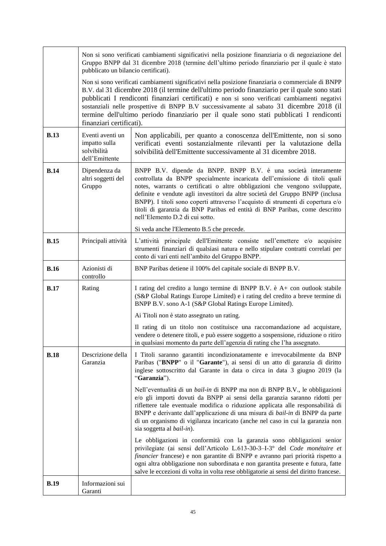|             | Non si sono verificati cambiamenti significativi nella posizione finanziaria o di negoziazione del<br>Gruppo BNPP dal 31 dicembre 2018 (termine dell'ultimo periodo finanziario per il quale è stato<br>pubblicato un bilancio certificati). |                                                                                                                                                                                                                                                                                                                                                                                                                                                                                                                  |  |
|-------------|----------------------------------------------------------------------------------------------------------------------------------------------------------------------------------------------------------------------------------------------|------------------------------------------------------------------------------------------------------------------------------------------------------------------------------------------------------------------------------------------------------------------------------------------------------------------------------------------------------------------------------------------------------------------------------------------------------------------------------------------------------------------|--|
|             | finanziari certificati).                                                                                                                                                                                                                     | Non si sono verificati cambiamenti significativi nella posizione finanziaria o commerciale di BNPP<br>B.V. dal 31 dicembre 2018 (il termine dell'ultimo periodo finanziario per il quale sono stati<br>pubblicati I rendiconti finanziari certificati) e non si sono verificati cambiamenti negativi<br>sostanziali nelle prospettive di BNPP B.V successivamente al sabato 31 dicembre 2018 (il<br>termine dell'ultimo periodo finanziario per il quale sono stati pubblicati I rendiconti                      |  |
| <b>B.13</b> | Eventi aventi un<br>impatto sulla<br>solvibilità<br>dell'Emittente                                                                                                                                                                           | Non applicabili, per quanto a conoscenza dell'Emittente, non si sono<br>verificati eventi sostanzialmente rilevanti per la valutazione della<br>solvibilità dell'Emittente successivamente al 31 dicembre 2018.                                                                                                                                                                                                                                                                                                  |  |
| <b>B.14</b> | Dipendenza da<br>altri soggetti del<br>Gruppo                                                                                                                                                                                                | BNPP B.V. dipende da BNPP. BNPP B.V. è una società interamente<br>controllata da BNPP specialmente incaricata dell'emissione di titoli quali<br>notes, warrants o certificati o altre obbligazioni che vengono sviluppate,<br>definite e vendute agli investitori da altre società del Gruppo BNPP (inclusa<br>BNPP). I titoli sono coperti attraverso l'acquisto di strumenti di copertura e/o<br>titoli di garanzia da BNP Paribas ed entità di BNP Paribas, come descritto<br>nell'Elemento D.2 di cui sotto. |  |
|             |                                                                                                                                                                                                                                              | Si veda anche l'Elemento B.5 che precede.                                                                                                                                                                                                                                                                                                                                                                                                                                                                        |  |
| <b>B.15</b> | Principali attività                                                                                                                                                                                                                          | L'attività principale dell'Emittente consiste nell'emettere e/o acquisire<br>strumenti finanziari di qualsiasi natura e nello stipulare contratti correlati per<br>conto di vari enti nell'ambito del Gruppo BNPP.                                                                                                                                                                                                                                                                                               |  |
| <b>B.16</b> | Azionisti di<br>controllo                                                                                                                                                                                                                    | BNP Paribas detiene il 100% del capitale sociale di BNPP B.V.                                                                                                                                                                                                                                                                                                                                                                                                                                                    |  |
| <b>B.17</b> | Rating                                                                                                                                                                                                                                       | I rating del credito a lungo termine di BNPP B.V. è A+ con outlook stabile<br>(S&P Global Ratings Europe Limited) e i rating del credito a breve termine di<br>BNPP B.V. sono A-1 (S&P Global Ratings Europe Limited).                                                                                                                                                                                                                                                                                           |  |
|             |                                                                                                                                                                                                                                              | Ai Titoli non è stato assegnato un rating.                                                                                                                                                                                                                                                                                                                                                                                                                                                                       |  |
|             |                                                                                                                                                                                                                                              | Il rating di un titolo non costituisce una raccomandazione ad acquistare,<br>vendere o detenere titoli, e può essere soggetto a sospensione, riduzione o ritiro<br>in qualsiasi momento da parte dell'agenzia di rating che l'ha assegnato.                                                                                                                                                                                                                                                                      |  |
| <b>B.18</b> | Descrizione della<br>Garanzia                                                                                                                                                                                                                | I Titoli saranno garantiti incondizionatamente e irrevocabilmente da BNP<br>Paribas ("BNPP" o il "Garante"), ai sensi di un atto di garanzia di diritto<br>inglese sottoscritto dal Garante in data o circa in data 3 giugno 2019 (la<br>"Garanzia").                                                                                                                                                                                                                                                            |  |
|             |                                                                                                                                                                                                                                              | Nell'eventualità di un <i>bail-in</i> di BNPP ma non di BNPP B.V., le obbligazioni<br>e/o gli importi dovuti da BNPP ai sensi della garanzia saranno ridotti per<br>riflettere tale eventuale modifica o riduzione applicata alle responsabilità di<br>BNPP e derivante dall'applicazione di una misura di <i>bail-in</i> di BNPP da parte<br>di un organismo di vigilanza incaricato (anche nel caso in cui la garanzia non<br>sia soggetta al bail-in).                                                        |  |
|             |                                                                                                                                                                                                                                              | Le obbligazioni in conformità con la garanzia sono obbligazioni senior<br>privilegiate (ai sensi dell'Articolo L.613-30-3-I-3° del Code monétaire et<br>financier francese) e non garantite di BNPP e avranno pari priorità rispetto a<br>ogni altra obbligazione non subordinata e non garantita presente e futura, fatte<br>salve le eccezioni di volta in volta rese obbligatorie ai sensi del diritto francese.                                                                                              |  |
| <b>B.19</b> | Informazioni sui<br>Garanti                                                                                                                                                                                                                  |                                                                                                                                                                                                                                                                                                                                                                                                                                                                                                                  |  |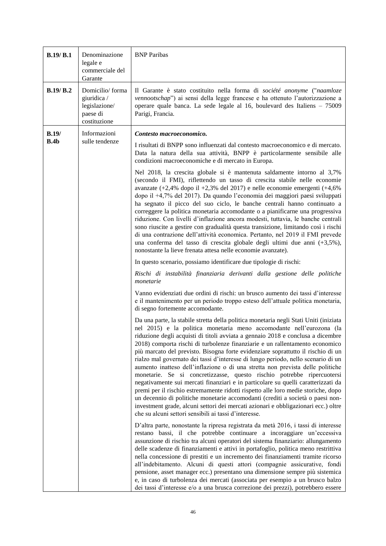| B.19/B.1      | Denominazione<br>legale e<br>commerciale del<br>Garante                     | <b>BNP</b> Paribas                                                                                                                                                                                                                                                                                                                                                                                                                                                                                                                                                                                                                                                                                                                                                                                                                                                                                                                                                                                                                                                                                                                                                                                                                                                                                                                                                                                                                                                                                                                                                                                                                                                                                                                                                                                                                                                                                                                                                                                                                                                                                                                                                                                                                                                                                                                                                           |
|---------------|-----------------------------------------------------------------------------|------------------------------------------------------------------------------------------------------------------------------------------------------------------------------------------------------------------------------------------------------------------------------------------------------------------------------------------------------------------------------------------------------------------------------------------------------------------------------------------------------------------------------------------------------------------------------------------------------------------------------------------------------------------------------------------------------------------------------------------------------------------------------------------------------------------------------------------------------------------------------------------------------------------------------------------------------------------------------------------------------------------------------------------------------------------------------------------------------------------------------------------------------------------------------------------------------------------------------------------------------------------------------------------------------------------------------------------------------------------------------------------------------------------------------------------------------------------------------------------------------------------------------------------------------------------------------------------------------------------------------------------------------------------------------------------------------------------------------------------------------------------------------------------------------------------------------------------------------------------------------------------------------------------------------------------------------------------------------------------------------------------------------------------------------------------------------------------------------------------------------------------------------------------------------------------------------------------------------------------------------------------------------------------------------------------------------------------------------------------------------|
| B.19/B.2      | Domicilio/forma<br>giuridica /<br>legislazione/<br>paese di<br>costituzione | Il Garante è stato costituito nella forma di société anonyme ("naamloze<br>vennootschap") ai sensi della legge francese e ha ottenuto l'autorizzazione a<br>operare quale banca. La sede legale al 16, boulevard des Italiens - 75009<br>Parigi, Francia.                                                                                                                                                                                                                                                                                                                                                                                                                                                                                                                                                                                                                                                                                                                                                                                                                                                                                                                                                                                                                                                                                                                                                                                                                                                                                                                                                                                                                                                                                                                                                                                                                                                                                                                                                                                                                                                                                                                                                                                                                                                                                                                    |
| B.19/<br>B.4b | Informazioni<br>sulle tendenze                                              | Contesto macroeconomico.<br>I risultati di BNPP sono influenzati dal contesto macroeconomico e di mercato.<br>Data la natura della sua attività, BNPP è particolarmente sensibile alle<br>condizioni macroeconomiche e di mercato in Europa.<br>Nel 2018, la crescita globale si è mantenuta saldamente intorno al 3,7%<br>(secondo il FMI), riflettendo un tasso di crescita stabile nelle economie<br>avanzate $(+2,4\%$ dopo il $+2,3\%$ del 2017) e nelle economie emergenti $(+4,6\%$<br>dopo il +4,7% del 2017). Da quando l'economia dei maggiori paesi sviluppati<br>ha segnato il picco del suo ciclo, le banche centrali hanno continuato a<br>correggere la politica monetaria accomodante o a pianificarne una progressiva<br>riduzione. Con livelli d'inflazione ancora modesti, tuttavia, le banche centrali<br>sono riuscite a gestire con gradualità questa transizione, limitando così i rischi<br>di una contrazione dell'attività economica. Pertanto, nel 2019 il FMI prevede<br>una conferma del tasso di crescita globale degli ultimi due anni (+3,5%),<br>nonostante la lieve frenata attesa nelle economie avanzate).<br>In questo scenario, possiamo identificare due tipologie di rischi:<br>Rischi di instabilità finanziaria derivanti dalla gestione delle politiche<br>monetarie<br>Vanno evidenziati due ordini di rischi: un brusco aumento dei tassi d'interesse<br>e il mantenimento per un periodo troppo esteso dell'attuale politica monetaria,<br>di segno fortemente accomodante.<br>Da una parte, la stabile stretta della politica monetaria negli Stati Uniti (iniziata<br>nel 2015) e la politica monetaria meno accomodante nell'eurozona (la<br>riduzione degli acquisti di titoli avviata a gennaio 2018 e conclusa a dicembre<br>2018) comporta rischi di turbolenze finanziarie e un rallentamento economico<br>più marcato del previsto. Bisogna forte evidenziare soprattutto il rischio di un<br>rialzo mal governato dei tassi d'interesse di lungo periodo, nello scenario di un<br>aumento inatteso dell'inflazione o di una stretta non prevista delle politiche<br>monetarie. Se si concretizzasse, questo rischio potrebbe ripercuotersi<br>negativamente sui mercati finanziari e in particolare su quelli caratterizzati da<br>premi per il rischio estremamente ridotti rispetto alle loro medie storiche, dopo |
|               |                                                                             | un decennio di politiche monetarie accomodanti (crediti a società o paesi non-<br>investment grade, alcuni settori dei mercati azionari e obbligazionari ecc.) oltre<br>che su alcuni settori sensibili ai tassi d'interesse.<br>D'altra parte, nonostante la ripresa registrata da metà 2016, i tassi di interesse<br>restano bassi, il che potrebbe continuare a incoraggiare un'eccessiva<br>assunzione di rischio tra alcuni operatori del sistema finanziario: allungamento<br>delle scadenze di finanziamenti e attivi in portafoglio, politica meno restrittiva<br>nella concessione di prestiti e un incremento dei finanziamenti tramite ricorso<br>all'indebitamento. Alcuni di questi attori (compagnie assicurative, fondi<br>pensione, asset manager ecc.) presentano una dimensione sempre più sistemica<br>e, in caso di turbolenza dei mercati (associata per esempio a un brusco balzo<br>dei tassi d'interesse e/o a una brusca correzione dei prezzi), potrebbero essere                                                                                                                                                                                                                                                                                                                                                                                                                                                                                                                                                                                                                                                                                                                                                                                                                                                                                                                                                                                                                                                                                                                                                                                                                                                                                                                                                                                  |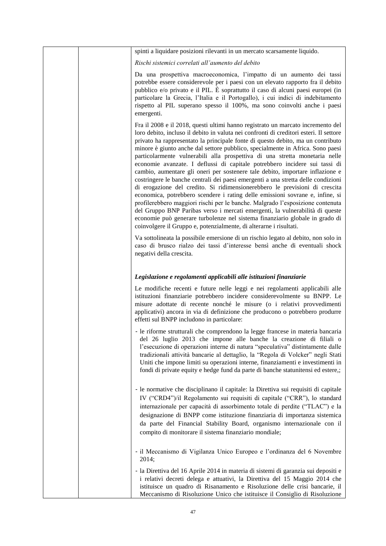|  | spinti a liquidare posizioni rilevanti in un mercato scarsamente liquido.                                                                                                                                                                                                                                                                                                                                                                                                                                                                                                                                                                                                                                                                                                                                                                                                                                                                                                                                                                                                                                                                                                 |
|--|---------------------------------------------------------------------------------------------------------------------------------------------------------------------------------------------------------------------------------------------------------------------------------------------------------------------------------------------------------------------------------------------------------------------------------------------------------------------------------------------------------------------------------------------------------------------------------------------------------------------------------------------------------------------------------------------------------------------------------------------------------------------------------------------------------------------------------------------------------------------------------------------------------------------------------------------------------------------------------------------------------------------------------------------------------------------------------------------------------------------------------------------------------------------------|
|  | Rischi sistemici correlati all'aumento del debito                                                                                                                                                                                                                                                                                                                                                                                                                                                                                                                                                                                                                                                                                                                                                                                                                                                                                                                                                                                                                                                                                                                         |
|  | Da una prospettiva macroeconomica, l'impatto di un aumento dei tassi<br>potrebbe essere considerevole per i paesi con un elevato rapporto fra il debito<br>pubblico e/o privato e il PIL. È soprattutto il caso di alcuni paesi europei (in<br>particolare la Grecia, l'Italia e il Portogallo), i cui indici di indebitamento<br>rispetto al PIL superano spesso il 100%, ma sono coinvolti anche i paesi<br>emergenti.                                                                                                                                                                                                                                                                                                                                                                                                                                                                                                                                                                                                                                                                                                                                                  |
|  | Fra il 2008 e il 2018, questi ultimi hanno registrato un marcato incremento del<br>loro debito, incluso il debito in valuta nei confronti di creditori esteri. Il settore<br>privato ha rappresentato la principale fonte di questo debito, ma un contributo<br>minore è giunto anche dal settore pubblico, specialmente in Africa. Sono paesi<br>particolarmente vulnerabili alla prospettiva di una stretta monetaria nelle<br>economie avanzate. I deflussi di capitale potrebbero incidere sui tassi di<br>cambio, aumentare gli oneri per sostenere tale debito, importare inflazione e<br>costringere le banche centrali dei paesi emergenti a una stretta delle condizioni<br>di erogazione del credito. Si ridimensionerebbero le previsioni di crescita<br>economica, potrebbero scendere i rating delle emissioni sovrane e, infine, si<br>profilerebbero maggiori rischi per le banche. Malgrado l'esposizione contenuta<br>del Gruppo BNP Paribas verso i mercati emergenti, la vulnerabilità di queste<br>economie può generare turbolenze nel sistema finanziario globale in grado di<br>coinvolgere il Gruppo e, potenzialmente, di alterarne i risultati. |
|  | Va sottolineata la possibile emersione di un rischio legato al debito, non solo in<br>caso di brusco rialzo dei tassi d'interesse bensì anche di eventuali shock<br>negativi della crescita.                                                                                                                                                                                                                                                                                                                                                                                                                                                                                                                                                                                                                                                                                                                                                                                                                                                                                                                                                                              |
|  | Legislazione e regolamenti applicabili alle istituzioni finanziarie                                                                                                                                                                                                                                                                                                                                                                                                                                                                                                                                                                                                                                                                                                                                                                                                                                                                                                                                                                                                                                                                                                       |
|  | Le modifiche recenti e future nelle leggi e nei regolamenti applicabili alle<br>istituzioni finanziarie potrebbero incidere considerevolmente su BNPP. Le<br>misure adottate di recente nonché le misure (o i relativi provvedimenti<br>applicativi) ancora in via di definizione che producono o potrebbero produrre<br>effetti sul BNPP includono in particolare:                                                                                                                                                                                                                                                                                                                                                                                                                                                                                                                                                                                                                                                                                                                                                                                                       |
|  | - le riforme strutturali che comprendono la legge francese in materia bancaria<br>del 26 luglio 2013 che impone alle banche la creazione di filiali o<br>l'esecuzione di operazioni interne di natura "speculativa" distintamente dalle<br>tradizionali attività bancarie al dettaglio, la "Regola di Volcker" negli Stati<br>Uniti che impone limiti su operazioni interne, finanziamenti e investimenti in<br>fondi di private equity e hedge fund da parte di banche statunitensi ed estere,;                                                                                                                                                                                                                                                                                                                                                                                                                                                                                                                                                                                                                                                                          |
|  | - le normative che disciplinano il capitale: la Direttiva sui requisiti di capitale<br>IV ("CRD4")/il Regolamento sui requisiti di capitale ("CRR"), lo standard<br>internazionale per capacità di assorbimento totale di perdite ("TLAC") e la<br>designazione di BNPP come istituzione finanziaria di importanza sistemica<br>da parte del Financial Stability Board, organismo internazionale con il<br>compito di monitorare il sistema finanziario mondiale;                                                                                                                                                                                                                                                                                                                                                                                                                                                                                                                                                                                                                                                                                                         |
|  | - il Meccanismo di Vigilanza Unico Europeo e l'ordinanza del 6 Novembre<br>2014;                                                                                                                                                                                                                                                                                                                                                                                                                                                                                                                                                                                                                                                                                                                                                                                                                                                                                                                                                                                                                                                                                          |
|  | - la Direttiva del 16 Aprile 2014 in materia di sistemi di garanzia sui depositi e<br>i relativi decreti delega e attuativi, la Direttiva del 15 Maggio 2014 che<br>istituisce un quadro di Risanamento e Risoluzione delle crisi bancarie, il<br>Meccanismo di Risoluzione Unico che istituisce il Consiglio di Risoluzione                                                                                                                                                                                                                                                                                                                                                                                                                                                                                                                                                                                                                                                                                                                                                                                                                                              |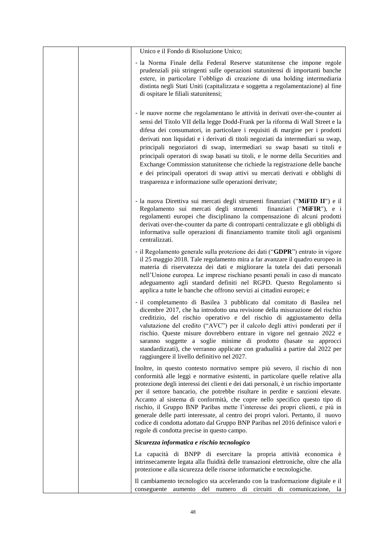|  | Unico e il Fondo di Risoluzione Unico;                                                                                                                                                                                                                                                                                                                                                                                                                                                                                                                                                                                                                                                                                        |
|--|-------------------------------------------------------------------------------------------------------------------------------------------------------------------------------------------------------------------------------------------------------------------------------------------------------------------------------------------------------------------------------------------------------------------------------------------------------------------------------------------------------------------------------------------------------------------------------------------------------------------------------------------------------------------------------------------------------------------------------|
|  | - la Norma Finale della Federal Reserve statunitense che impone regole<br>prudenziali più stringenti sulle operazioni statunitensi di importanti banche<br>estere, in particolare l'obbligo di creazione di una holding intermediaria<br>distinta negli Stati Uniti (capitalizzata e soggetta a regolamentazione) al fine<br>di ospitare le filiali statunitensi;                                                                                                                                                                                                                                                                                                                                                             |
|  | - le nuove norme che regolamentano le attività in derivati over-the-counter ai<br>sensi del Titolo VII della legge Dodd-Frank per la riforma di Wall Street e la<br>difesa dei consumatori, in particolare i requisiti di margine per i prodotti<br>derivati non liquidati e i derivati di titoli negoziati da intermediari su swap,<br>principali negoziatori di swap, intermediari su swap basati su titoli e<br>principali operatori di swap basati su titoli, e le norme della Securities and<br>Exchange Commission statunitense che richiede la registrazione delle banche<br>e dei principali operatori di swap attivi su mercati derivati e obblighi di<br>trasparenza e informazione sulle operazioni derivate;      |
|  | - la nuova Direttiva sui mercati degli strumenti finanziari ("MiFID II") e il<br>Regolamento sui mercati degli strumenti<br>finanziari ("MiFIR"), e i<br>regolamenti europei che disciplinano la compensazione di alcuni prodotti<br>derivati over-the-counter da parte di controparti centralizzate e gli obblighi di<br>informativa sulle operazioni di finanziamento tramite titoli agli organismi<br>centralizzati.                                                                                                                                                                                                                                                                                                       |
|  | - il Regolamento generale sulla protezione dei dati ("GDPR") entrato in vigore<br>il 25 maggio 2018. Tale regolamento mira a far avanzare il quadro europeo in<br>materia di riservatezza dei dati e migliorare la tutela dei dati personali<br>nell'Unione europea. Le imprese rischiano pesanti penali in caso di mancato<br>adeguamento agli standard definiti nel RGPD. Questo Regolamento si<br>applica a tutte le banche che offrono servizi ai cittadini europei; e                                                                                                                                                                                                                                                    |
|  | - il completamento di Basilea 3 pubblicato dal comitato di Basilea nel<br>dicembre 2017, che ha introdotto una revisione della misurazione del rischio<br>creditizio, del rischio operativo e del rischio di aggiustamento della<br>valutazione del credito ("AVC") per il calcolo degli attivi ponderati per il<br>rischio. Queste misure dovrebbero entrare in vigore nel gennaio 2022 e<br>saranno soggette a soglie minime di prodotto (basate su approcci<br>standardizzati), che verranno applicate con gradualità a partire dal 2022 per<br>raggiungere il livello definitivo nel 2027.                                                                                                                                |
|  | Inoltre, in questo contesto normativo sempre più severo, il rischio di non<br>conformità alle leggi e normative esistenti, in particolare quelle relative alla<br>protezione degli interessi dei clienti e dei dati personali, è un rischio importante<br>per il settore bancario, che potrebbe risultare in perdite e sanzioni elevate.<br>Accanto al sistema di conformità, che copre nello specifico questo tipo di<br>rischio, il Gruppo BNP Paribas mette l'interesse dei propri clienti, e più in<br>generale delle parti interessate, al centro dei propri valori. Pertanto, il nuovo<br>codice di condotta adottato dal Gruppo BNP Paribas nel 2016 definisce valori e<br>regole di condotta precise in questo campo. |
|  | Sicurezza informatica e rischio tecnologico                                                                                                                                                                                                                                                                                                                                                                                                                                                                                                                                                                                                                                                                                   |
|  | La capacità di BNPP di esercitare la propria attività economica è<br>intrinsecamente legata alla fluidità delle transazioni elettroniche, oltre che alla<br>protezione e alla sicurezza delle risorse informatiche e tecnologiche.                                                                                                                                                                                                                                                                                                                                                                                                                                                                                            |
|  | Il cambiamento tecnologico sta accelerando con la trasformazione digitale e il<br>conseguente aumento del numero di circuiti di comunicazione, la                                                                                                                                                                                                                                                                                                                                                                                                                                                                                                                                                                             |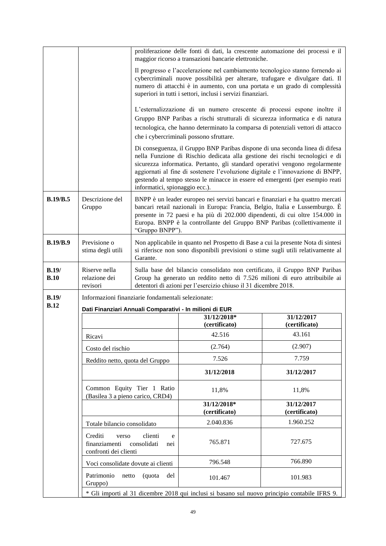|                      |                                                                |                                    | proliferazione delle fonti di dati, la crescente automazione dei processi e il<br>maggior ricorso a transazioni bancarie elettroniche.                                                                                                                                                                                                                                                                          |                             |
|----------------------|----------------------------------------------------------------|------------------------------------|-----------------------------------------------------------------------------------------------------------------------------------------------------------------------------------------------------------------------------------------------------------------------------------------------------------------------------------------------------------------------------------------------------------------|-----------------------------|
|                      |                                                                |                                    | Il progresso e l'accelerazione nel cambiamento tecnologico stanno fornendo ai<br>cybercriminali nuove possibilità per alterare, trafugare e divulgare dati. Il<br>numero di attacchi è in aumento, con una portata e un grado di complessità<br>superiori in tutti i settori, inclusi i servizi finanziari.                                                                                                     |                             |
|                      |                                                                |                                    | L'esternalizzazione di un numero crescente di processi espone inoltre il<br>Gruppo BNP Paribas a rischi strutturali di sicurezza informatica e di natura<br>tecnologica, che hanno determinato la comparsa di potenziali vettori di attacco                                                                                                                                                                     |                             |
|                      |                                                                |                                    | che i cybercriminali possono sfruttare.                                                                                                                                                                                                                                                                                                                                                                         |                             |
|                      |                                                                | informatici, spionaggio ecc.).     | Di conseguenza, il Gruppo BNP Paribas dispone di una seconda linea di difesa<br>nella Funzione di Rischio dedicata alla gestione dei rischi tecnologici e di<br>sicurezza informatica. Pertanto, gli standard operativi vengono regolarmente<br>aggiornati al fine di sostenere l'evoluzione digitale e l'innovazione di BNPP,<br>gestendo al tempo stesso le minacce in essere ed emergenti (per esempio reati |                             |
| B.19/B.5             | Descrizione del<br>Gruppo                                      | "Gruppo BNPP").                    | BNPP è un leader europeo nei servizi bancari e finanziari e ha quattro mercati<br>bancari retail nazionali in Europa: Francia, Belgio, Italia e Lussemburgo. È<br>presente in 72 paesi e ha più di 202.000 dipendenti, di cui oltre 154.000 in<br>Europa. BNPP è la controllante del Gruppo BNP Paribas (collettivamente il                                                                                     |                             |
| <b>B.19/B.9</b>      | Previsione o<br>stima degli utili                              | Garante.                           | Non applicabile in quanto nel Prospetto di Base a cui la presente Nota di sintesi<br>si riferisce non sono disponibili previsioni o stime sugli utili relativamente al                                                                                                                                                                                                                                          |                             |
| B.19/<br><b>B.10</b> | Riserve nella<br>relazione dei<br>revisori                     |                                    | Sulla base del bilancio consolidato non certificato, il Gruppo BNP Paribas<br>Group ha generato un reddito netto di 7.526 milioni di euro attribuibile ai<br>detentori di azioni per l'esercizio chiuso il 31 dicembre 2018.                                                                                                                                                                                    |                             |
| B.19/                | Informazioni finanziarie fondamentali selezionate:             |                                    |                                                                                                                                                                                                                                                                                                                                                                                                                 |                             |
| B.12                 |                                                                |                                    | Dati Finanziari Annuali Comparativi - In milioni di EUR                                                                                                                                                                                                                                                                                                                                                         |                             |
|                      |                                                                |                                    | 31/12/2018*<br>(certificato)                                                                                                                                                                                                                                                                                                                                                                                    | 31/12/2017<br>(certificato) |
|                      | Ricavi                                                         |                                    | 42.516                                                                                                                                                                                                                                                                                                                                                                                                          | 43.161                      |
|                      | Costo del rischio                                              |                                    | (2.764)                                                                                                                                                                                                                                                                                                                                                                                                         | (2.907)                     |
|                      | Reddito netto, quota del Gruppo                                |                                    | 7.526                                                                                                                                                                                                                                                                                                                                                                                                           | 7.759                       |
|                      |                                                                |                                    | 31/12/2018                                                                                                                                                                                                                                                                                                                                                                                                      | 31/12/2017                  |
|                      | Common Equity Tier 1 Ratio<br>(Basilea 3 a pieno carico, CRD4) |                                    | 11,8%                                                                                                                                                                                                                                                                                                                                                                                                           | 11,8%                       |
|                      |                                                                |                                    | 31/12/2018*<br>(certificato)                                                                                                                                                                                                                                                                                                                                                                                    | 31/12/2017<br>(certificato) |
|                      | Totale bilancio consolidato                                    |                                    | 2.040.836                                                                                                                                                                                                                                                                                                                                                                                                       | 1.960.252                   |
|                      | Crediti<br>verso<br>finanziamenti<br>confronti dei clienti     | clienti<br>e<br>consolidati<br>nei | 765.871                                                                                                                                                                                                                                                                                                                                                                                                         | 727.675                     |
|                      | Voci consolidate dovute ai clienti                             |                                    | 796.548                                                                                                                                                                                                                                                                                                                                                                                                         | 766.890                     |
|                      | Patrimonio<br>netto<br>Gruppo)                                 | (quota<br>del                      | 101.467                                                                                                                                                                                                                                                                                                                                                                                                         | 101.983                     |
|                      |                                                                |                                    | * Gli importi al 31 dicembre 2018 qui inclusi si basano sul nuovo principio contabile IFRS 9.                                                                                                                                                                                                                                                                                                                   |                             |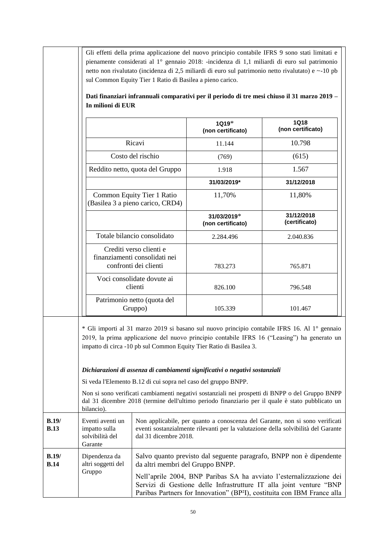| In milioni di EUR                                                                                                |                                                                |                                                                                                                                                                                                                                                                                                                                                                                                                                                                                                                                                            | Dati finanziari infrannuali comparativi per il periodo di tre mesi chiuso il 31 marzo 2019 –                                                                                                                                                                                                              |
|------------------------------------------------------------------------------------------------------------------|----------------------------------------------------------------|------------------------------------------------------------------------------------------------------------------------------------------------------------------------------------------------------------------------------------------------------------------------------------------------------------------------------------------------------------------------------------------------------------------------------------------------------------------------------------------------------------------------------------------------------------|-----------------------------------------------------------------------------------------------------------------------------------------------------------------------------------------------------------------------------------------------------------------------------------------------------------|
|                                                                                                                  |                                                                | 1Q19*<br>(non certificato)                                                                                                                                                                                                                                                                                                                                                                                                                                                                                                                                 | <b>1Q18</b><br>(non certificato)                                                                                                                                                                                                                                                                          |
|                                                                                                                  | Ricavi                                                         | 11.144                                                                                                                                                                                                                                                                                                                                                                                                                                                                                                                                                     | 10.798                                                                                                                                                                                                                                                                                                    |
|                                                                                                                  | Costo del rischio                                              | (769)                                                                                                                                                                                                                                                                                                                                                                                                                                                                                                                                                      | (615)                                                                                                                                                                                                                                                                                                     |
|                                                                                                                  | Reddito netto, quota del Gruppo                                | 1.918                                                                                                                                                                                                                                                                                                                                                                                                                                                                                                                                                      | 1.567                                                                                                                                                                                                                                                                                                     |
|                                                                                                                  |                                                                | 31/03/2019*                                                                                                                                                                                                                                                                                                                                                                                                                                                                                                                                                | 31/12/2018                                                                                                                                                                                                                                                                                                |
|                                                                                                                  | Common Equity Tier 1 Ratio<br>(Basilea 3 a pieno carico, CRD4) | 11,70%                                                                                                                                                                                                                                                                                                                                                                                                                                                                                                                                                     | 11,80%                                                                                                                                                                                                                                                                                                    |
|                                                                                                                  |                                                                | 31/03/2019*<br>(non certificato)                                                                                                                                                                                                                                                                                                                                                                                                                                                                                                                           | 31/12/2018<br>(certificato)                                                                                                                                                                                                                                                                               |
| Totale bilancio consolidato<br>Crediti verso clienti e<br>finanziamenti consolidati nei<br>confronti dei clienti |                                                                | 2.284.496                                                                                                                                                                                                                                                                                                                                                                                                                                                                                                                                                  | 2.040.836                                                                                                                                                                                                                                                                                                 |
|                                                                                                                  |                                                                | 783.273                                                                                                                                                                                                                                                                                                                                                                                                                                                                                                                                                    | 765.871                                                                                                                                                                                                                                                                                                   |
|                                                                                                                  | Voci consolidate dovute ai<br>clienti                          | 826.100                                                                                                                                                                                                                                                                                                                                                                                                                                                                                                                                                    | 796.548                                                                                                                                                                                                                                                                                                   |
|                                                                                                                  | Patrimonio netto (quota del<br>Gruppo)                         | 105.339                                                                                                                                                                                                                                                                                                                                                                                                                                                                                                                                                    | 101.467                                                                                                                                                                                                                                                                                                   |
| bilancio).                                                                                                       | Si veda l'Elemento B.12 di cui sopra nel caso del gruppo BNPP. | * Gli importi al 31 marzo 2019 si basano sul nuovo principio contabile IFRS 16. Al 1° gennaio<br>2019, la prima applicazione del nuovo principio contabile IFRS 16 ("Leasing") ha generato un<br>impatto di circa -10 pb sul Common Equity Tier Ratio di Basilea 3.<br>Dichiarazioni di assenza di cambiamenti significativi o negativi sostanziali<br>Non si sono verificati cambiamenti negativi sostanziali nei prospetti di BNPP o del Gruppo BNPP<br>dal 31 dicembre 2018 (termine dell'ultimo periodo finanziario per il quale è stato pubblicato un |                                                                                                                                                                                                                                                                                                           |
| Eventi aventi un<br>impatto sulla<br>solvibilità del<br>Garante                                                  | dal 31 dicembre 2018.                                          |                                                                                                                                                                                                                                                                                                                                                                                                                                                                                                                                                            | Non applicabile, per quanto a conoscenza del Garante, non si sono verificati<br>eventi sostanzialmente rilevanti per la valutazione della solvibilità del Garante                                                                                                                                         |
| Dipendenza da<br>altri soggetti del<br>Gruppo                                                                    | da altri membri del Gruppo BNPP.                               |                                                                                                                                                                                                                                                                                                                                                                                                                                                                                                                                                            | Salvo quanto previsto dal seguente paragrafo, BNPP non è dipendente<br>Nell'aprile 2004, BNP Paribas SA ha avviato l'esternalizzazione dei<br>Servizi di Gestione delle Infrastrutture IT alla joint venture "BNP<br>Paribas Partners for Innovation" (BP <sup>2</sup> I), costituita con IBM France alla |

 $\blacksquare$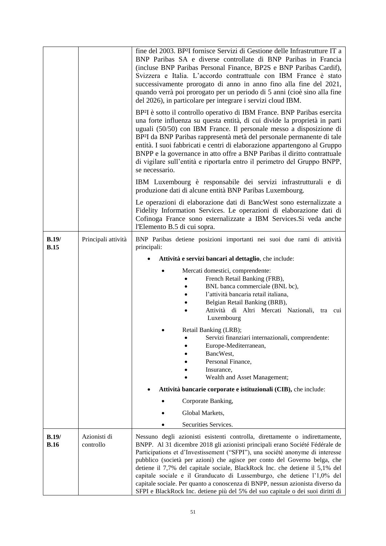|                      |                           | fine del 2003. BP <sup>2</sup> I fornisce Servizi di Gestione delle Infrastrutture IT a<br>BNP Paribas SA e diverse controllate di BNP Paribas in Francia<br>(incluse BNP Paribas Personal Finance, BP2S e BNP Paribas Cardif),<br>Svizzera e Italia. L'accordo contrattuale con IBM France è stato<br>successivamente prorogato di anno in anno fino alla fine del 2021,<br>quando verrà poi prorogato per un periodo di 5 anni (cioè sino alla fine<br>del 2026), in particolare per integrare i servizi cloud IBM.                                                                                                                                     |
|----------------------|---------------------------|-----------------------------------------------------------------------------------------------------------------------------------------------------------------------------------------------------------------------------------------------------------------------------------------------------------------------------------------------------------------------------------------------------------------------------------------------------------------------------------------------------------------------------------------------------------------------------------------------------------------------------------------------------------|
|                      |                           | BP <sup>2</sup> I è sotto il controllo operativo di IBM France. BNP Paribas esercita<br>una forte influenza su questa entità, di cui divide la proprietà in parti<br>uguali (50/50) con IBM France. Il personale messo a disposizione di<br>BP <sup>2</sup> I da BNP Paribas rappresentà metà del personale permanente di tale<br>entità. I suoi fabbricati e centri di elaborazione appartengono al Gruppo<br>BNPP e la governance in atto offre a BNP Paribas il diritto contrattuale<br>di vigilare sull'entità e riportarla entro il perimetro del Gruppo BNPP,<br>se necessario.                                                                     |
|                      |                           | IBM Luxembourg è responsabile dei servizi infrastrutturali e di<br>produzione dati di alcune entità BNP Paribas Luxembourg.                                                                                                                                                                                                                                                                                                                                                                                                                                                                                                                               |
|                      |                           | Le operazioni di elaborazione dati di BancWest sono esternalizzate a<br>Fidelity Information Services. Le operazioni di elaborazione dati di<br>Cofinoga France sono esternalizzate a IBM Services. Si veda anche<br>l'Elemento B.5 di cui sopra.                                                                                                                                                                                                                                                                                                                                                                                                         |
| B.19/<br><b>B.15</b> | Principali attività       | BNP Paribas detiene posizioni importanti nei suoi due rami di attività<br>principali:                                                                                                                                                                                                                                                                                                                                                                                                                                                                                                                                                                     |
|                      |                           | Attività e servizi bancari al dettaglio, che include:                                                                                                                                                                                                                                                                                                                                                                                                                                                                                                                                                                                                     |
|                      |                           | Mercati domestici, comprendente:                                                                                                                                                                                                                                                                                                                                                                                                                                                                                                                                                                                                                          |
|                      |                           | French Retail Banking (FRB),                                                                                                                                                                                                                                                                                                                                                                                                                                                                                                                                                                                                                              |
|                      |                           | BNL banca commerciale (BNL bc),<br>l'attività bancaria retail italiana,                                                                                                                                                                                                                                                                                                                                                                                                                                                                                                                                                                                   |
|                      |                           | Belgian Retail Banking (BRB),                                                                                                                                                                                                                                                                                                                                                                                                                                                                                                                                                                                                                             |
|                      |                           | Attività di Altri Mercati Nazionali, tra cui<br>Luxembourg                                                                                                                                                                                                                                                                                                                                                                                                                                                                                                                                                                                                |
|                      |                           | Retail Banking (LRB);                                                                                                                                                                                                                                                                                                                                                                                                                                                                                                                                                                                                                                     |
|                      |                           | Servizi finanziari internazionali, comprendente:<br>Europe-Mediterranean,                                                                                                                                                                                                                                                                                                                                                                                                                                                                                                                                                                                 |
|                      |                           | BancWest,                                                                                                                                                                                                                                                                                                                                                                                                                                                                                                                                                                                                                                                 |
|                      |                           | Personal Finance,<br>Insurance,                                                                                                                                                                                                                                                                                                                                                                                                                                                                                                                                                                                                                           |
|                      |                           | Wealth and Asset Management;                                                                                                                                                                                                                                                                                                                                                                                                                                                                                                                                                                                                                              |
|                      |                           | Attività bancarie corporate e istituzionali (CIB), che include:                                                                                                                                                                                                                                                                                                                                                                                                                                                                                                                                                                                           |
|                      |                           | Corporate Banking,                                                                                                                                                                                                                                                                                                                                                                                                                                                                                                                                                                                                                                        |
|                      |                           | Global Markets,                                                                                                                                                                                                                                                                                                                                                                                                                                                                                                                                                                                                                                           |
|                      |                           | Securities Services.                                                                                                                                                                                                                                                                                                                                                                                                                                                                                                                                                                                                                                      |
| B.19/<br><b>B.16</b> | Azionisti di<br>controllo | Nessuno degli azionisti esistenti controlla, direttamente o indirettamente,<br>BNPP. Al 31 dicembre 2018 gli azionisti principali erano Société Fédérale de<br>Participations et d'Investissement ("SFPI"), una société anonyme di interesse<br>pubblico (società per azioni) che agisce per conto del Governo belga, che<br>detiene il 7,7% del capitale sociale, BlackRock Inc. che detiene il 5,1% del<br>capitale sociale e il Granducato di Lussemburgo, che detiene l'1,0% del<br>capitale sociale. Per quanto a conoscenza di BNPP, nessun azionista diverso da<br>SFPI e BlackRock Inc. detiene più del 5% del suo capitale o dei suoi diritti di |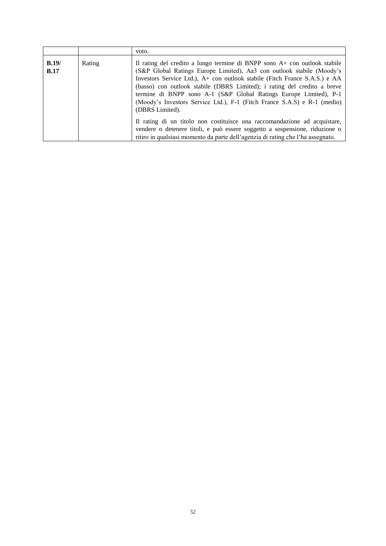| B.19/<br>Rating<br>Il rating del credito a lungo termine di BNPP sono A+ con outlook stabile<br>(S&P Global Ratings Europe Limited), Aa3 con outlook stabile (Moody's<br>B.17<br>Investors Service Ltd.), A+ con outlook stabile (Fitch France S.A.S.) e AA<br>(basso) con outlook stabile (DBRS Limited); i rating del credito a breve<br>termine di BNPP sono A-1 (S&P Global Ratings Europe Limited), P-1<br>(Moody's Investors Service Ltd.), F-1 (Fitch France S.A.S) e R-1 (medio)<br>(DBRS Limited).<br>Il rating di un titolo non costituisce una raccomandazione ad acquistare, |  | voto.                                                                       |
|------------------------------------------------------------------------------------------------------------------------------------------------------------------------------------------------------------------------------------------------------------------------------------------------------------------------------------------------------------------------------------------------------------------------------------------------------------------------------------------------------------------------------------------------------------------------------------------|--|-----------------------------------------------------------------------------|
| ritiro in qualsiasi momento da parte dell'agenzia di rating che l'ha assegnato.                                                                                                                                                                                                                                                                                                                                                                                                                                                                                                          |  | vendere o detenere titoli, e può essere soggetto a sospensione, riduzione o |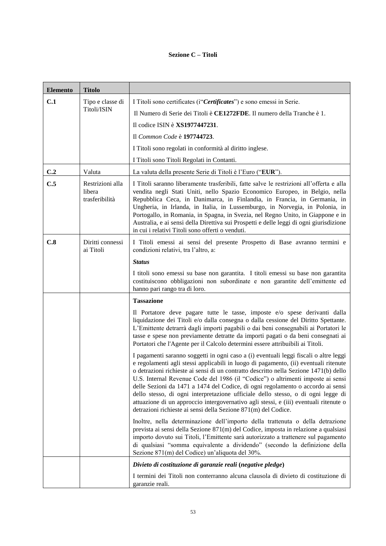# **Sezione C – Titoli**

| <b>Elemento</b> | <b>Titolo</b>                                |                                                                                                                                                                                                                                                                                                                                                                                                                                                                                                                                                                                                                                                                                             |
|-----------------|----------------------------------------------|---------------------------------------------------------------------------------------------------------------------------------------------------------------------------------------------------------------------------------------------------------------------------------------------------------------------------------------------------------------------------------------------------------------------------------------------------------------------------------------------------------------------------------------------------------------------------------------------------------------------------------------------------------------------------------------------|
| C.1             | Tipo e classe di                             | I Titoli sono certificates (i "Certificates") e sono emessi in Serie.                                                                                                                                                                                                                                                                                                                                                                                                                                                                                                                                                                                                                       |
|                 | Titoli/ISIN                                  | Il Numero di Serie dei Titoli è CE1272FDE. Il numero della Tranche è 1.                                                                                                                                                                                                                                                                                                                                                                                                                                                                                                                                                                                                                     |
|                 |                                              | Il codice ISIN è XS1977447231.                                                                                                                                                                                                                                                                                                                                                                                                                                                                                                                                                                                                                                                              |
|                 |                                              | Il Common Code è 197744723.                                                                                                                                                                                                                                                                                                                                                                                                                                                                                                                                                                                                                                                                 |
|                 |                                              | I Titoli sono regolati in conformità al diritto inglese.                                                                                                                                                                                                                                                                                                                                                                                                                                                                                                                                                                                                                                    |
|                 |                                              | I Titoli sono Titoli Regolati in Contanti.                                                                                                                                                                                                                                                                                                                                                                                                                                                                                                                                                                                                                                                  |
| C.2             | Valuta                                       | La valuta della presente Serie di Titoli è l'Euro ("EUR").                                                                                                                                                                                                                                                                                                                                                                                                                                                                                                                                                                                                                                  |
| C.5             | Restrizioni alla<br>libera<br>trasferibilità | I Titoli saranno liberamente trasferibili, fatte salve le restrizioni all'offerta e alla<br>vendita negli Stati Uniti, nello Spazio Economico Europeo, in Belgio, nella<br>Repubblica Ceca, in Danimarca, in Finlandia, in Francia, in Germania, in<br>Ungheria, in Irlanda, in Italia, in Lussemburgo, in Norvegia, in Polonia, in<br>Portogallo, in Romania, in Spagna, in Svezia, nel Regno Unito, in Giappone e in<br>Australia, e ai sensi della Direttiva sui Prospetti e delle leggi di ogni giurisdizione<br>in cui i relativi Titoli sono offerti o venduti.                                                                                                                       |
| C.8             | Diritti connessi<br>ai Titoli                | I Titoli emessi ai sensi del presente Prospetto di Base avranno termini e<br>condizioni relativi, tra l'altro, a:                                                                                                                                                                                                                                                                                                                                                                                                                                                                                                                                                                           |
|                 |                                              | <b>Status</b>                                                                                                                                                                                                                                                                                                                                                                                                                                                                                                                                                                                                                                                                               |
|                 |                                              | I titoli sono emessi su base non garantita. I titoli emessi su base non garantita<br>costituiscono obbligazioni non subordinate e non garantite dell'emittente ed<br>hanno pari rango tra di loro.                                                                                                                                                                                                                                                                                                                                                                                                                                                                                          |
|                 |                                              | <b>Tassazione</b>                                                                                                                                                                                                                                                                                                                                                                                                                                                                                                                                                                                                                                                                           |
|                 |                                              | Il Portatore deve pagare tutte le tasse, imposte e/o spese derivanti dalla<br>liquidazione dei Titoli e/o dalla consegna o dalla cessione del Diritto Spettante.<br>L'Emittente detrarrà dagli importi pagabili o dai beni consegnabili ai Portatori le<br>tasse e spese non previamente detratte da importi pagati o da beni consegnati ai<br>Portatori che l'Agente per il Calcolo determini essere attribuibili ai Titoli.                                                                                                                                                                                                                                                               |
|                 |                                              | I pagamenti saranno soggetti in ogni caso a (i) eventuali leggi fiscali o altre leggi<br>e regolamenti agli stessi applicabili in luogo di pagamento, (ii) eventuali ritenute<br>o detrazioni richieste ai sensi di un contratto descritto nella Sezione 1471(b) dello<br>U.S. Internal Revenue Code del 1986 (il "Codice") o altrimenti imposte ai sensi<br>delle Sezioni da 1471 a 1474 del Codice, di ogni regolamento o accordo ai sensi<br>dello stesso, di ogni interpretazione ufficiale dello stesso, o di ogni legge di<br>attuazione di un approccio intergovernativo agli stessi, e (iii) eventuali ritenute o<br>detrazioni richieste ai sensi della Sezione 871(m) del Codice. |
|                 |                                              | Inoltre, nella determinazione dell'importo della trattenuta o della detrazione<br>prevista ai sensi della Sezione 871(m) del Codice, imposta in relazione a qualsiasi<br>importo dovuto sui Titoli, l'Emittente sarà autorizzato a trattenere sul pagamento<br>di qualsiasi "somma equivalente a dividendo" (secondo la definizione della<br>Sezione 871(m) del Codice) un'aliquota del 30%.                                                                                                                                                                                                                                                                                                |
|                 |                                              | Divieto di costituzione di garanzie reali (negative pledge)                                                                                                                                                                                                                                                                                                                                                                                                                                                                                                                                                                                                                                 |
|                 |                                              | I termini dei Titoli non conterranno alcuna clausola di divieto di costituzione di<br>garanzie reali.                                                                                                                                                                                                                                                                                                                                                                                                                                                                                                                                                                                       |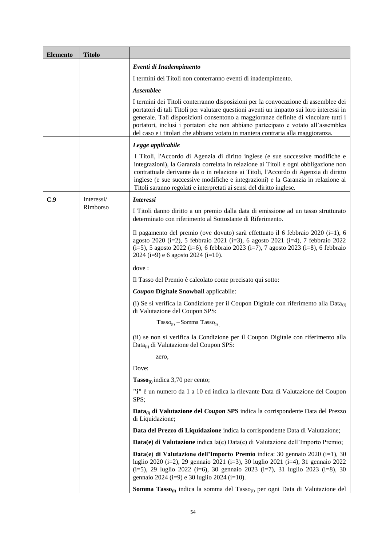| <b>Elemento</b> | <b>Titolo</b> |                                                                                                                                                                                                                                                                                                                                                                                                                                             |
|-----------------|---------------|---------------------------------------------------------------------------------------------------------------------------------------------------------------------------------------------------------------------------------------------------------------------------------------------------------------------------------------------------------------------------------------------------------------------------------------------|
|                 |               | Eventi di Inadempimento                                                                                                                                                                                                                                                                                                                                                                                                                     |
|                 |               | I termini dei Titoli non conterranno eventi di inadempimento.                                                                                                                                                                                                                                                                                                                                                                               |
|                 |               | <b>Assemblee</b>                                                                                                                                                                                                                                                                                                                                                                                                                            |
|                 |               | I termini dei Titoli conterranno disposizioni per la convocazione di assemblee dei<br>portatori di tali Titoli per valutare questioni aventi un impatto sui loro interessi in<br>generale. Tali disposizioni consentono a maggioranze definite di vincolare tutti i<br>portatori, inclusi i portatori che non abbiano partecipato e votato all'assemblea<br>del caso e i titolari che abbiano votato in maniera contraria alla maggioranza. |
|                 |               | Legge applicabile                                                                                                                                                                                                                                                                                                                                                                                                                           |
|                 |               | I Titoli, l'Accordo di Agenzia di diritto inglese (e sue successive modifiche e<br>integrazioni), la Garanzia correlata in relazione ai Titoli e ogni obbligazione non<br>contrattuale derivante da o in relazione ai Titoli, l'Accordo di Agenzia di diritto<br>inglese (e sue successive modifiche e integrazioni) e la Garanzia in relazione ai<br>Titoli saranno regolati e interpretati ai sensi del diritto inglese.                  |
| C.9             | Interessi/    | <b>Interessi</b>                                                                                                                                                                                                                                                                                                                                                                                                                            |
|                 | Rimborso      | I Titoli danno diritto a un premio dalla data di emissione ad un tasso strutturato<br>determinato con riferimento al Sottostante di Riferimento.                                                                                                                                                                                                                                                                                            |
|                 |               | Il pagamento del premio (ove dovuto) sarà effettuato il 6 febbraio 2020 (i=1), 6<br>agosto 2020 (i=2), 5 febbraio 2021 (i=3), 6 agosto 2021 (i=4), 7 febbraio 2022<br>$(i=5)$ , 5 agosto 2022 ( $i=6$ ), 6 febbraio 2023 ( $i=7$ ), 7 agosto 2023 ( $i=8$ ), 6 febbraio<br>2024 ( $i=9$ ) e 6 agosto 2024 ( $i=10$ ).                                                                                                                       |
|                 |               | dove:                                                                                                                                                                                                                                                                                                                                                                                                                                       |
|                 |               | Il Tasso del Premio è calcolato come precisato qui sotto:                                                                                                                                                                                                                                                                                                                                                                                   |
|                 |               | <b>Coupon Digitale Snowball applicabile:</b>                                                                                                                                                                                                                                                                                                                                                                                                |
|                 |               | (i) Se si verifica la Condizione per il Coupon Digitale con riferimento alla Data $_{(i)}$<br>di Valutazione del Coupon SPS:                                                                                                                                                                                                                                                                                                                |
|                 |               | $Tasso_{(i)} + Somma Tasso_{(i)}$                                                                                                                                                                                                                                                                                                                                                                                                           |
|                 |               | (ii) se non si verifica la Condizione per il Coupon Digitale con riferimento alla<br>Data <sub>(i)</sub> di Valutazione del Coupon SPS:                                                                                                                                                                                                                                                                                                     |
|                 |               | zero,                                                                                                                                                                                                                                                                                                                                                                                                                                       |
|                 |               | Dove:                                                                                                                                                                                                                                                                                                                                                                                                                                       |
|                 |               | $Tasso_{(i)}$ indica 3,70 per cento;                                                                                                                                                                                                                                                                                                                                                                                                        |
|                 |               | "i" è un numero da 1 a 10 ed indica la rilevante Data di Valutazione del Coupon<br>SPS;                                                                                                                                                                                                                                                                                                                                                     |
|                 |               | Data <sub>(i)</sub> di Valutazione del Coupon SPS indica la corrispondente Data del Prezzo<br>di Liquidazione;                                                                                                                                                                                                                                                                                                                              |
|                 |               | Data del Prezzo di Liquidazione indica la corrispondente Data di Valutazione;                                                                                                                                                                                                                                                                                                                                                               |
|                 |               | Data(e) di Valutazione indica la(e) Data(e) di Valutazione dell'Importo Premio;                                                                                                                                                                                                                                                                                                                                                             |
|                 |               | Data(e) di Valutazione dell'Importo Premio indica: 30 gennaio 2020 (i=1), 30<br>luglio 2020 (i=2), 29 gennaio 2021 (i=3), 30 luglio 2021 (i=4), 31 gennaio 2022<br>(i=5), 29 luglio 2022 (i=6), 30 gennaio 2023 (i=7), 31 luglio 2023 (i=8), 30<br>gennaio 2024 (i=9) e 30 luglio 2024 (i=10).                                                                                                                                              |
|                 |               | Somma Tasso <sub>(i)</sub> indica la somma del Tasso <sub>(i)</sub> per ogni Data di Valutazione del                                                                                                                                                                                                                                                                                                                                        |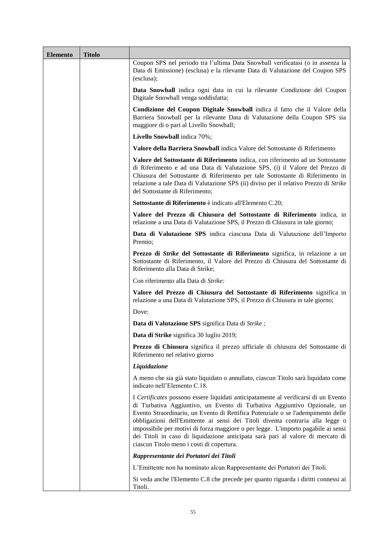| <b>Elemento</b> | <b>Titolo</b> |                                                                                                                                                                                                                                                                                                                                                                                                                                                                                                                                                            |
|-----------------|---------------|------------------------------------------------------------------------------------------------------------------------------------------------------------------------------------------------------------------------------------------------------------------------------------------------------------------------------------------------------------------------------------------------------------------------------------------------------------------------------------------------------------------------------------------------------------|
|                 |               | Coupon SPS nel periodo tra l'ultima Data Snowball verificatasi (o in assenza la<br>Data di Emissione) (esclusa) e la rilevante Data di Valutazione del Coupon SPS<br>(esclusa);                                                                                                                                                                                                                                                                                                                                                                            |
|                 |               | Data Snowball indica ogni data in cui la rilevante Condizione del Coupon<br>Digitale Snowball venga soddisfatta;                                                                                                                                                                                                                                                                                                                                                                                                                                           |
|                 |               | Condizione del Coupon Digitale Snowball indica il fatto che il Valore della<br>Barriera Snowball per la rilevante Data di Valutazione della Coupon SPS sia<br>maggiore di o pari al Livello Snowball;                                                                                                                                                                                                                                                                                                                                                      |
|                 |               | Livello Snowball indica 70%;                                                                                                                                                                                                                                                                                                                                                                                                                                                                                                                               |
|                 |               | Valore della Barriera Snowball indica Valore del Sottostante di Riferimento                                                                                                                                                                                                                                                                                                                                                                                                                                                                                |
|                 |               | Valore del Sottostante di Riferimento indica, con riferimento ad un Sottostante<br>di Riferimento e ad una Data di Valutazione SPS, (i) il Valore del Prezzo di<br>Chiusura del Sottostante di Riferimento per tale Sottostante di Riferimento in<br>relazione a tale Data di Valutazione SPS (ii) diviso per il relativo Prezzo di Strike<br>del Sottostante di Riferimento;                                                                                                                                                                              |
|                 |               | Sottostante di Riferimento è indicato all'Elemento C.20;                                                                                                                                                                                                                                                                                                                                                                                                                                                                                                   |
|                 |               | Valore del Prezzo di Chiusura del Sottostante di Riferimento indica, in<br>relazione a una Data di Valutazione SPS, il Prezzo di Chiusura in tale giorno;                                                                                                                                                                                                                                                                                                                                                                                                  |
|                 |               | Data di Valutazione SPS indica ciascuna Data di Valutazione dell'Importo<br>Premio;                                                                                                                                                                                                                                                                                                                                                                                                                                                                        |
|                 |               | Prezzo di <i>Strike</i> del Sottostante di Riferimento significa, in relazione a un<br>Sottostante di Riferimento, il Valore del Prezzo di Chiusura del Sottostante di<br>Riferimento alla Data di Strike;                                                                                                                                                                                                                                                                                                                                                 |
|                 |               | Con riferimento alla Data di Strike:                                                                                                                                                                                                                                                                                                                                                                                                                                                                                                                       |
|                 |               | Valore del Prezzo di Chiusura del Sottostante di Riferimento significa in<br>relazione a una Data di Valutazione SPS, il Prezzo di Chiusura in tale giorno;                                                                                                                                                                                                                                                                                                                                                                                                |
|                 |               | Dove:                                                                                                                                                                                                                                                                                                                                                                                                                                                                                                                                                      |
|                 |               | Data di Valutazione SPS significa Data di Strike;                                                                                                                                                                                                                                                                                                                                                                                                                                                                                                          |
|                 |               | Data di Strike significa 30 luglio 2019;                                                                                                                                                                                                                                                                                                                                                                                                                                                                                                                   |
|                 |               | Prezzo di Chiusura significa il prezzo ufficiale di chiusura del Sottostante di<br>Riferimento nel relativo giorno                                                                                                                                                                                                                                                                                                                                                                                                                                         |
|                 |               | Liquidazione                                                                                                                                                                                                                                                                                                                                                                                                                                                                                                                                               |
|                 |               | A meno che sia già stato liquidato o annullato, ciascun Titolo sarà liquidato come<br>indicato nell'Elemento C.18.                                                                                                                                                                                                                                                                                                                                                                                                                                         |
|                 |               | I Certificates possono essere liquidati anticipatamente al verificarsi di un Evento<br>di Turbativa Aggiuntivo, un Evento di Turbativa Aggiuntivo Opzionale, un<br>Evento Straordinario, un Evento di Rettifica Potenziale o se l'adempimento delle<br>obbligazioni dell'Emittente ai sensi dei Titoli diventa contraria alla legge o<br>impossibile per motivi di forza maggiore o per legge. L'importo pagabile ai sensi<br>dei Titoli in caso di liquidazione anticipata sarà pari al valore di mercato di<br>ciascun Titolo meno i costi di copertura. |
|                 |               | Rappresentante dei Portatori dei Titoli                                                                                                                                                                                                                                                                                                                                                                                                                                                                                                                    |
|                 |               | L'Emittente non ha nominato alcun Rappresentante dei Portatori dei Titoli.                                                                                                                                                                                                                                                                                                                                                                                                                                                                                 |
|                 |               | Si veda anche l'Elemento C.8 che precede per quanto riguarda i diritti connessi ai<br>Titoli.                                                                                                                                                                                                                                                                                                                                                                                                                                                              |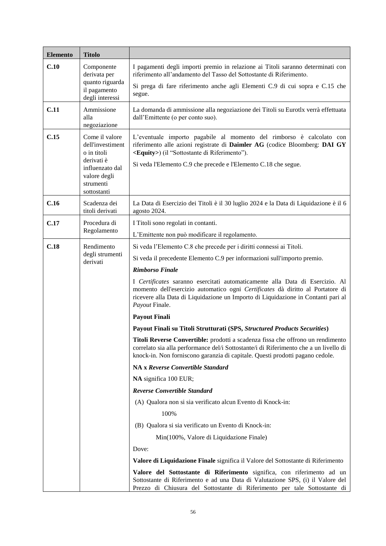| <b>Elemento</b> | <b>Titolo</b>                                                                                      |                                                                                                                                                                                                                                                                                 |  |  |
|-----------------|----------------------------------------------------------------------------------------------------|---------------------------------------------------------------------------------------------------------------------------------------------------------------------------------------------------------------------------------------------------------------------------------|--|--|
| C.10            | Componente<br>derivata per                                                                         | I pagamenti degli importi premio in relazione ai Titoli saranno determinati con<br>riferimento all'andamento del Tasso del Sottostante di Riferimento.                                                                                                                          |  |  |
|                 | quanto riguarda<br>il pagamento<br>degli interessi                                                 | Si prega di fare riferimento anche agli Elementi C.9 di cui sopra e C.15 che<br>segue.                                                                                                                                                                                          |  |  |
| C.11            | Ammissione<br>alla<br>negoziazione                                                                 | La domanda di ammissione alla negoziazione dei Titoli su Eurotlx verrà effettuata<br>dall'Emittente (o per conto suo).                                                                                                                                                          |  |  |
| C.15            | Come il valore<br>dell'investiment<br>o in titoli<br>derivati è<br>influenzato dal<br>valore degli | L'eventuale importo pagabile al momento del rimborso è calcolato con<br>riferimento alle azioni registrate di Daimler AG (codice Bloomberg: DAI GY<br><equity>) (il "Sottostante di Riferimento").<br/>Si veda l'Elemento C.9 che precede e l'Elemento C.18 che segue.</equity> |  |  |
|                 | strumenti<br>sottostanti                                                                           |                                                                                                                                                                                                                                                                                 |  |  |
| C.16            | Scadenza dei<br>titoli derivati                                                                    | La Data di Esercizio dei Titoli è il 30 luglio 2024 e la Data di Liquidazione è il 6<br>agosto 2024.                                                                                                                                                                            |  |  |
| C.17            | Procedura di                                                                                       | I Titoli sono regolati in contanti.                                                                                                                                                                                                                                             |  |  |
|                 | Regolamento                                                                                        | L'Emittente non può modificare il regolamento.                                                                                                                                                                                                                                  |  |  |
| C.18            | Rendimento<br>degli strumenti<br>derivati                                                          | Si veda l'Elemento C.8 che precede per i diritti connessi ai Titoli.                                                                                                                                                                                                            |  |  |
|                 |                                                                                                    | Si veda il precedente Elemento C.9 per informazioni sull'importo premio.                                                                                                                                                                                                        |  |  |
|                 |                                                                                                    | <b>Rimborso Finale</b>                                                                                                                                                                                                                                                          |  |  |
|                 |                                                                                                    | I Certificates saranno esercitati automaticamente alla Data di Esercizio. Al<br>momento dell'esercizio automatico ogni Certificates dà diritto al Portatore di<br>ricevere alla Data di Liquidazione un Importo di Liquidazione in Contanti pari al<br>Payout Finale.           |  |  |
|                 |                                                                                                    | <b>Payout Finali</b>                                                                                                                                                                                                                                                            |  |  |
|                 |                                                                                                    | Payout Finali su Titoli Strutturati (SPS, Structured Products Securities)                                                                                                                                                                                                       |  |  |
|                 |                                                                                                    | <b>Titoli Reverse Convertible:</b> prodotti a scadenza fissa che offrono un rendimento<br>correlato sia alla performance del/i Sottostante/i di Riferimento che a un livello di<br>knock-in. Non forniscono garanzia di capitale. Questi prodotti pagano cedole.                |  |  |
|                 |                                                                                                    | NA x Reverse Convertible Standard                                                                                                                                                                                                                                               |  |  |
|                 |                                                                                                    | NA significa 100 EUR;                                                                                                                                                                                                                                                           |  |  |
|                 |                                                                                                    | <b>Reverse Convertible Standard</b>                                                                                                                                                                                                                                             |  |  |
|                 |                                                                                                    | (A) Qualora non si sia verificato alcun Evento di Knock-in:                                                                                                                                                                                                                     |  |  |
|                 |                                                                                                    | 100%                                                                                                                                                                                                                                                                            |  |  |
|                 |                                                                                                    | (B) Qualora si sia verificato un Evento di Knock-in:                                                                                                                                                                                                                            |  |  |
|                 |                                                                                                    | Min(100%, Valore di Liquidazione Finale)                                                                                                                                                                                                                                        |  |  |
|                 |                                                                                                    | Dove:                                                                                                                                                                                                                                                                           |  |  |
|                 |                                                                                                    | Valore di Liquidazione Finale significa il Valore del Sottostante di Riferimento                                                                                                                                                                                                |  |  |
|                 |                                                                                                    | Valore del Sottostante di Riferimento significa, con riferimento ad un<br>Sottostante di Riferimento e ad una Data di Valutazione SPS, (i) il Valore del<br>Prezzo di Chiusura del Sottostante di Riferimento per tale Sottostante di                                           |  |  |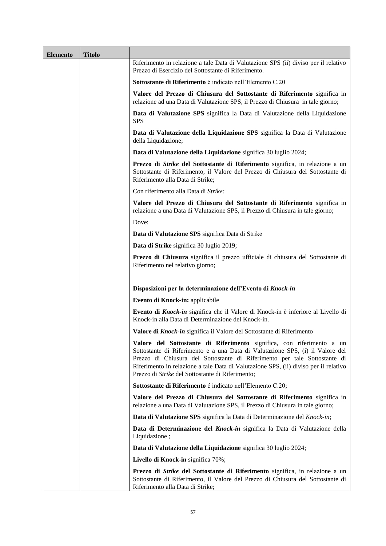| <b>Elemento</b> | <b>Titolo</b> |                                                                                                                                                                                                                                                                                                                                                                                 |
|-----------------|---------------|---------------------------------------------------------------------------------------------------------------------------------------------------------------------------------------------------------------------------------------------------------------------------------------------------------------------------------------------------------------------------------|
|                 |               | Riferimento in relazione a tale Data di Valutazione SPS (ii) diviso per il relativo<br>Prezzo di Esercizio del Sottostante di Riferimento.                                                                                                                                                                                                                                      |
|                 |               | Sottostante di Riferimento é indicato nell'Elemento C.20                                                                                                                                                                                                                                                                                                                        |
|                 |               | Valore del Prezzo di Chiusura del Sottostante di Riferimento significa in<br>relazione ad una Data di Valutazione SPS, il Prezzo di Chiusura in tale giorno;                                                                                                                                                                                                                    |
|                 |               | Data di Valutazione SPS significa la Data di Valutazione della Liquidazione<br><b>SPS</b>                                                                                                                                                                                                                                                                                       |
|                 |               | Data di Valutazione della Liquidazione SPS significa la Data di Valutazione<br>della Liquidazione;                                                                                                                                                                                                                                                                              |
|                 |               | Data di Valutazione della Liquidazione significa 30 luglio 2024;                                                                                                                                                                                                                                                                                                                |
|                 |               | Prezzo di Strike del Sottostante di Riferimento significa, in relazione a un<br>Sottostante di Riferimento, il Valore del Prezzo di Chiusura del Sottostante di<br>Riferimento alla Data di Strike;                                                                                                                                                                             |
|                 |               | Con riferimento alla Data di Strike:                                                                                                                                                                                                                                                                                                                                            |
|                 |               | Valore del Prezzo di Chiusura del Sottostante di Riferimento significa in<br>relazione a una Data di Valutazione SPS, il Prezzo di Chiusura in tale giorno;                                                                                                                                                                                                                     |
|                 |               | Dove:                                                                                                                                                                                                                                                                                                                                                                           |
|                 |               | Data di Valutazione SPS significa Data di Strike                                                                                                                                                                                                                                                                                                                                |
|                 |               | Data di Strike significa 30 luglio 2019;                                                                                                                                                                                                                                                                                                                                        |
|                 |               | Prezzo di Chiusura significa il prezzo ufficiale di chiusura del Sottostante di<br>Riferimento nel relativo giorno;                                                                                                                                                                                                                                                             |
|                 |               | Disposizioni per la determinazione dell'Evento di Knock-in                                                                                                                                                                                                                                                                                                                      |
|                 |               | Evento di Knock-in: applicabile                                                                                                                                                                                                                                                                                                                                                 |
|                 |               | Evento di Knock-in significa che il Valore di Knock-in è inferiore al Livello di<br>Knock-in alla Data di Determinazione del Knock-in.                                                                                                                                                                                                                                          |
|                 |               | Valore di Knock-in significa il Valore del Sottostante di Riferimento                                                                                                                                                                                                                                                                                                           |
|                 |               | Valore del Sottostante di Riferimento significa, con riferimento a un<br>Sottostante di Riferimento e a una Data di Valutazione SPS, (i) il Valore del<br>Prezzo di Chiusura del Sottostante di Riferimento per tale Sottostante di<br>Riferimento in relazione a tale Data di Valutazione SPS, (ii) diviso per il relativo<br>Prezzo di Strike del Sottostante di Riferimento; |
|                 |               | Sottostante di Riferimento é indicato nell'Elemento C.20;                                                                                                                                                                                                                                                                                                                       |
|                 |               | Valore del Prezzo di Chiusura del Sottostante di Riferimento significa in<br>relazione a una Data di Valutazione SPS, il Prezzo di Chiusura in tale giorno;                                                                                                                                                                                                                     |
|                 |               | Data di Valutazione SPS significa la Data di Determinazione del Knock-in;                                                                                                                                                                                                                                                                                                       |
|                 |               | Data di Determinazione del Knock-in significa la Data di Valutazione della<br>Liquidazione;                                                                                                                                                                                                                                                                                     |
|                 |               | Data di Valutazione della Liquidazione significa 30 luglio 2024;                                                                                                                                                                                                                                                                                                                |
|                 |               | Livello di Knock-in significa 70%;                                                                                                                                                                                                                                                                                                                                              |
|                 |               | Prezzo di <i>Strike</i> del Sottostante di Riferimento significa, in relazione a un<br>Sottostante di Riferimento, il Valore del Prezzo di Chiusura del Sottostante di<br>Riferimento alla Data di Strike;                                                                                                                                                                      |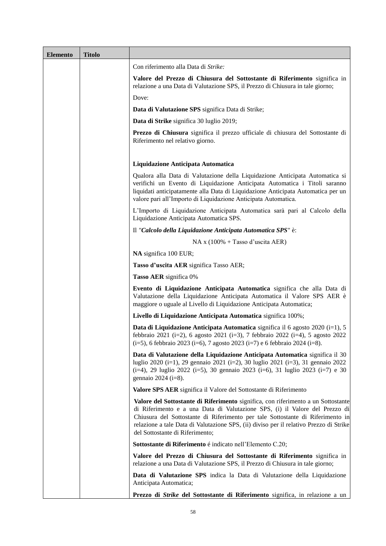| <b>Elemento</b> | <b>Titolo</b> |                                                                                                                                                                                                                                                                                                                                                                                 |
|-----------------|---------------|---------------------------------------------------------------------------------------------------------------------------------------------------------------------------------------------------------------------------------------------------------------------------------------------------------------------------------------------------------------------------------|
|                 |               | Con riferimento alla Data di Strike:                                                                                                                                                                                                                                                                                                                                            |
|                 |               | Valore del Prezzo di Chiusura del Sottostante di Riferimento significa in<br>relazione a una Data di Valutazione SPS, il Prezzo di Chiusura in tale giorno;                                                                                                                                                                                                                     |
|                 |               | Dove:                                                                                                                                                                                                                                                                                                                                                                           |
|                 |               | Data di Valutazione SPS significa Data di Strike;                                                                                                                                                                                                                                                                                                                               |
|                 |               | Data di Strike significa 30 luglio 2019;                                                                                                                                                                                                                                                                                                                                        |
|                 |               | Prezzo di Chiusura significa il prezzo ufficiale di chiusura del Sottostante di<br>Riferimento nel relativo giorno.                                                                                                                                                                                                                                                             |
|                 |               | Liquidazione Anticipata Automatica                                                                                                                                                                                                                                                                                                                                              |
|                 |               | Qualora alla Data di Valutazione della Liquidazione Anticipata Automatica si<br>verifichi un Evento di Liquidazione Anticipata Automatica i Titoli saranno<br>liquidati anticipatamente alla Data di Liquidazione Anticipata Automatica per un<br>valore pari all'Importo di Liquidazione Anticipata Automatica.                                                                |
|                 |               | L'Importo di Liquidazione Anticipata Automatica sarà pari al Calcolo della<br>Liquidazione Anticipata Automatica SPS.                                                                                                                                                                                                                                                           |
|                 |               | Il "Calcolo della Liquidazione Anticipata Automatica SPS" è:                                                                                                                                                                                                                                                                                                                    |
|                 |               | $NA x (100\% + Tasso d'uscita AER)$                                                                                                                                                                                                                                                                                                                                             |
|                 |               | NA significa 100 EUR;                                                                                                                                                                                                                                                                                                                                                           |
|                 |               | Tasso d'uscita AER significa Tasso AER;                                                                                                                                                                                                                                                                                                                                         |
|                 |               | <b>Tasso AER</b> significa 0%                                                                                                                                                                                                                                                                                                                                                   |
|                 |               | Evento di Liquidazione Anticipata Automatica significa che alla Data di<br>Valutazione della Liquidazione Anticipata Automatica il Valore SPS AER è<br>maggiore o uguale al Livello di Liquidazione Anticipata Automatica;                                                                                                                                                      |
|                 |               | Livello di Liquidazione Anticipata Automatica significa 100%;                                                                                                                                                                                                                                                                                                                   |
|                 |               | <b>Data di Liquidazione Anticipata Automatica</b> significa il 6 agosto 2020 (i=1), 5<br>febbraio 2021 (i=2), 6 agosto 2021 (i=3), 7 febbraio 2022 (i=4), 5 agosto 2022<br>$(i=5)$ , 6 febbraio 2023 (i=6), 7 agosto 2023 (i=7) e 6 febbraio 2024 (i=8).                                                                                                                        |
|                 |               | Data di Valutazione della Liquidazione Anticipata Automatica significa il 30<br>luglio 2020 (i=1), 29 gennaio 2021 (i=2), 30 luglio 2021 (i=3), 31 gennaio 2022<br>(i=4), 29 luglio 2022 (i=5), 30 gennaio 2023 (i=6), 31 luglio 2023 (i=7) e 30<br>gennaio $2024$ (i=8).                                                                                                       |
|                 |               | Valore SPS AER significa il Valore del Sottostante di Riferimento                                                                                                                                                                                                                                                                                                               |
|                 |               | Valore del Sottostante di Riferimento significa, con riferimento a un Sottostante<br>di Riferimento e a una Data di Valutazione SPS, (i) il Valore del Prezzo di<br>Chiusura del Sottostante di Riferimento per tale Sottostante di Riferimento in<br>relazione a tale Data di Valutazione SPS, (ii) diviso per il relativo Prezzo di Strike<br>del Sottostante di Riferimento; |
|                 |               | Sottostante di Riferimento é indicato nell'Elemento C.20;                                                                                                                                                                                                                                                                                                                       |
|                 |               | Valore del Prezzo di Chiusura del Sottostante di Riferimento significa in<br>relazione a una Data di Valutazione SPS, il Prezzo di Chiusura in tale giorno;                                                                                                                                                                                                                     |
|                 |               | Data di Valutazione SPS indica la Data di Valutazione della Liquidazione<br>Anticipata Automatica;                                                                                                                                                                                                                                                                              |
|                 |               | Prezzo di <i>Strike</i> del Sottostante di Riferimento significa, in relazione a un                                                                                                                                                                                                                                                                                             |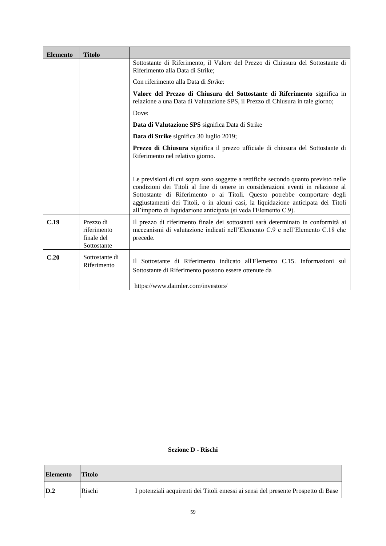| <b>Elemento</b> | <b>Titolo</b>                                         |                                                                                                                                                                                                                                                                                                                                                                                                              |
|-----------------|-------------------------------------------------------|--------------------------------------------------------------------------------------------------------------------------------------------------------------------------------------------------------------------------------------------------------------------------------------------------------------------------------------------------------------------------------------------------------------|
|                 |                                                       | Sottostante di Riferimento, il Valore del Prezzo di Chiusura del Sottostante di<br>Riferimento alla Data di Strike;                                                                                                                                                                                                                                                                                          |
|                 |                                                       | Con riferimento alla Data di Strike:                                                                                                                                                                                                                                                                                                                                                                         |
|                 |                                                       | Valore del Prezzo di Chiusura del Sottostante di Riferimento significa in<br>relazione a una Data di Valutazione SPS, il Prezzo di Chiusura in tale giorno;                                                                                                                                                                                                                                                  |
|                 |                                                       | Dove:                                                                                                                                                                                                                                                                                                                                                                                                        |
|                 |                                                       | Data di Valutazione SPS significa Data di Strike                                                                                                                                                                                                                                                                                                                                                             |
|                 |                                                       | Data di Strike significa 30 luglio 2019;                                                                                                                                                                                                                                                                                                                                                                     |
|                 |                                                       | Prezzo di Chiusura significa il prezzo ufficiale di chiusura del Sottostante di<br>Riferimento nel relativo giorno.                                                                                                                                                                                                                                                                                          |
|                 |                                                       | Le previsioni di cui sopra sono soggette a rettifiche secondo quanto previsto nelle<br>condizioni dei Titoli al fine di tenere in considerazioni eventi in relazione al<br>Sottostante di Riferimento o ai Titoli. Questo potrebbe comportare degli<br>aggiustamenti dei Titoli, o in alcuni casi, la liquidazione anticipata dei Titoli<br>all'importo di liquidazione anticipata (si veda l'Elemento C.9). |
| C.19            | Prezzo di<br>riferimento<br>finale del<br>Sottostante | Il prezzo di riferimento finale dei sottostanti sarà determinato in conformità ai<br>meccanismi di valutazione indicati nell'Elemento C.9 e nell'Elemento C.18 che<br>precede.                                                                                                                                                                                                                               |
| C.20            | Sottostante di<br>Riferimento                         | Il Sottostante di Riferimento indicato all'Elemento C.15. Informazioni sul<br>Sottostante di Riferimento possono essere ottenute da<br>https://www.daimler.com/investors/                                                                                                                                                                                                                                    |

#### **Sezione D - Rischi**

| <b>Elemento</b> | <b>Titolo</b> |                                                                                   |
|-----------------|---------------|-----------------------------------------------------------------------------------|
| D.2             | Rischi        | I potenziali acquirenti dei Titoli emessi ai sensi del presente Prospetto di Base |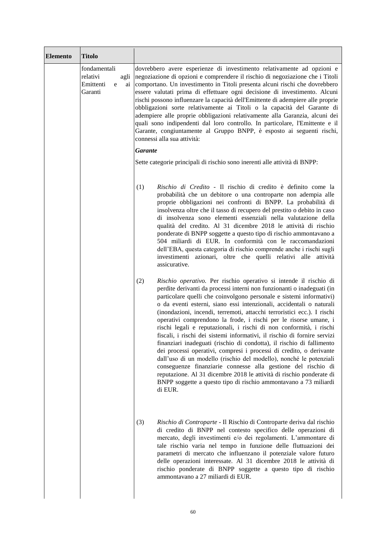| <b>Elemento</b> | <b>Titolo</b>                                                       |                                                                                                                                                                                                                                                                                                                                                                                                                                                                                                                                                                                                                                                                                                                                                                                                                                                                                                                                                                                                                                                   |  |
|-----------------|---------------------------------------------------------------------|---------------------------------------------------------------------------------------------------------------------------------------------------------------------------------------------------------------------------------------------------------------------------------------------------------------------------------------------------------------------------------------------------------------------------------------------------------------------------------------------------------------------------------------------------------------------------------------------------------------------------------------------------------------------------------------------------------------------------------------------------------------------------------------------------------------------------------------------------------------------------------------------------------------------------------------------------------------------------------------------------------------------------------------------------|--|
|                 | fondamentali<br>relativi<br>agli<br>Emittenti<br>ai<br>e<br>Garanti | dovrebbero avere esperienze di investimento relativamente ad opzioni e<br>negoziazione di opzioni e comprendere il rischio di negoziazione che i Titoli<br>comportano. Un investimento in Titoli presenta alcuni rischi che dovrebbero<br>essere valutati prima di effettuare ogni decisione di investimento. Alcuni<br>rischi possono influenzare la capacità dell'Emittente di adempiere alle proprie<br>obbligazioni sorte relativamente ai Titoli o la capacità del Garante di<br>adempiere alle proprie obbligazioni relativamente alla Garanzia, alcuni dei<br>quali sono indipendenti dal loro controllo. In particolare, l'Emittente e il<br>Garante, congiuntamente al Gruppo BNPP, è esposto ai seguenti rischi,<br>connessi alla sua attività:                                                                                                                                                                                                                                                                                         |  |
|                 |                                                                     | <b>Garante</b>                                                                                                                                                                                                                                                                                                                                                                                                                                                                                                                                                                                                                                                                                                                                                                                                                                                                                                                                                                                                                                    |  |
|                 |                                                                     | Sette categorie principali di rischio sono inerenti alle attività di BNPP:                                                                                                                                                                                                                                                                                                                                                                                                                                                                                                                                                                                                                                                                                                                                                                                                                                                                                                                                                                        |  |
|                 |                                                                     | Rischio di Credito - Il rischio di credito è definito come la<br>(1)<br>probabilità che un debitore o una controparte non adempia alle<br>proprie obbligazioni nei confronti di BNPP. La probabilità di<br>insolvenza oltre che il tasso di recupero del prestito o debito in caso<br>di insolvenza sono elementi essenziali nella valutazione della<br>qualità del credito. Al 31 dicembre 2018 le attività di rischio<br>ponderate di BNPP soggette a questo tipo di rischio ammontavano a<br>504 miliardi di EUR. In conformità con le raccomandazioni<br>dell'EBA, questa categoria di rischio comprende anche i rischi sugli<br>investimenti azionari, oltre che quelli relativi alle attività<br>assicurative.                                                                                                                                                                                                                                                                                                                              |  |
|                 |                                                                     | Rischio operativo. Per rischio operativo si intende il rischio di<br>(2)<br>perdite derivanti da processi interni non funzionanti o inadeguati (in<br>particolare quelli che coinvolgono personale e sistemi informativi)<br>o da eventi esterni, siano essi intenzionali, accidentali o naturali<br>(inondazioni, incendi, terremoti, attacchi terroristici ecc.). I rischi<br>operativi comprendono la frode, i rischi per le risorse umane, i<br>rischi legali e reputazionali, i rischi di non conformità, i rischi<br>fiscali, i rischi dei sistemi informativi, il rischio di fornire servizi<br>finanziari inadeguati (rischio di condotta), il rischio di fallimento<br>dei processi operativi, compresi i processi di credito, o derivante<br>dall'uso di un modello (rischio del modello), nonché le potenziali<br>conseguenze finanziarie connesse alla gestione del rischio di<br>reputazione. Al 31 dicembre 2018 le attività di rischio ponderate di<br>BNPP soggette a questo tipo di rischio ammontavano a 73 miliardi<br>di EUR. |  |
|                 |                                                                     | (3)<br>Rischio di Controparte - Il Rischio di Controparte deriva dal rischio<br>di credito di BNPP nel contesto specifico delle operazioni di<br>mercato, degli investimenti e/o dei regolamenti. L'ammontare di<br>tale rischio varia nel tempo in funzione delle fluttuazioni dei<br>parametri di mercato che influenzano il potenziale valore futuro<br>delle operazioni interessate. Al 31 dicembre 2018 le attività di<br>rischio ponderate di BNPP soggette a questo tipo di rischio<br>ammontavano a 27 miliardi di EUR.                                                                                                                                                                                                                                                                                                                                                                                                                                                                                                                   |  |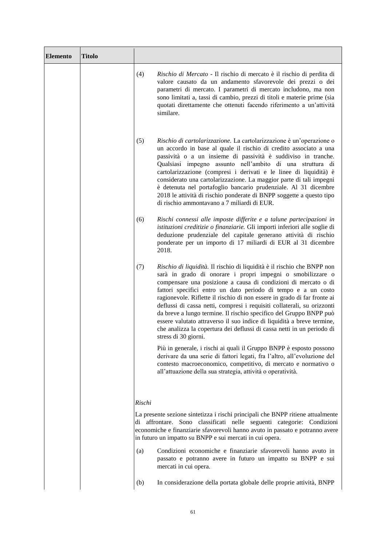| <b>Elemento</b> | <b>Titolo</b> |        |                                                                                                                                                                                                                                                                                                                                                                                                                                                                                                                                                                                                                                                                                   |
|-----------------|---------------|--------|-----------------------------------------------------------------------------------------------------------------------------------------------------------------------------------------------------------------------------------------------------------------------------------------------------------------------------------------------------------------------------------------------------------------------------------------------------------------------------------------------------------------------------------------------------------------------------------------------------------------------------------------------------------------------------------|
|                 |               | (4)    | Rischio di Mercato - Il rischio di mercato è il rischio di perdita di<br>valore causato da un andamento sfavorevole dei prezzi o dei<br>parametri di mercato. I parametri di mercato includono, ma non<br>sono limitati a, tassi di cambio, prezzi di titoli e materie prime (sia<br>quotati direttamente che ottenuti facendo riferimento a un'attività<br>similare.                                                                                                                                                                                                                                                                                                             |
|                 |               | (5)    | Rischio di cartolarizzazione. La cartolarizzazione è un'operazione o<br>un accordo in base al quale il rischio di credito associato a una<br>passività o a un insieme di passività è suddiviso in tranche.<br>Qualsiasi impegno assunto nell'ambito di una struttura di<br>cartolarizzazione (compresi i derivati e le linee di liquidità) è<br>considerato una cartolarizzazione. La maggior parte di tali impegni<br>è detenuta nel portafoglio bancario prudenziale. Al 31 dicembre<br>2018 le attività di rischio ponderate di BNPP soggette a questo tipo<br>di rischio ammontavano a 7 miliardi di EUR.                                                                     |
|                 |               | (6)    | Rischi connessi alle imposte differite e a talune partecipazioni in<br>istituzioni creditizie o finanziarie. Gli importi inferiori alle soglie di<br>deduzione prudenziale del capitale generano attività di rischio<br>ponderate per un importo di 17 miliardi di EUR al 31 dicembre<br>2018.                                                                                                                                                                                                                                                                                                                                                                                    |
|                 |               | (7)    | Rischio di liquidità. Il rischio di liquidità è il rischio che BNPP non<br>sarà in grado di onorare i propri impegni o smobilizzare o<br>compensare una posizione a causa di condizioni di mercato o di<br>fattori specifici entro un dato periodo di tempo e a un costo<br>ragionevole. Riflette il rischio di non essere in grado di far fronte ai<br>deflussi di cassa netti, compresi i requisiti collaterali, su orizzonti<br>da breve a lungo termine. Il rischio specifico del Gruppo BNPP può<br>essere valutato attraverso il suo indice di liquidità a breve termine,<br>che analizza la copertura dei deflussi di cassa netti in un periodo di<br>stress di 30 giorni. |
|                 |               |        | Più in generale, i rischi ai quali il Gruppo BNPP è esposto possono<br>derivare da una serie di fattori legati, fra l'altro, all'evoluzione del<br>contesto macroeconomico, competitivo, di mercato e normativo o<br>all'attuazione della sua strategia, attività o operatività.                                                                                                                                                                                                                                                                                                                                                                                                  |
|                 |               | Rischi |                                                                                                                                                                                                                                                                                                                                                                                                                                                                                                                                                                                                                                                                                   |
|                 |               |        | La presente sezione sintetizza i rischi principali che BNPP ritiene attualmente<br>di affrontare. Sono classificati nelle seguenti categorie: Condizioni<br>economiche e finanziarie sfavorevoli hanno avuto in passato e potranno avere<br>in futuro un impatto su BNPP e sui mercati in cui opera.                                                                                                                                                                                                                                                                                                                                                                              |
|                 |               | (a)    | Condizioni economiche e finanziarie sfavorevoli hanno avuto in<br>passato e potranno avere in futuro un impatto su BNPP e sui<br>mercati in cui opera.                                                                                                                                                                                                                                                                                                                                                                                                                                                                                                                            |
|                 |               | (b)    | In considerazione della portata globale delle proprie attività, BNPP                                                                                                                                                                                                                                                                                                                                                                                                                                                                                                                                                                                                              |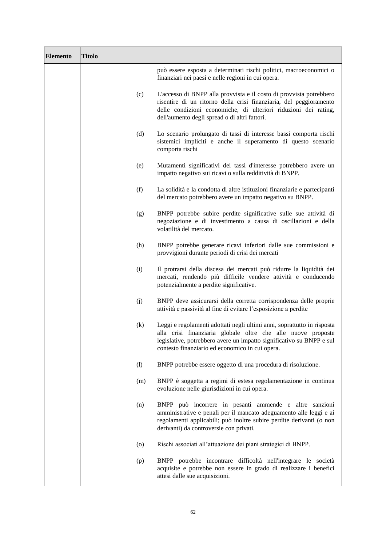| <b>Elemento</b> | <b>Titolo</b> |     |                                                                                                                                                                                                                                                                    |
|-----------------|---------------|-----|--------------------------------------------------------------------------------------------------------------------------------------------------------------------------------------------------------------------------------------------------------------------|
|                 |               |     | può essere esposta a determinati rischi politici, macroeconomici o<br>finanziari nei paesi e nelle regioni in cui opera.                                                                                                                                           |
|                 |               | (c) | L'accesso di BNPP alla provvista e il costo di provvista potrebbero<br>risentire di un ritorno della crisi finanziaria, del peggioramento<br>delle condizioni economiche, di ulteriori riduzioni dei rating,<br>dell'aumento degli spread o di altri fattori.      |
|                 |               | (d) | Lo scenario prolungato di tassi di interesse bassi comporta rischi<br>sistemici impliciti e anche il superamento di questo scenario<br>comporta rischi                                                                                                             |
|                 |               | (e) | Mutamenti significativi dei tassi d'interesse potrebbero avere un<br>impatto negativo sui ricavi o sulla redditività di BNPP.                                                                                                                                      |
|                 |               | (f) | La solidità e la condotta di altre istituzioni finanziarie e partecipanti<br>del mercato potrebbero avere un impatto negativo su BNPP.                                                                                                                             |
|                 |               | (g) | BNPP potrebbe subire perdite significative sulle sue attività di<br>negoziazione e di investimento a causa di oscillazioni e della<br>volatilità del mercato.                                                                                                      |
|                 |               | (h) | BNPP potrebbe generare ricavi inferiori dalle sue commissioni e<br>provvigioni durante periodi di crisi dei mercati                                                                                                                                                |
|                 |               | (i) | Il protrarsi della discesa dei mercati può ridurre la liquidità dei<br>mercati, rendendo più difficile vendere attività e conducendo<br>potenzialmente a perdite significative.                                                                                    |
|                 |               | (i) | BNPP deve assicurarsi della corretta corrispondenza delle proprie<br>attività e passività al fine di evitare l'esposizione a perdite                                                                                                                               |
|                 |               | (k) | Leggi e regolamenti adottati negli ultimi anni, soprattutto in risposta<br>alla crisi finanziaria globale oltre che alle nuove proposte<br>legislative, potrebbero avere un impatto significativo su BNPP e sul<br>contesto finanziario ed economico in cui opera. |
|                 |               | (1) | BNPP potrebbe essere oggetto di una procedura di risoluzione.                                                                                                                                                                                                      |
|                 |               | (m) | BNPP è soggetta a regimi di estesa regolamentazione in continua<br>evoluzione nelle giurisdizioni in cui opera.                                                                                                                                                    |
|                 |               | (n) | BNPP può incorrere in pesanti ammende e altre sanzioni<br>amministrative e penali per il mancato adeguamento alle leggi e ai<br>regolamenti applicabili; può inoltre subire perdite derivanti (o non<br>derivanti) da controversie con privati.                    |
|                 |               | (0) | Rischi associati all'attuazione dei piani strategici di BNPP.                                                                                                                                                                                                      |
|                 |               | (p) | BNPP potrebbe incontrare difficoltà nell'integrare le società<br>acquisite e potrebbe non essere in grado di realizzare i benefici<br>attesi dalle sue acquisizioni.                                                                                               |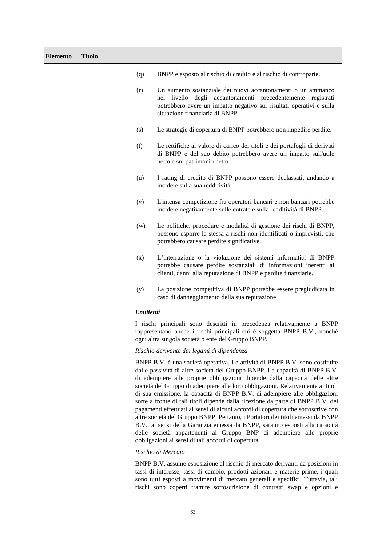| <b>Elemento</b> | <b>Titolo</b> |           |                                                                                                                                                                                                                                                                                                                                                                                                                                                                                                                                                                                                                                                                                                                                                                                                                                                                             |
|-----------------|---------------|-----------|-----------------------------------------------------------------------------------------------------------------------------------------------------------------------------------------------------------------------------------------------------------------------------------------------------------------------------------------------------------------------------------------------------------------------------------------------------------------------------------------------------------------------------------------------------------------------------------------------------------------------------------------------------------------------------------------------------------------------------------------------------------------------------------------------------------------------------------------------------------------------------|
|                 |               | (q)       | BNPP è esposto al rischio di credito e al rischio di controparte.                                                                                                                                                                                                                                                                                                                                                                                                                                                                                                                                                                                                                                                                                                                                                                                                           |
|                 |               | (r)       | Un aumento sostanziale dei nuovi accantonamenti o un ammanco<br>nel livello degli accantonamenti precedentemente registrati<br>potrebbero avere un impatto negativo sui risultati operativi e sulla<br>situazione finanziaria di BNPP.                                                                                                                                                                                                                                                                                                                                                                                                                                                                                                                                                                                                                                      |
|                 |               | (s)       | Le strategie di copertura di BNPP potrebbero non impedire perdite.                                                                                                                                                                                                                                                                                                                                                                                                                                                                                                                                                                                                                                                                                                                                                                                                          |
|                 |               | (t)       | Le rettifiche al valore di carico dei titoli e dei portafogli di derivati<br>di BNPP e del suo debito potrebbero avere un impatto sull'utile<br>netto e sul patrimonio netto.                                                                                                                                                                                                                                                                                                                                                                                                                                                                                                                                                                                                                                                                                               |
|                 |               | (u)       | I rating di credito di BNPP possono essere declassati, andando a<br>incidere sulla sua redditività.                                                                                                                                                                                                                                                                                                                                                                                                                                                                                                                                                                                                                                                                                                                                                                         |
|                 |               | (v)       | L'intensa competizione fra operatori bancari e non bancari potrebbe<br>incidere negativamente sulle entrate e sulla redditività di BNPP.                                                                                                                                                                                                                                                                                                                                                                                                                                                                                                                                                                                                                                                                                                                                    |
|                 |               | (w)       | Le politiche, procedure e modalità di gestione dei rischi di BNPP,<br>possono esporre la stessa a rischi non identificati o imprevisti, che<br>potrebbero causare perdite significative.                                                                                                                                                                                                                                                                                                                                                                                                                                                                                                                                                                                                                                                                                    |
|                 |               | (x)       | L'interruzione o la violazione dei sistemi informatici di BNPP<br>potrebbe causare perdite sostanziali di informazioni inerenti ai<br>clienti, danni alla reputazione di BNPP e perdite finanziarie.                                                                                                                                                                                                                                                                                                                                                                                                                                                                                                                                                                                                                                                                        |
|                 |               | (y)       | La posizione competitiva di BNPP potrebbe essere pregiudicata in<br>caso di danneggiamento della sua reputazione                                                                                                                                                                                                                                                                                                                                                                                                                                                                                                                                                                                                                                                                                                                                                            |
|                 |               | Emittenti |                                                                                                                                                                                                                                                                                                                                                                                                                                                                                                                                                                                                                                                                                                                                                                                                                                                                             |
|                 |               |           | I rischi principali sono descritti in precedenza relativamente a BNPP<br>rappresentano anche i rischi principali cui è soggetta BNPP B.V., nonché<br>ogni altra singola società o ente del Gruppo BNPP.                                                                                                                                                                                                                                                                                                                                                                                                                                                                                                                                                                                                                                                                     |
|                 |               |           | Rischio derivante dai legami di dipendenza                                                                                                                                                                                                                                                                                                                                                                                                                                                                                                                                                                                                                                                                                                                                                                                                                                  |
|                 |               |           | BNPP B.V. è una società operativa. Le attività di BNPP B.V. sono costituite<br>dalle passività di altre società del Gruppo BNPP. La capacità di BNPP B.V.<br>di adempiere alle proprie obbligazioni dipende dalla capacità delle altre<br>società del Gruppo di adempiere alle loro obbligazioni. Relativamente ai titoli<br>di sua emissione, la capacità di BNPP B.V. di adempiere alle obbligazioni<br>sorte a fronte di tali titoli dipende dalla ricezione da parte di BNPP B.V. dei<br>pagamenti effettuati ai sensi di alcuni accordi di copertura che sottoscrive con<br>altre società del Gruppo BNPP. Pertanto, i Portatori dei titoli emessi da BNPP<br>B.V., ai sensi della Garanzia emessa da BNPP, saranno esposti alla capacità<br>delle società appartenenti al Gruppo BNP di adempiere alle proprie<br>obbligazioni ai sensi di tali accordi di copertura. |
|                 |               |           | Rischio di Mercato                                                                                                                                                                                                                                                                                                                                                                                                                                                                                                                                                                                                                                                                                                                                                                                                                                                          |
|                 |               |           | BNPP B.V. assume esposizione al rischio di mercato derivanti da posizioni in<br>tassi di interesse, tassi di cambio, prodotti azionari e materie prime, i quali<br>sono tutti esposti a movimenti di mercato generali e specifici. Tuttavia, tali<br>rischi sono coperti tramite sottoscrizione di contratti swap e opzioni e                                                                                                                                                                                                                                                                                                                                                                                                                                                                                                                                               |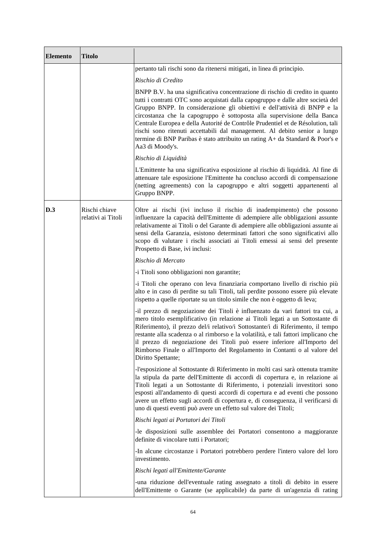| <b>Elemento</b> | <b>Titolo</b>                       |                                                                                                                                                                                                                                                                                                                                                                                                                                                                                                                                                                                                |
|-----------------|-------------------------------------|------------------------------------------------------------------------------------------------------------------------------------------------------------------------------------------------------------------------------------------------------------------------------------------------------------------------------------------------------------------------------------------------------------------------------------------------------------------------------------------------------------------------------------------------------------------------------------------------|
|                 |                                     | pertanto tali rischi sono da ritenersi mitigati, in linea di principio.                                                                                                                                                                                                                                                                                                                                                                                                                                                                                                                        |
|                 |                                     | Rischio di Credito                                                                                                                                                                                                                                                                                                                                                                                                                                                                                                                                                                             |
|                 |                                     | BNPP B.V. ha una significativa concentrazione di rischio di credito in quanto<br>tutti i contratti OTC sono acquistati dalla capogruppo e dalle altre società del<br>Gruppo BNPP. In considerazione gli obiettivi e dell'attività di BNPP e la<br>circostanza che la capogruppo è sottoposta alla supervisione della Banca<br>Centrale Europea e della Autorité de Contrôle Prudentiel et de Résolution, tali<br>rischi sono ritenuti accettabili dal management. Al debito senior a lungo<br>termine di BNP Paribas è stato attribuito un rating A+ da Standard & Poor's e<br>Aa3 di Moody's. |
|                 |                                     | Rischio di Liquidità                                                                                                                                                                                                                                                                                                                                                                                                                                                                                                                                                                           |
|                 |                                     | L'Emittente ha una significativa esposizione al rischio di liquidità. Al fine di<br>attenuare tale esposizione l'Emittente ha concluso accordi di compensazione<br>(netting agreements) con la capogruppo e altri soggetti appartenenti al<br>Gruppo BNPP.                                                                                                                                                                                                                                                                                                                                     |
| D.3             | Rischi chiave<br>relativi ai Titoli | Oltre ai rischi (ivi incluso il rischio di inadempimento) che possono<br>influenzare la capacità dell'Emittente di adempiere alle obbligazioni assunte<br>relativamente ai Titoli o del Garante di adempiere alle obbligazioni assunte ai<br>sensi della Garanzia, esistono determinati fattori che sono significativi allo<br>scopo di valutare i rischi associati ai Titoli emessi ai sensi del presente<br>Prospetto di Base, ivi inclusi:                                                                                                                                                  |
|                 |                                     | Rischio di Mercato                                                                                                                                                                                                                                                                                                                                                                                                                                                                                                                                                                             |
|                 |                                     | -i Titoli sono obbligazioni non garantite;                                                                                                                                                                                                                                                                                                                                                                                                                                                                                                                                                     |
|                 |                                     | -i Titoli che operano con leva finanziaria comportano livello di rischio più<br>alto e in caso di perdite su tali Titoli, tali perdite possono essere più elevate<br>rispetto a quelle riportate su un titolo simile che non è oggetto di leva;                                                                                                                                                                                                                                                                                                                                                |
|                 |                                     | -il prezzo di negoziazione dei Titoli è influenzato da vari fattori tra cui, a<br>mero titolo esemplificativo (in relazione ai Titoli legati a un Sottostante di<br>Riferimento), il prezzo del/i relativo/i Sottostante/i di Riferimento, il tempo<br>restante alla scadenza o al rimborso e la volatilità, e tali fattori implicano che<br>il prezzo di negoziazione dei Titoli può essere inferiore all'Importo del<br>Rimborso Finale o all'Importo del Regolamento in Contanti o al valore del<br>Diritto Spettante;                                                                      |
|                 |                                     | -l'esposizione al Sottostante di Riferimento in molti casi sarà ottenuta tramite<br>la stipula da parte dell'Emittente di accordi di copertura e, in relazione ai<br>Titoli legati a un Sottostante di Riferimento, i potenziali investitori sono<br>esposti all'andamento di questi accordi di copertura e ad eventi che possono<br>avere un effetto sugli accordi di copertura e, di conseguenza, il verificarsi di<br>uno di questi eventi può avere un effetto sul valore dei Titoli;                                                                                                      |
|                 |                                     | Rischi legati ai Portatori dei Titoli                                                                                                                                                                                                                                                                                                                                                                                                                                                                                                                                                          |
|                 |                                     | -le disposizioni sulle assemblee dei Portatori consentono a maggioranze<br>definite di vincolare tutti i Portatori;                                                                                                                                                                                                                                                                                                                                                                                                                                                                            |
|                 |                                     | -In alcune circostanze i Portatori potrebbero perdere l'intero valore del loro<br>investimento.                                                                                                                                                                                                                                                                                                                                                                                                                                                                                                |
|                 |                                     | Rischi legati all'Emittente/Garante                                                                                                                                                                                                                                                                                                                                                                                                                                                                                                                                                            |
|                 |                                     | -una riduzione dell'eventuale rating assegnato a titoli di debito in essere<br>dell'Emittente o Garante (se applicabile) da parte di un'agenzia di rating                                                                                                                                                                                                                                                                                                                                                                                                                                      |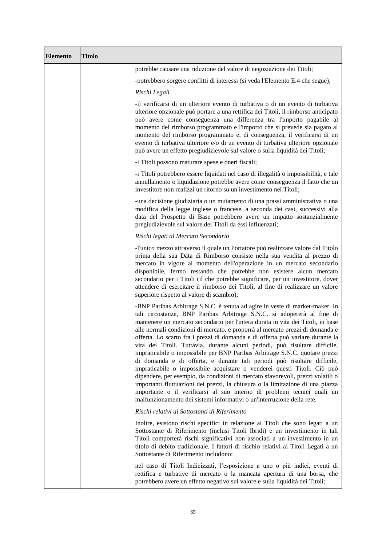| <b>Elemento</b> | <b>Titolo</b> |                                                                                                                                                                                                                                                                                                                                                                                                                                                                                                                                                                                                                                                                                                                                                                                                                                                                                                                                                                                                                                                              |
|-----------------|---------------|--------------------------------------------------------------------------------------------------------------------------------------------------------------------------------------------------------------------------------------------------------------------------------------------------------------------------------------------------------------------------------------------------------------------------------------------------------------------------------------------------------------------------------------------------------------------------------------------------------------------------------------------------------------------------------------------------------------------------------------------------------------------------------------------------------------------------------------------------------------------------------------------------------------------------------------------------------------------------------------------------------------------------------------------------------------|
|                 |               | potrebbe causare una riduzione del valore di negoziazione dei Titoli;                                                                                                                                                                                                                                                                                                                                                                                                                                                                                                                                                                                                                                                                                                                                                                                                                                                                                                                                                                                        |
|                 |               | -potrebbero sorgere conflitti di interessi (si veda l'Elemento E.4 che segue);                                                                                                                                                                                                                                                                                                                                                                                                                                                                                                                                                                                                                                                                                                                                                                                                                                                                                                                                                                               |
|                 |               | Rischi Legali                                                                                                                                                                                                                                                                                                                                                                                                                                                                                                                                                                                                                                                                                                                                                                                                                                                                                                                                                                                                                                                |
|                 |               | -il verificarsi di un ulteriore evento di turbativa o di un evento di turbativa<br>ulteriore opzionale può portare a una rettifica dei Titoli, il rimborso anticipato<br>può avere come conseguenza una differenza tra l'importo pagabile al<br>momento del rimborso programmato e l'importo che si prevede sia pagato al<br>momento del rimborso programmato e, di conseguenza, il verificarsi di un<br>evento di turbativa ulteriore e/o di un evento di turbativa ulteriore opzionale<br>può avere un effetto pregiudizievole sul valore o sulla liquidità dei Titoli;                                                                                                                                                                                                                                                                                                                                                                                                                                                                                    |
|                 |               | -i Titoli possono maturare spese e oneri fiscali;                                                                                                                                                                                                                                                                                                                                                                                                                                                                                                                                                                                                                                                                                                                                                                                                                                                                                                                                                                                                            |
|                 |               | -i Titoli potrebbero essere liquidati nel caso di illegalità o impossibilità, e tale<br>annullamento o liquidazione potrebbe avere come conseguenza il fatto che un<br>investitore non realizzi un ritorno su un investimento nei Titoli;                                                                                                                                                                                                                                                                                                                                                                                                                                                                                                                                                                                                                                                                                                                                                                                                                    |
|                 |               | -una decisione giudiziaria o un mutamento di una prassi amministrativa o una<br>modifica della legge inglese o francese, a seconda dei casi, successivi alla<br>data del Prospetto di Base potrebbero avere un impatto sostanzialmente<br>pregiudizievole sul valore dei Titoli da essi influenzati;                                                                                                                                                                                                                                                                                                                                                                                                                                                                                                                                                                                                                                                                                                                                                         |
|                 |               | Rischi legati al Mercato Secondario                                                                                                                                                                                                                                                                                                                                                                                                                                                                                                                                                                                                                                                                                                                                                                                                                                                                                                                                                                                                                          |
|                 |               | -l'unico mezzo attraverso il quale un Portatore può realizzare valore dal Titolo<br>prima della sua Data di Rimborso consiste nella sua vendita al prezzo di<br>mercato in vigore al momento dell'operazione in un mercato secondario<br>disponibile, fermo restando che potrebbe non esistere alcun mercato<br>secondario per i Titoli (il che potrebbe significare, per un investitore, dover<br>attendere di esercitare il rimborso dei Titoli, al fine di realizzare un valore<br>superiore rispetto al valore di scambio);                                                                                                                                                                                                                                                                                                                                                                                                                                                                                                                              |
|                 |               | -BNP Paribas Arbitrage S.N.C. è tenuta ad agire in veste di market-maker. In<br>tali circostanze, BNP Paribas Arbitrage S.N.C. si adopererà al fine di<br>mantenere un mercato secondario per l'intera durata in vita dei Titoli, in base<br>alle normali condizioni di mercato, e proporrà al mercato prezzi di domanda e<br>offerta. Lo scarto fra i prezzi di domanda e di offerta può variare durante la<br>vita dei Titoli. Tuttavia, durante alcuni periodi, può risultare difficile,<br>impraticabile o impossibile per BNP Paribas Arbitrage S.N.C. quotare prezzi<br>di domanda e di offerta, e durante tali periodi può risultare difficile,<br>impraticabile o impossibile acquistare o venderei questi Titoli. Ciò può<br>dipendere, per esempio, da condizioni di mercato sfavorevoli, prezzi volatili o<br>importanti fluttuazioni dei prezzi, la chiusura o la limitazione di una piazza<br>importante o il verificarsi al suo interno di problemi tecnici quali un<br>malfunzionamento dei sistemi informativi o un'interruzione della rete. |
|                 |               | Rischi relativi ai Sottostanti di Riferimento                                                                                                                                                                                                                                                                                                                                                                                                                                                                                                                                                                                                                                                                                                                                                                                                                                                                                                                                                                                                                |
|                 |               | Inoltre, esistono rischi specifici in relazione ai Titoli che sono legati a un<br>Sottostante di Riferimento (inclusi Titoli Ibridi) e un investimento in tali<br>Titoli comporterà rischi significativi non associati a un investimento in un<br>titolo di debito tradizionale. I fattori di rischio relativi ai Titoli Legati a un<br>Sottostante di Riferimento includono:                                                                                                                                                                                                                                                                                                                                                                                                                                                                                                                                                                                                                                                                                |
|                 |               | nel caso di Titoli Indicizzati, l'esposizione a uno o più indici, eventi di<br>rettifica e turbative di mercato o la mancata apertura di una borsa, che<br>potrebbero avere un effetto negativo sul valore e sulla liquidità dei Titoli;                                                                                                                                                                                                                                                                                                                                                                                                                                                                                                                                                                                                                                                                                                                                                                                                                     |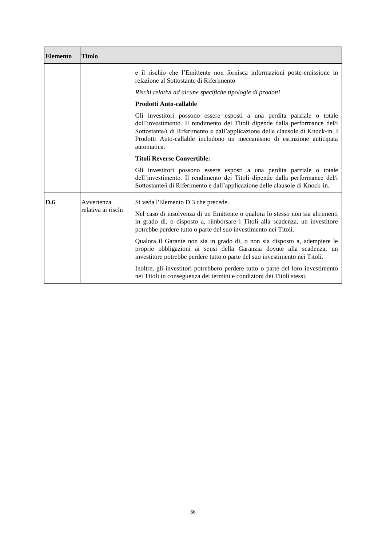| <b>Elemento</b> | <b>Titolo</b>                    |                                                                                                                                                                                                                                                                                                                                   |
|-----------------|----------------------------------|-----------------------------------------------------------------------------------------------------------------------------------------------------------------------------------------------------------------------------------------------------------------------------------------------------------------------------------|
|                 |                                  | e il rischio che l'Emittente non fornisca informazioni poste-emissione in<br>relazione al Sottostante di Riferimento                                                                                                                                                                                                              |
|                 |                                  | Rischi relativi ad alcune specifiche tipologie di prodotti                                                                                                                                                                                                                                                                        |
|                 |                                  | <b>Prodotti Auto-callable</b>                                                                                                                                                                                                                                                                                                     |
|                 |                                  | Gli investitori possono essere esposti a una perdita parziale o totale<br>dell'investimento. Il rendimento dei Titoli dipende dalla performance del/i<br>Sottostante/i di Riferimento e dall'applicazione delle clausole di Knock-in. I<br>Prodotti Auto-callable includono un meccanismo di estinzione anticipata<br>automatica. |
|                 |                                  | <b>Titoli Reverse Convertible:</b>                                                                                                                                                                                                                                                                                                |
|                 |                                  | Gli investitori possono essere esposti a una perdita parziale o totale<br>dell'investimento. Il rendimento dei Titoli dipende dalla performance del/i<br>Sottostante/i di Riferimento e dall'applicazione delle clausole di Knock-in.                                                                                             |
| <b>D.6</b>      | Avvertenza<br>relativa ai rischi | Si veda l'Elemento D.3 che precede.                                                                                                                                                                                                                                                                                               |
|                 |                                  | Nel caso di insolvenza di un Emittente o qualora lo stesso non sia altrimenti<br>in grado di, o disposto a, rimborsare i Titoli alla scadenza, un investitore<br>potrebbe perdere tutto o parte del suo investimento nei Titoli.                                                                                                  |
|                 |                                  | Qualora il Garante non sia in grado di, o non sia disposto a, adempiere le<br>proprie obbligazioni ai sensi della Garanzia dovute alla scadenza, un<br>investitore potrebbe perdere tutto o parte del suo investimento nei Titoli.                                                                                                |
|                 |                                  | Inoltre, gli investitori potrebbero perdere tutto o parte del loro investimento<br>nei Titoli in conseguenza dei termini e condizioni dei Titoli stessi.                                                                                                                                                                          |